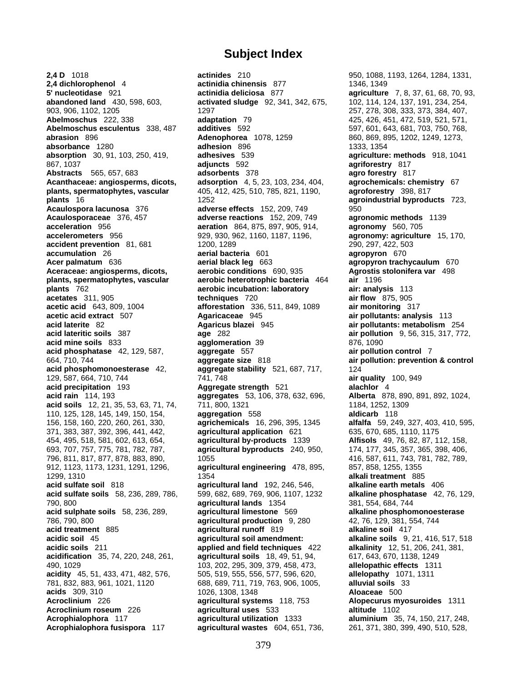## **Subject Index**

**2,4 D** 1018 **actinides** 210 950, 1088, 1193, 1264, 1284, 1331, **2,4 dichlorophenol** 4 **actinidia chinensis** 877 1346, 1349 **5' nucleotidase** 921 **actinidia deliciosa** 877 **agriculture** 7, 8, 37, 61, 68, 70, 93, **abandoned land** 430, 598, 603, **activated sludge** 92, 341, 342, 675, 102, 114, 124, 137, 191, 234, 254, 903, 906, 1102, 1205 1297 257, 278, 308, 333, 373, 384, 407, **Abelmoschus** 222, 338 **adaptation** 79 425, 426, 451, 472, 519, 521, 571, **Abelmoschus esculentus** 338, 487 **additives** 592 597, 601, 643, 681, 703, 750, 768, **abrasion** 896 **Adenophorea** 1078, 1259 860, 869, 895, 1202, 1249, 1273, **absorbance** 1280 **adhesion** 896 **1333, 1354**<br> **absorption** 30, 91, 103, 250, 419, **adhesives** 539 **agriculture absorption** 30, 91, 103, 250, 419, **adhesives** 539 **agriculture: methods** 918, 1041 867, 1037 **adjuncts** 592 **agriforestry** 817 **Abstracts** 565, 657, 683 **adsorbents** 378 **agro forestry** 817 **Acanthaceae: angiosperms, dicots, adsorption** 4, 5, 23, 103, 234, 404, **agrochemicals: chemistry** 67 **plants, spermatophytes, vascular** 405, 412, 425, 510, 785, 821, 1190, **agroforestry** 398, 817 **plants** 16 1252 **agroindustrial byproducts** 723, **Acaulospora lacunosa** 376 **adverse effects** 152, 209, 749 950 **Acaulosporaceae** 376, 457 **adverse reactions** 152, 209, 749 **agronomic methods** 1139 **acceleration** 956 **aeration** 864, 875, 897, 905, 914, **agronomy** 560, 705 **accelerometers** 956 929, 930, 962, 1160, 1187, 1196, **agronomy: agriculture** 15, 170, **accident prevention** 81, 681 1200, 1289 290, 297, 422, 503 **accumulation** 26 **aerial bacteria** 601 **agropyron** 670 **Acer palmatum** 636 **aerial black leg** 663 **agropyron trachycaulum** 670 **Aceraceae: angiosperms, dicots, aerobic conditions** 690, 935 **Agrostis stolonifera var** 498 **plants, spermatophytes, vascular aerobic heterotrophic bacteria** 464 **air** 1196 **plants** 762 **aerobic incubation: laboratory air: analysis** 113 **acetates** 311, 905 **techniques** 720 **air flow** 875, 905 **acetic acid** 643, 809, 1004 **afforestation** 336, 511, 849, 1089 **air monitoring** 317 **acetic acid extract** 507 **Agaricaceae** 945 **air pollutants: analysis** 113 **acid laterite** 82 **Agaricus blazei** 945 **air pollutants: metabolism** 254 **acid lateritic soils** 387 **age** 282 **air pollution** 9, 56, 315, 317, 772, **acid mine soils** 833 **agglomeration** 39 876, 1090 **acid phosphatase** 42, 129, 587, **aggregate** 557 **air pollution control** 7 664, 710, 744 **aggregate size** 818 **air pollution: prevention & control acid phosphomonoesterase** 42, **aggregate stability** 521, 687, 717, 124 129, 587, 664, 710, 744 741, 748 **air quality** 100, 949 **acid precipitation** 193 **Aggregate strength** 521 **acid rain** 114, 193 **aggregates** 53, 106, 378, 632, 696, **Alberta** 878, 890, 891, 892, 1024, **acid soils** 12, 21, 35, 53, 63, 71, 74, 711, 800, 1321 1184, 1252, 1309 110, 125, 128, 145, 149, 150, 154, **aggregation** 558 **aldicarb** 118 156, 158, 160, 220, 260, 261, 330, **agrichemicals** 16, 296, 395, 1345 **alfalfa** 59, 249, 327, 403, 410, 595, 371, 383, 387, 392, 396, 441, 442, **agricultural application** 621 635, 670, 685, 1110, 1175 454, 495, 518, 581, 602, 613, 654, **agricultural by-products** 1339 **Alfisols** 49, 76, 82, 87, 112, 158, 693, 707, 757, 775, 781, 782, 787, **agricultural byproducts** 240, 950, 174, 177, 345, 357, 365, 398, 406, 796, 811, 817, 877, 878, 883, 890, 1055 416, 587, 611, 743, 781, 782, 789, 912, 1123, 1173, 1231, 1291, 1296, **agricultural engineering** 478, 895, 857, 858, 1255, 1355 1299, 1310 1354 **alkali treatment** 885 **acid sulfate soil** 818 **agricultural land** 192, 246, 546, **alkaline earth metals** 406 **acid sulfate soils** 58, 236, 289, 786, 599, 682, 689, 769, 906, 1107, 1232 **alkaline phosphatase** 42, 76, 129, 790, 800 **agricultural lands** 1354 381, 554, 684, 744 **acid sulphate soils** 58, 236, 289, **agricultural limestone** 569 **alkaline phosphomonoesterase** 786, 790, 800 **agricultural production** 9, 280 42, 76, 129, 381, 554, 744 **acid treatment** 885 **agricultural runoff** 819 **alkaline soil** 417 **acidic soil** 45 **agricultural soil amendment: alkaline soils** 9, 21, 416, 517, 518 **acidic soils** 211 **applied and field techniques** 422 **alkalinity** 12, 51, 206, 241, 381, **acidification** 35, 74, 220, 248, 261, **agricultural soils** 18, 49, 51, 94, 617, 643, 670, 1138, 1249 490, 1029 103, 202, 295, 309, 379, 458, 473, **allelopathic effects** 1311 **acidity** 45, 51, 433, 471, 482, 576, 505, 519, 555, 556, 577, 596, 620, **allelopathy** 1071, 1311 781, 832, 883, 961, 1021, 1120 688, 689, 711, 719, 763, 906, 1005, **alluvial soils** 33 **acids** 309, 310 **Aloaceae** 500<br> **Acroclinium** 226 **Acroclinium** 226 **Alogecurus Alogecurus Alogecurus Alogecurus Alogecurus Alogecurus Alogecurus Alogecurus Alogecurus Alogecurus Alogecurus Alogecuru Acroclinium roseum** 226 **agricultural uses** 533 **altitude** 1102 **Acrophialophora** 117 **agricultural utilization** 1333 **aluminium** 35, 74, 150, 217, 248, **Acrophialophora fusispora** 117 **agricultural wastes** 604, 651, 736, 261, 371, 380, 399, 490, 510, 528,

**Alopecurus myosuroides** 1311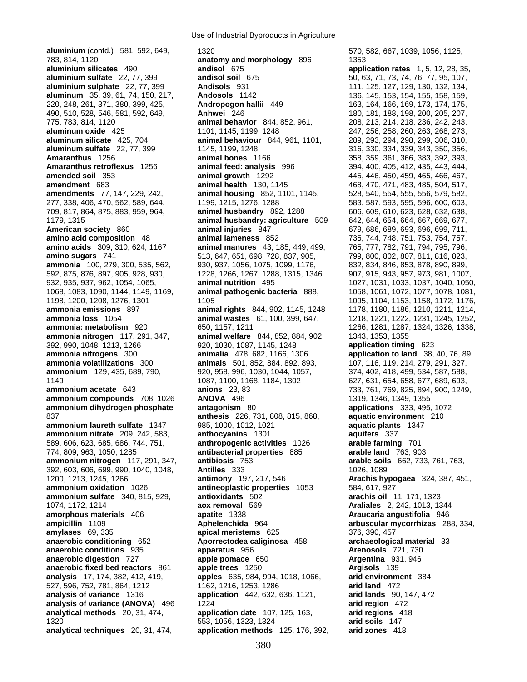**aluminium** (contd.) 581, 592, 649, 1320 570, 582, 667, 1039, 1056, 1125, 783, 814, 1120 **anatomy and morphology** 896 1353 **aluminium silicates** 490 **andisol** 675 **application rates** 1, 5, 12, 28, 35, **aluminium sulfate** 22, 77, 399 **andisol soil** 675 50, 63, 71, 73, 74, 76, 77, 95, 107, **aluminium sulphate** 22, 77, 399 **Andisols** 931 111, 125, 127, 129, 130, 132, 134, **aluminum** 35, 39, 61, 74, 150, 217, **Andosols** 1142 136, 145, 153, 154, 155, 158, 159, 220, 248, 261, 371, 380, 399, 425, **Andropogon hallii** 449 163, 164, 166, 169, 173, 174, 175, 490, 510, 528, 546, 581, 592, 649, **Anhwei** 246 180, 181, 188, 198, 200, 205, 207, 775, 783, 814, 1120 **animal behavior** 844, 852, 961, 208, 213, 214, 218, 236, 242, 243, **aluminum oxide** 425 1101, 1145, 1199, 1248 247, 256, 258, 260, 263, 268, 273, **aluminum silicate** 425, 704 **animal behaviour** 844, 961, 1101, 289, 293, 294, 298, 299, 306, 310, **aluminum sulfate** 22, 77, 399 1145, 1199, 1248 316, 330, 334, 339, 343, 350, 356, **Amaranthus** 1256 **animal bones** 1166 358, 359, 361, 366, 383, 392, 393, **amended soil** 353 **animal growth** 1292 445, 446, 450, 459, 465, 466, 467, **amendment** 683 **animal health** 130, 1145 468, 470, 471, 483, 485, 504, 517, **amendments** 77, 147, 229, 242, **animal housing** 852, 1101, 1145, 528, 540, 554, 555, 556, 579, 582, 277, 338, 406, 470, 562, 589, 644, 1199, 1215, 1276, 1288 583, 587, 593, 595, 596, 600, 603, 709, 817, 864, 875, 883, 959, 964, **animal husbandry** 892, 1288 606, 609, 610, 623, 628, 632, 638, 1179, 1315 **animal husbandry: agriculture** 509 642, 644, 654, 664, 667, 669, 677, **American society** 860 **animal injuries** 847 679, 686, 689, 693, 696, 699, 711, **amino acid composition** 48 **animal lameness** 852 735, 744, 748, 751, 753, 754, 757, **amino acids** 309, 310, 624, 1167 **animal manures** 43, 185, 449, 499, 765, 777, 782, 791, 794, 795, 796, **amino sugars** 741 513, 647, 651, 698, 728, 837, 905, 799, 800, 802, 807, 811, 816, 823, **ammonia** 100, 279, 300, 535, 562, 930, 937, 1056, 1075, 1099, 1176, 832, 834, 846, 853, 878, 890, 899, 592, 875, 876, 897, 905, 928, 930, 1228, 1266, 1267, 1288, 1315, 1346 907, 915, 943, 957, 973, 981, 1007, 932, 935, 937, 962, 1054, 1065, **animal nutrition** 495 1027, 1031, 1033, 1037, 1040, 1050, 1068, 1083, 1090, 1144, 1149, 1169, **animal pathogenic bacteria** 888, 1058, 1061, 1072, 1077, 1078, 1081, **ammonia emissions** 897 **animal rights** 844, 902, 1145, 1248 1178, 1180, 1186, 1210, 1211, 1214, **ammonia loss** 1054 **animal wastes** 61, 100, 399, 647, 1218, 1221, 1222, 1231, 1245, 1252, **ammonia: metabolism** 920 650, 1157, 1211 1266, 1281, 1287, 1324, 1326, 1338, 1338, **ammonia nitrogen** 117, 291, 347, **animal welfare** 844, 852, 884, 902, 1343, 1353, 1355 392, 990, 1048, 1213, 1266 920, 1030, 1087, 1145, 1248 **application timing** 623 **ammonia nitrogens** 300 **animalia** 478, 682, 1166, 1306 **application to land** 38, 40, 76, 89, **ammonia volatilizations** 300 **animals** 501, 852, 884, 892, 893, 107, 116, 119, 214, 279, 291, 327, **ammonium** 129, 435, 689, 790, 920, 958, 996, 1030, 1044, 1057, 374, 402, 418, 499, 534, 587, 588, 1149 1087, 1100, 1168, 1184, 1302 627, 631, 654, 658, 677, 689, 693, 693, 693, 697, 689, 693, 693, 697, 689, 693, 693, 697, 689, 693, 697, 689, 693, 699, 697, 689, 693, 699, 697, 689, 693, 694, 900, 1249 **ammonium compounds** 708, 1026 **ANOVA** 496 1319 1319, 1346, 1349, 1355<br> **ammonium dihydrogen phosphate** antagonism 80 150 applications 333, 495, 1072 **ammonium dihydrogen phosphate** antagonism 80 837 **anthesis** 226, 731, 808, 815, 868, **aquatic environment** 210 **ammonium laureth sulfate** 1347 985, 1000, 1012, 1021 **aquatic plants** 1347 **ammonium nitrate** 209, 242, 583, **anthocyanins** 1301 **aquifers** 337 589, 606, 623, 685, 686, 744, 751, **anthropogenic activities** 1026 **arable farming** 701 774, 809, 963, 1050, 1285 **antibacterial properties** 885 **arable land** 763, 903 **ammonium nitrogen** 117, 291, 347, **antibiosis** 753 **arable soils** 662, 733, 761, 763, 392, 603, 606, 699, 990, 1040, 1048, **Antilles** 333 1026, 1089 1200, 1213, 1245, 1266 **antimony** 197, 217, 546 **Arachis hypogaea** 324, 387, 451, **ammonium oxidation** 1026 **antineoplastic properties** 1053 584, 617, 927 **ammonium sulfate** 340, 815, 929, **antioxidants** 502 **arachis oil** 11, 171, 1323 1074, 1172, 1214 **aox removal** 569 **Araliales** 2, 242, 1013, 1344 **amorphous materials** 406 **apatite** 1338 **Araucaria angustifolia** 946 **ampicillin** 1109 **Aphelenchida** 964 **arbuscular mycorrhizas** 288, 334, **amylases** 69, 335 **apical meristems** 625 376, 390, 457 **anaerobic conditioning** 652 **Aporrectodea caliginosa** 458 **archaeological material** 33 **anaerobic conditions** 935 **apparatus** 956 **Arenosols** 721, 730 **anaerobic digestion** 727 **apple pomace** 650 **Argentina** 931, 946 **anaerobic fixed bed reactors** 861 **apple trees** 1250 **Argisols** 139 **analysis** 17, 174, 382, 412, 419, **apples** 635, 984, 994, 1018, 1066, **arid environment** 384 527, 596, 752, 781, 864, 1212 1162, 1216, 1253, 1286 **arid land** 472 **analysis of variance** 1316 **application** 442, 632, 636, 1121, **arid lands** 90, 147, 472 **analysis of variance (ANOVA)** 496 1224<br>**analytical methods** 20, 31, 474, **application date** 107, 125, 163, **arid regions** 418 **analytical methods** 20, 31, 474, **application date** 107, 125, 163, 1320 553, 1056, 1323, 1324 **arid soils** 147 **analytical techniques** 20, 31, 474, **application methods** 125, 176, 392, **arid zones** 418

**Amaranthus retroflexus** 1256 **animal feed: analysis** 996 394, 400, 405, 412, 435, 443, 444, 1105 1095, 1104, 1153, 1158, 1172, 1176,

**ammonium acetate** 643 **anions** 23, 83 733, 761, 769, 825, 894, 900, 1249,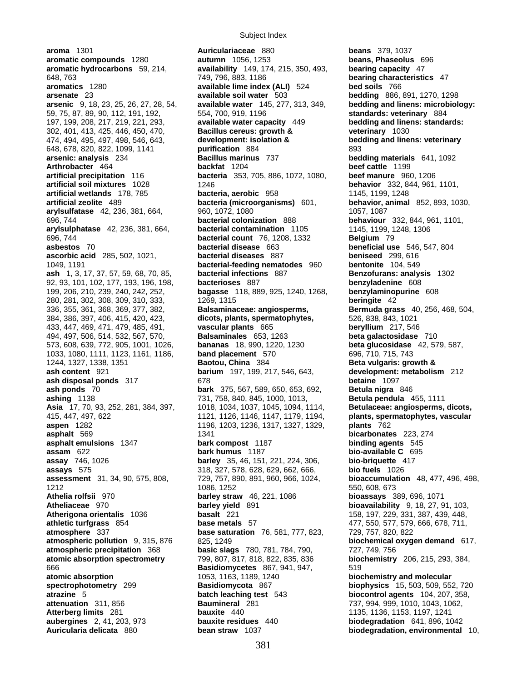**aroma** 1301 **Auriculariaceae** 880 **beans** 379, 1037 **ash** 1, 3, 17, 37, 57, 59, 68, 70, 85, **bacterial infections** 887 199, 206, 210, 239, 240, 242, 252, **bagasse** 118, 889, 925, 1240, 1268, **benzylaminopurine** 608

Subject Index

**aromatic compounds** 1280 **autumn** 1056, 1253 **beans, Phaseolus** 696 **aromatic hydrocarbons** 59, 214, **availability** 149, 174, 215, 350, 493, **bearing capacity** 47 648, 763 749, 796, 883, 1186 **bearing characteristics** 47 **aromatics** 1280 **available lime index (ALI)** 524 **bed soils** 766 **arsenate** 23 **available soil water** 503 **bedding** 886, 891, 1270, 1298 **arsenic** 9, 18, 23, 25, 26, 27, 28, 54, **available water** 145, 277, 313, 349, **bedding and linens: microbiology:**  59, 75, 87, 89, 90, 112, 191, 192, 554, 700, 919, 1196 **standards: veterinary** 884 197, 199, 208, 217, 219, 221, 293, **available water capacity** 449 **bedding and linens: standards:**  302, 401, 413, 425, 446, 450, 470, **Bacillus cereus: growth & veterinary** 1030 474, 494, 495, 497, 498, 546, 643, **development: isolation & bedding and linens: veterinary** 648, 678, 820, 822, 1099, 1141 **purification** 884 **arsenic: analysis** 234 **bed bed arsenic: analysis** 234 **Bacillus marinus** 737 **bedding materials** 641, 1092 **Arthrobacter** 464 **backfat** 1204 **beef cattle** 1199 **artificial precipitation** 116 **bacteria** 353, 705, 886, 1072, 1080, **beef manure** 960, 1206 **artificial soil mixtures** 1028 1246 **behavior** 332, 844, 961, 1101, **artificial wetlands** 178, 785 **bacteria, aerobic** 958 1145, 1199, 1248 **artificial zeolite** 489 **bacteria (microorganisms)** 601, **behavior, animal** 852, 893, 1030, **arylsulfatase** 42, 236, 381, 664, 960, 1072, 1080 1057, 1087, 1087, 1087 696, 744 **bacterial colonization** 888 **behaviour** 332, 844, 961, 1101, **arylsulphatase** 42, 236, 381, 664, **bacterial contamination** 1105 1145, 1199, 1248, 1306 696, 744 **bacterial count** 76, 1208, 1332 **Belgium** 79 **asbestos** 70 **bacterial disease** 663 **beneficial use** 546, 547, 804 **ascorbic acid** 285, 502, 1021, **bacterial diseases** 887 **beniseed** 299, 616 1049, 1191 **bacterial-feeding nematodes** 960 **bentonite** 104, 549 92, 93, 101, 102, 177, 193, 196, 198, **bacterioses** 887 **benzyladenine** 608 280, 281, 302, 308, 309, 310, 333, 1269, 1315 **beringite** 42 336, 355, 361, 368, 369, 377, 382, **Balsaminaceae: angiosperms, Bermuda grass** 40, 256, 468, 504, 384, 386, 397, 406, 415, 420, 423, **dicots, plants, spermatophytes,** 526, 838, 843, 1021 433, 447, 469, 471, 479, 485, 491, **vascular plants** 665 **beryllium** 217, 546 494, 497, 506, 514, 532, 567, 570, **Balsaminales** 653, 1263 **beta galactosidase** 710 573, 608, 639, 772, 905, 1001, 1026, **bananas** 18, 990, 1220, 1230 **beta glucosidase** 42, 579, 587, 1033, 1080, 1111, 1123, 1161, 1186, **band placement** 570 696, 710, 715, 743 1244, 1327, 1338, 1351 **Baotou, China** 384 **Beta vulgaris: growth & ash content** 921 **barium** 197, 199, 217, 546, 643, **development: metabolism** 212 **ash disposal ponds** 317 678 **betaine** 1097 **ash ponds** 70 **bark** 375, 567, 589, 650, 653, 692, **Betula nigra** 846 **ashing** 1138 731, 758, 840, 845, 1000, 1013, **Betula pendula** 455, 1111 Asia 17, 70, 93, 252, 281, 384, 397, 1018, 1034, 1037, 1045, 1094, 1114, **Betulaceae: angiosperms, dicots,** 415, 447, 497, 622 1121, 1126, 1146, 1147, 1179, 1194, **plants, spermatophytes, vascular aspen** 1282 1196, 1203, 1236, 1317, 1327, 1329, **plants** 762 **asphalt** 569 1341 **bicarbonates** 223, 274 **asphalt emulsions** 1347 **bark compost** 1187 **binding agents** 545 **assam** 622 **bark humus** 1187 **bio-available C** 695 **assay** 746, 1026 **barley** 35, 46, 151, 221, 224, 306, **bio-briquette** 417 **assays** 575 318, 327, 578, 628, 629, 662, 666, **bio fuels** 1026 **assessment** 31, 34, 90, 575, 808, 729, 757, 890, 891, 960, 966, 1024, **bioaccumulation** 48, 477, 496, 498, 1212 1086, 1252 550, 608, 673 **Athelia rolfsii** 970 **barley straw** 46, 221, 1086 **bioassays** 389, 696, 1071 **Atheliaceae** 970 **barley yield** 891 **bioavailability** 9, 18, 27, 91, 103, **Atherigona orientalis** 1036 **basalt** 221 **basalt** 221 158, 197, 229, 331, 387, 439, 448, **athletic turfgrass** 854 **base metals** 57 477, 550, 577, 579, 666, 678, 711, **atmosphere** 337 **base saturation** 76, 581, 777, 823, 729, 757, 820, 822 **atmospheric pollution** 9, 315, 876 825, 1249 **biochemical oxygen demand** 617, **atmospheric precipitation** 368 **basic slags** 780, 781, 784, 790, 727, 749, 756 **atomic absorption spectrometry** 799, 807, 817, 818, 822, 835, 836 **biochemistry** 206, 215, 293, 384, 666 **Basidiomycetes** 867, 941, 947, 519 **atomic absorption** 1053, 1163, 1189, 1240 **biochemistry and molecular spectrophotometry** 299 **Basidiomycota** 867 **biophysics** 15, 503, 509, 552, 720 **atrazine** 5 **batch leaching test** 543 **biocontrol agents** 104, 207, 358, **Baumineral** 281 737, 994, 999, 1010, 1043, 1062, **Atterberg limits** 281 **bauxite** 440 1135, 1136, 1153, 1197, 1241 **aubergines** 2, 41, 203, 973 **bauxite residues** 440 **biodegradation** 641, 896, 1042

**Auricularia delicata** 880 **bean straw** 1037 **biodegradation, environmental** 10,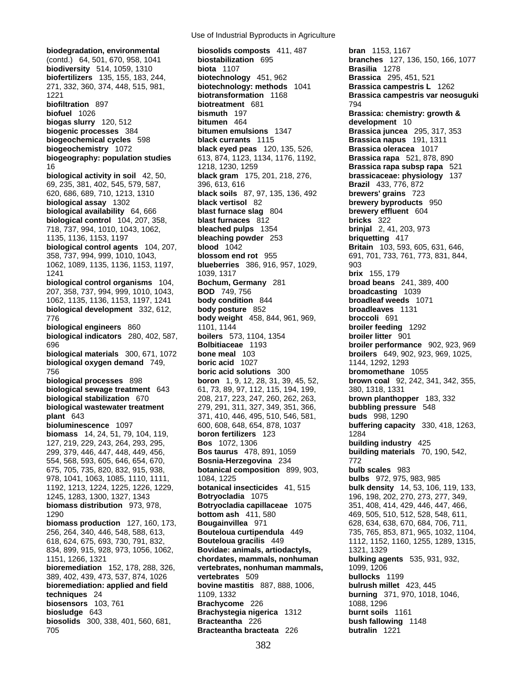**biodegradation, environmental biosolids composts** 411, 487 **bran** 1153, 1167 (contd.) 64, 501, 670, 958, 1041 **biostabilization** 695 **branches** 127, 136, 150, 166, 1077 **biodiversity** 514, 1059, 1310 **biota** 1107 **biofertilizers** 135, 155, 183, 244, **biotechnology** 451, 962 **Brassica** 295, 451, 521 271, 332, 360, 374, 448, 515, 981, **biotechnology: methods** 1041 **Brassica campestris L** 1262 1221 **biotransformation** 1168 **Brassica campestris var neosuguki biofiltration** 897 **biotreatment** 681 794 **biofuel** 1026 **bismuth** 197 **Brassica: chemistry: growth & biogas slurry** 120, 512 **bitumen** 464 **development** 10 **biogenic processes** 384 **bitumen emulsions** 1347 **Brassica juncea** 295, 317, 353 **biogeochemical cycles** 598 **black currants** 1115 **Brassica napus** 191, 1311 **biogeochemistry** 1072 **black eyed peas** 120, 135, 526, **Brassica oleracea** 1017 **biogeography: population studies** 613, 874, 1123, 1134, 1176, 1192, **Brassica rapa** 521, 878, 890 16 1218, 1230, 1259 **Brassica rapa subsp rapa** 521 **biological activity in soil** 42, 50, **black gram** 175, 201, 218, 276, **brassicaceae: physiology** 137 69, 235, 381, 402, 545, 579, 587, 396, 613, 616 **Brazil** 433, 776, 872 620, 686, 689, 710, 1213, 1310 **black soils** 87, 97, 135, 136, 492 **brewers' grains** 723 **biological assay** 1302 **black vertisol** 82 **brewery byproducts** 950 **biological availability** 64, 666 **blast furnace slag** 804 **brewery effluent** 604 **biological control** 104, 207, 358, **blast furnaces** 812 **bricks** 322 718, 737, 994, 1010, 1043, 1062, **bleached pulps** 1354 **brinjal** 2, 41, 203, 973 1135, 1136, 1153, 1197 **bleaching powder** 253 **briquetting** 417 **biological control agents** 104, 207, **blood** 1042 **Britain** 103, 593, 605, 631, 646, 358, 737, 994, 999, 1010, 1043, **blossom end rot** 955 691, 701, 733, 761, 773, 831, 844, 1062, 1089, 1135, 1136, 1153, 1197, **blueberries** 386, 916, 957, 1029, 903 1241 1039, 1317 **brix** 155, 179 **biological control organisms** 104, **Bochum, Germany** 281 **broad beans** 241, 389, 400 207, 358, 737, 994, 999, 1010, 1043, **BOD** 749, 756 1062, 1135, 1136, 1153, 1197, 1241 **body condition** 844 **broadleaf weeds** 1071 **biological development** 332, 612, **body posture** 852 **broadleaves** 1131 776 **body weight** 458, 844, 961, 969, **broccoli** 691 **biological engineers** 860 1101, 1144 **broiler feeding** 1292 **biological indicators** 280, 402, 587, **boilers** 573, 1104, 1354 **broiler litter** 901 696 **Bolbitiaceae** 1193 **broiler performance** 902, 923, 969 **biological materials** 300, 671, 1072 **bone meal** 103 **broilers** 649, 902, 923, 969, 1025, **biological oxygen demand** 749, **boric acid** 1027 1144, 1292, 1293 756 **boric acid solutions** 300 **bromomethane** 1055 **biological processes** 898 **boron** 1, 9, 12, 28, 31, 39, 45, 52, **brown coal** 92, 242, 341, 342, 355, **biological sewage treatment** 643 61, 73, 89, 97, 112, 115, 194, 199, 380, 1318, 1331 **biological stabilization** 670 208, 217, 223, 247, 260, 262, 263, **brown planthopper** 183, 332 **biological wastewater treatment** 279, 291, 311, 327, 349, 351, 366, **bubbling pressure** 548 **plant** 643 371, 410, 446, 495, 510, 546, 581, **buds** 998, 1290 **bioluminescence** 1097 600, 608, 648, 654, 878, 1037 **buffering capacity** 330, 418, 1263, **biomass** 14, 24, 51, 79, 104, 119, **boron fertilizers** 123 1284 127, 219, 229, 243, 264, 293, 295, **Bos** 1072, 1306 **building industry** 425 299, 379, 446, 447, 448, 449, 456, **Bos taurus** 478, 891, 1059 **building materials** 70, 190, 542, 554, 568, 593, 605, 646, 654, 670, **Bosnia-Herzegovina** 234 772 675, 705, 735, 820, 832, 915, 938, **botanical composition** 899, 903, **bulb scales** 983 978, 1041, 1063, 1085, 1110, 1111, 1084, 1225 **bulbs** 972, 975, 983, 985 1192, 1213, 1224, 1225, 1226, 1229, **botanical insecticides** 41, 515 **bulk density** 14, 53, 106, 119, 133, 1245, 1283, 1300, 1327, 1343 **Botryocladia** 1075 196, 198, 202, 270, 273, 277, 349, **biomass distribution** 973, 978, **Botryocladia capillaceae** 1075 351, 408, 414, 429, 446, 447, 466, 1290 **bottom ash** 411, 580 469, 505, 510, 512, 528, 548, 611, **biomass production** 127, 160, 173, **Bougainvillea** 971 628, 634, 638, 670, 684, 706, 711, 256, 264, 340, 446, 548, 588, 613, **Bouteloua curtipendula** 449 735, 765, 853, 871, 965, 1032, 1104, 618, 624, 675, 693, 730, 791, 832, **Bouteloua gracilis** 449 1112, 1152, 1160, 1255, 1289, 1315, 834, 899, 915, 928, 973, 1056, 1062, **Bovidae: animals, artiodactyls,** 1321, 1329 1151, 1266, 1321 **chordates, mammals, nonhuman bulking agents** 535, 931, 932, **bioremediation** 152, 178, 288, 326, **vertebrates, nonhuman mammals,** 1099, 1206 389, 402, 439, 473, 537, 874, 1026 **vertebrates** 509 **bullocks** 1199 **bioremediation: applied and field bovine mastitis** 887, 888, 1006, **bulrush millet** 423, 445 **techniques** 24 1109, 1332 **burning** 371, 970, 1018, 1046, **biosensors** 103, 761 **Brachycome** 226 **biosludge** 643 **Brachystegia nigerica** 1312 **burnt soils** 1161 **biosolids** 300, 338, 401, 560, 681, **Bracteantha** 226 **bush fallowing** 1148 705 **Bracteantha bracteata** 226 **butralin** 1221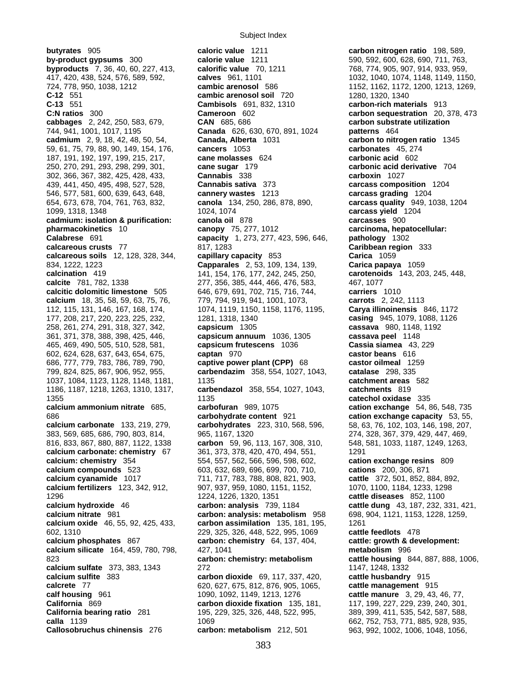**butyrates** 905 **caloric value** 1211 **carbon nitrogen ratio** 198, 589, **by-product gypsums** 300 **calorie value** 1211 590, 592, 600, 628, 690, 711, 763, **byproducts** 7, 36, 40, 60, 227, 413, **calorific value** 70, 1211 768, 774, 905, 907, 914, 933, 959, **byproducts** 7, 36, 40, 60, 227, 413, **calorific value** 70, 1211 768, 774, 905, 907, 914, 933, 959, 417, 420, 438, 524, 576, 589, 592, **calves** 961, 1101 1032, 1040, 1074, 1148, 1149, 1150, 724, 778, 950, 1038, 1212 **cambic arenosol** 586 1152, 1162, 1172, 1200, 1213, 1269, **C-12** 551 **cambic arenosol soil** 720 1280, 1320, 1340 **C-13** 551 **Cambisols** 691, 832, 1310 **carbon-rich materials** 913 **C:N ratios** 300 **Cameroon** 602 **carbon sequestration** 20, 378, 473 **cabbages** 2, 242, 250, 583, 679, **CAN** 685, 686 **carbon substrate utilization**  744, 941, 1001, 1017, 1195 **Canada** 626, 630, 670, 891, 1024 **patterns** 464 **cadmium** 2, 9, 18, 42, 48, 50, 54, **Canada, Alberta** 1031 **carbon to nitrogen ratio** 1345 59, 61, 75, 79, 88, 90, 149, 154, 176, **cancers** 1053 **carbonates** 45, 274 187, 191, 192, 197, 199, 215, 217, **cane molasses** 624 **carbonic acid** 602 250, 270, 291, 293, 298, 299, 301, **cane sugar** 179 302, 366, 367, 382, 425, 428, 433, **Cannabis** 338 **carboxin** 1027 439, 441, 450, 495, 498, 527, 528, **Cannabis sativa** 373 **carcass composition** 1204 546, 577, 581, 600, 639, 643, 648, **cannery wastes** 1213 **carcass grading** 1204 654, 673, 678, 704, 761, 763, 832, **canola** 134, 250, 286, 878, 890, **carcass quality** 949, 1038, 1204 1099, 1318, 1348 1024, 1074 **carcass yield** 1204 **cadmium: isolation & purification: canola oil** 878 **carcasses** 900 **pharmacokinetics** 10 **canopy** 75, 277, 1012 **carcinoma, hepatocellular: Calabrese** 691 **capacity** 1, 273, 277, 423, 596, 646, **pathology** 1302 **calcareous crusts** 77 817, 1283 **Caribbean region** 333 **calcareous soils** 12, 128, 328, 344, **capillary capacity** 853 **Carica** 1059 834, 1222, 1223 **Capparales** 2, 53, 109, 134, 139, **Carica papaya** 1059 **calcination** 419 141, 154, 176, 177, 242, 245, 250, **carotenoids** 143, 203, 245, 448, **calcite** 781, 782, 1338 277, 356, 385, 444, 466, 476, 583, 467, 1077 **calcitic dolomitic limestone** 505 646, 679, 691, 702, 715, 716, 744, **carriers** 1010 **calcium** 18, 35, 58, 59, 63, 75, 76, 779, 794, 919, 941, 1001, 1073, **carrots** 2, 242, 1113 112, 115, 131, 146, 167, 168, 174, 1074, 1119, 1150, 1158, 1176, 1195, **Carya illinoinensis** 846, 1172 177, 208, 217, 220, 223, 225, 232, 1281, 1318, 1340 **casing** 945, 1079, 1088, 1126 258, 261, 274, 291, 318, 327, 342, **capsicum** 1305 **cassava** 980, 1148, 1192 361, 371, 378, 388, 398, 425, 446, **capsicum annuum** 1036, 1305 **cassava peel** 1148 465, 469, 490, 505, 510, 528, 581, **capsicum frutescens** 1036 **Cassia siamea** 43, 229 602, 624, 628, 637, 643, 654, 675, **captan** 970 **castor beans** 616 686, 777, 779, 783, 786, 789, 790, **captive power plant (CPP)** 68 **castor oilmeal** 1259 799, 824, 825, 867, 906, 952, 955, **carbendazim** 358, 554, 1027, 1043, **catalase** 298, 335 1037, 1084, 1123, 1128, 1148, 1181, 1135 **catchment areas** 582 1186, 1187, 1218, 1263, 1310, 1317, **carbendazol** 358, 554, 1027, 1043, **catchments** 819 1355 1135 **catechol oxidase** 335 **calcium ammonium nitrate** 685, **carbofuran** 989, 1075 **cation exchange** 54, 86, 548, 735 686 **carbohydrate content** 921 **cation exchange capacity** 53, 55, 383, 569, 685, 686, 790, 803, 814, 965, 1167, 1320 274, 328, 367, 379, 429, 447, 469, 816, 833, 867, 880, 887, 1122, 1338 **carbon** 59, 96, 113, 167, 308, 310, 548, 581, 1033, 1187, 1249, 1263, **calcium carbonate: chemistry** 67 361, 373, 378, 420, 470, 494, 551, 1291 **calcium: chemistry** 354 554, 557, 562, 566, 596, 598, 602, **cation exchange resins** 809 **calcium compounds** 523 603, 632, 689, 696, 699, 700, 710, **cations** 200, 306, 871 **calcium cyanamide** 1017 711, 717, 783, 788, 808, 821, 903, **cattle** 372, 501, 852, 884, 892, **calcium fertilizers** 123, 342, 912, 907, 937, 959, 1080, 1151, 1152, 1070, 1100, 1184, 1233, 1298<br>1224, 1226, 1320, 1351 **cattle diseases** 852, 1100 1296 1224, 1226, 1320, 1351 **cattle diseases** 852, 1100 **calcium hydroxide** 46 **carbon: analysis** 739, 1184 **cattle dung** 43, 187, 232, 331, 421, **calcium nitrate** 981 **carbon: analysis: metabolism** 958 698, 904, 1121, 1153, 1228, 1259, **calcium oxide** 46, 55, 92, 425, 433, **carbon assimilation** 135, 181, 195, 1261 602, 1310 229, 325, 326, 448, 522, 995, 1069 **cattle feedlots** 478 **calcium phosphates** 867 **carbon: chemistry** 64, 137, 404, **cattle: growth & development: calcium silicate** 164, 459, 780, 798, 427, 1041 **metabolism** 996 823 **carbon: chemistry: metabolism cattle housing** 844, 887, 888, 1006, **calcium sulfate** 373, 383, 1343 272 1147, 1248, 1332 **calcium sulfite** 383 **carbon dioxide** 69, 117, 337, 420, **cattle husbandry** 915 **calcrete** 77 620, 627, 675, 812, 876, 905, 1065, **cattle management** 915 **calf housing** 961 1090, 1092, 1149, 1213, 1276 **cattle manure** 3, 29, 43, 46, 77, **California bearing ratio** 281 195, 229, 325, 326, 448, 522, 995, 389, 399, 411, 535, 542, 587, 588, **calla** 1139 **1069** 1069 **662, 752, 753, 771, 885, 928, 935,** 662, 752, 753, 771, 885, 928, 935, **Callosobruchus chinensis** 276 **carbon: metabolism** 212, 501 963, 992, 1002, 1006, 1048, 1056,

carbohydrates 223, 310, 568, 596, 58, 63, 76, 102, 103, 146, 198, 207, **carbon dioxide fixation** 135, 181, 117, 199, 227, 229, 239, 240, 301,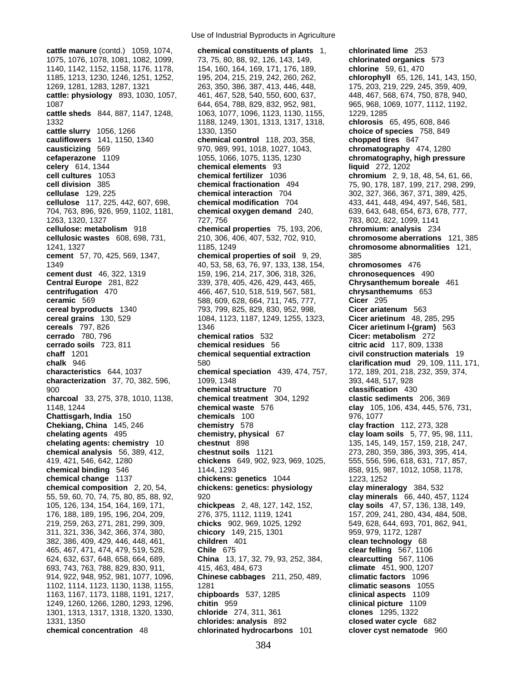**celery** 614, 1344 **chemical elements** 93 693, 743, 763, 788, 829, 830, 911, 415, 463, 484, 673 **climate** 451, 900, 1207 1301, 1313, 1317, 1318, 1320, 1330, **chloride** 274, 311, 361 **clones** 1295, 1322 1331, 1350 **chlorides: analysis** 892 **closed water cycle** 682 **chemical concentration** 48 **chlorinated hydrocarbons** 101

Use of Industrial Byproducts in Agriculture

**cattle manure** (contd.) 1059, 1074, **chemical constituents of plants** 1, **chlorinated lime** 253 1075, 1076, 1078, 1081, 1082, 1099, 73, 75, 80, 88, 92, 126, 143, 149, **chlorinated organics** 573 1140, 1142, 1152, 1158, 1176, 1178, 154, 160, 164, 169, 171, 176, 189, **chlorine** 59, 61, 470 1185, 1213, 1230, 1246, 1251, 1252, 195, 204, 215, 219, 242, 260, 262, **chlorophyll** 65, 126, 141, 143, 150, 1269, 1281, 1283, 1287, 1321 263, 350, 386, 387, 413, 446, 448, 175, 203, 219, 229, 245, 359, 409, **cattle: physiology** 893, 1030, 1057, 461, 467, 528, 540, 550, 600, 637, 448, 467, 568, 674, 750, 878, 940, 1087 644, 654, 788, 829, 832, 952, 981, 965, 968, 1069, 1077, 1112, 1192, **cattle sheds** 844, 887, 1147, 1248, 1063, 1077, 1096, 1123, 1130, 1155, 1229, 1285 1332 1188, 1249, 1301, 1313, 1317, 1318, **chlorosis** 65, 495, 608, 846 **cattle slurry** 1056, 1266 1330, 1330, 1350 1350 1390 **choice of species** 758, 849 **cauliflowers** 141, 1150, 1340 **chemical control** 118, 203, 358, **chopped tires** 847 **causticizing** 569 970, 989, 991, 1018, 1027, 1043, **chromatography** 474, 1280 **cefaperazone** 1109 1055, 1066, 1075, 1135, 1230 **chromatography, high pressure**<br> **celery** 614, 1344 **chemical elements** 93 **chapter in the liquid** 272, 1202 **cell cultures** 1053 **chemical fertilizer** 1036 **chromium** 2, 9, 18, 48, 54, 61, 66, **cell division** 385 **chemical fractionation** 494 75, 90, 178, 187, 199, 217, 298, 299, **cellulase** 129, 225 **chemical interaction** 704 302, 327, 366, 367, 371, 389, 425, **cellulose** 117, 225, 442, 607, 698, **chemical modification** 704 433, 441, 448, 494, 497, 546, 581, 704, 763, 896, 926, 959, 1102, 1181, **chemical oxygen demand** 240, 639, 643, 648, 654, 673, 678, 777, 1263, 1320, 1327 727, 756 783, 802, 822, 1099, 1141 **cellulose: metabolism** 918 **chemical properties** 75, 193, 206, **chromium: analysis** 234 **cellulosic wastes** 608, 698, 731, 210, 306, 406, 407, 532, 702, 910, **chromosome aberrations** 121, 385 1241, 1327 1185, 1249 **chromosome abnormalities** 121, **cement** 57, 70, 425, 569, 1347, **chemical properties of soil** 9, 29, 385 1349 40, 53, 58, 63, 76, 97, 133, 138, 154, **chromosomes** 476 **cement dust** 46, 322, 1319 159, 196, 214, 217, 306, 318, 326, **chronosequences** 490 **Central Europe** 281, 822 339, 378, 405, 426, 429, 443, 465, **Chrysanthemum boreale** 461 **centrifugation** 470 466, 467, 510, 518, 519, 567, 581, **chrysanthemums** 653<br>**ceramic** 569 588, 609, 628, 664, 711, 745, 777, **Cicer** 295 **ceramic** 569 588, 609, 628, 664, 711, 745, 777, **Cicer** 295 **cereal byproducts** 1340 793, 799, 825, 829, 830, 952, 998, **Cicer ariatenum** 563 **cereal grains** 130, 529 1084, 1123, 1187, 1249, 1255, 1323, **Cicer arietinum** 48, 285, 295 **cereals** 797, 826 1346 1346 **Cicer arietinum I-(gram)** 563 **cerrado** 780, 796 **chemical ratios** 532 **Cicer: metabolism** 272 **cerrado soils** 723, 811 **chemical residues** 56 **citric acid** 117, 809, 1338 **chaff** 1201 **chemical sequential extraction civil construction materials** 19 **chalk** 946 580 **clarification mud** 29, 109, 111, 171, **characteristics** 644, 1037 **chemical speciation** 439, 474, 757, 172, 189, 201, 218, 232, 359, 374, **characterization** 37, 70, 382, 596, 1099, 1348 393, 448, 517, 928 900 **chemical structure** 70 **classification** 430 **charcoal** 33, 275, 378, 1010, 1138, **chemical treatment** 304, 1292 **clastic sediments** 206, 369 1148, 1244 **chemical waste** 576 **clay** 105, 106, 434, 445, 576, 731, **Chattisgarh, India** 150 **chemicals** 100 976, 1077 **Chekiang, China** 145, 246 **chemistry** 578 **clay fraction** 112, 273, 328 **chelating agents** 495 **chemistry, physical** 67 **clay loam soils** 5, 77, 95, 98, 111, **chelating agents: chemistry** 10 **chestnut** 898 135, 145, 149, 157, 159, 218, 247, **chemical analysis** 56, 389, 412, **chestnut soils** 1121 273, 280, 359, 386, 393, 395, 414, 419, 421, 546, 642, 1280 **chickens** 649, 902, 923, 969, 1025, 555, 556, 596, 618, 631, 717, 857, **chemical binding** 546 1144, 1293 858, 915, 987, 1012, 1058, 1178, **chemical change** 1137 **chickens: genetics** 1044 1223, 1252 **chemical composition** 2, 20, 54, **chickens: genetics: physiology clay mineralogy** 384, 532 55, 59, 60, 70, 74, 75, 80, 85, 88, 92, 920 **clay minerals** 66, 440, 457, 1124 105, 126, 134, 154, 164, 169, 171, **chickpeas** 2, 48, 127, 142, 152, **clay soils** 47, 57, 136, 138, 149, 176, 188, 189, 195, 196, 204, 209, 276, 375, 1112, 1119, 1241 157, 209, 241, 280, 434, 484, 508, 219, 259, 263, 271, 281, 299, 309, **chicks** 902, 969, 1025, 1292 549, 628, 644, 693, 701, 862, 941, 311, 321, 336, 342, 366, 374, 380, **chicory** 149, 215, 1301 959, 979, 1172, 1287 382, 386, 409, 429, 446, 448, 461, **children** 401 **clean technology** 68 465, 467, 471, 474, 479, 519, 528, **Chile** 675 **clear felling** 567, 1106 624, 632, 637, 648, 658, 664, 689, **China** 13, 17, 32, 79, 93, 252, 384, **clearcutting** 567, 1106 914, 922, 948, 952, 981, 1077, 1096, **Chinese cabbages** 211, 250, 489, **climatic factors** 1096 1102, 1114, 1123, 1130, 1138, 1155, 1281 **climatic seasons** 1055 1163, 1167, 1173, 1188, 1191, 1217, **chipboards** 537, 1285 **clinical aspects** 1109 1249, 1260, 1266, 1280, 1293, 1296, **chitin** 959 **clinical picture** 1109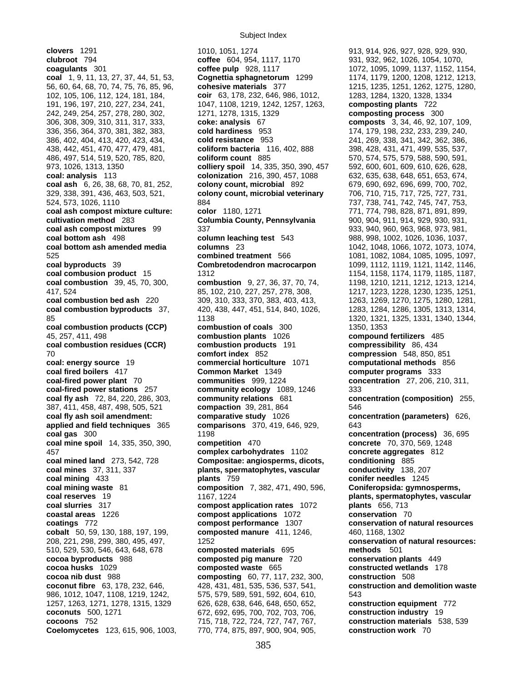**clovers** 1291 1010, 1051, 1274 913, 914, 926, 927, 928, 929, 930, **clubroot** 794 **coffee** 604, 954, 1117, 1170 931, 932, 962, 1026, 1054, 1070, **coagulants** 301 **coffee pulp** 928, 1117 1072, 1095, 1099, 1137, 1152, 1154, **coal** 1, 9, 11, 13, 27, 37, 44, 51, 53, **Cognettia sphagnetorum** 1299 1174, 1179, 1200, 1208, 1212, 1213, 56, 60, 64, 68, 70, 74, 75, 76, 85, 96, **cohesive materials** 377 1215, 1235, 1251, 1262, 1275, 1280, 102, 105, 106, 112, 124, 181, 184, **coir** 63, 178, 232, 646, 986, 1012, 1283, 1284, 1320, 1328, 1334 191, 196, 197, 210, 227, 234, 241, 1047, 1108, 1219, 1242, 1257, 1263, **composting plants** 722 242, 249, 254, 257, 278, 280, 302, 1271, 1278, 1315, 1329 **composting process** 300 306, 308, 309, 310, 311, 317, 333, **coke: analysis** 67 **composts** 3, 34, 46, 92, 107, 109, 336, 356, 364, 370, 381, 382, 383, **cold hardiness** 953 174, 179, 198, 232, 233, 239, 240, 386, 402, 404, 413, 420, 423, 434, **cold resistance** 953 241, 269, 338, 341, 342, 362, 386, 438, 442, 451, 470, 477, 479, 481, **coliform bacteria** 116, 402, 888 398, 428, 431, 471, 499, 535, 537, 486, 497, 514, 519, 520, 785, 820, **coliform count** 885 570, 574, 575, 579, 588, 590, 591, 973, 1026, 1313, 1350 **colliery spoil** 14, 335, 350, 390, 457 592, 600, 601, 609, 610, 626, 628, **coal: analysis** 113 **colonization** 216, 390, 457, 1088 632, 635, 638, 648, 651, 653, 674, **coal ash** 6, 26, 38, 68, 70, 81, 252, **colony count, microbial** 892 329, 338, 391, 436, 463, 503, 521, **colony count, microbial veterinary** 706, 710, 715, 717, 725, 727, 731, 524, 573, 1026, 1110 884 737, 738, 741, 742, 745, 747, 753, **coal ash compost mixture culture: color** 1180, 1271 771, 774, 798, 828, 871, 891, 899, **cultivation method** 283 **Columbia County, Pennsylvania** 900, 904, 911, 914, 929, 930, 931, **coal ash compost mixtures** 99 337 933, 940, 960, 963, 968, 973, 981, **coal bottom ash** 498 **column leaching test** 543 988, 998, 1002, 1026, 1036, 1037, **coal bottom ash amended media columns** 23 1042, 1048, 1066, 1072, 1073, 1074, 525 **combined treatment** 566 1081, 1082, 1084, 1085, 1095, 1097, **coal byproducts** 39 **Combretodendron macrocarpon** 1099, 1112, 1119, 1121, 1142, 1146, **coal combusion product** 15 1312 1154, 1158, 1174, 1179, 1185, 1187, **coal combustion** 39, 45, 70, 300, **combustion** 9, 27, 36, 37, 70, 74, 1198, 1210, 1211, 1212, 1213, 1214, 417, 524 85, 102, 210, 227, 257, 278, 308, 1217, 1223, 1228, 1230, 1235, 1251, **coal combustion bed ash** 220 309, 310, 333, 370, 383, 403, 413, 1263, 1269, 1270, 1275, 1280, 1281, **coal combustion byproducts** 37, 420, 438, 447, 451, 514, 840, 1026, 1283, 1284, 1286, 1305, 1313, 1314, 85 1138 1320, 1321, 1325, 1331, 1340, 1344, **coal combustion products (CCP) combustion of coals** 300 1350, 1353 45, 257, 411, 498 **combustion plants** 1026 **compound fertilizers** 485 **coal combustion residues (CCR) combustion products** 191 **compressibility** 86, 434 70 **comfort index** 852 **compression** 548, 850, 851 **coal: energy source** 19 **commercial horticulture** 1071 **computational methods** 856 **coal fired boilers** 417 **Common Market** 1349 **computer programs** 333 **coal-fired power plant** 70 **communities** 999, 1224 **concentration** 27, 206, 210, 311, **coal-fired power stations** 257 **community ecology** 1089, 1246 333 **coal fly ash** 72, 84, 220, 286, 303, **community relations** 681 **concentration (composition)** 255, 387, 411, 458, 487, 498, 505, 521 **compaction** 39, 281, 864 546 **coal fly ash soil amendment: comparative study** 1026 **concentration (parameters)** 626, **applied and field techniques** 365 **comparisons** 370, 419, 646, 929, 643 **coal gas** 300 1198 **concentration (process)** 36, 695 **coal mine spoil** 14, 335, 350, 390, **competition** 470 **concrete** 70, 370, 569, 1248 457 **complex carbohydrates** 1102 **concrete aggregates** 812 **coal mined land** 273, 542, 728 **Compositae: angiosperms, dicots, conditioning** 885 **coal mines** 37, 311, 337 **plants, spermatophytes, vascular conductivity** 138, 207 **coal mining** 433 **plants** 759 **conifer needles** 1245 **coal mining waste** 81 **composition** 7, 382, 471, 490, 596, **Coniferopsida: gymnosperms, coal reserves** 19 1167, 1224 **plants, spermatophytes, vascular coal slurries** 317 **compost application rates** 1072 **plants** 656, 713 **coastal areas** 1226 **compost applications** 1072 **conservation** 70 **coatings** 772 **compost performance** 1307 **conservation of natural resources cobalt** 50, 59, 130, 188, 197, 199, **composted manure** 411, 1246, 460, 1168, 1302 208, 221, 298, 299, 380, 495, 497, 1252 **conservation of natural resources:**  510, 529, 530, 546, 643, 648, 678 **composted materials** 695 **methods** 501 **cocoa byproducts** 988 **composted pig manure** 720 **conservation plants** 449 **cocoa husks** 1029 **composted waste** 665 **constructed wetlands** 178 **cocoa nib dust** 988 **composting** 60, 77, 117, 232, 300, **construction** 508 **coconut fibre** 63, 178, 232, 646, 428, 431, 481, 535, 536, 537, 541, **construction and demolition waste** 986, 1012, 1047, 1108, 1219, 1242, 575, 579, 589, 591, 592, 604, 610, 543 1257, 1263, 1271, 1278, 1315, 1329 626, 628, 638, 646, 648, 650, 652, **construction equipment** 772 **coconuts** 500, 1271 672, 692, 695, 700, 702, 703, 706, **construction industry** 19 **Coelomycetes** 123, 615, 906, 1003, 770, 774, 875, 897, 900, 904, 905, **construction work** 70

**cocoons** 752 715, 718, 722, 724, 727, 747, 767, **construction materials** 538, 539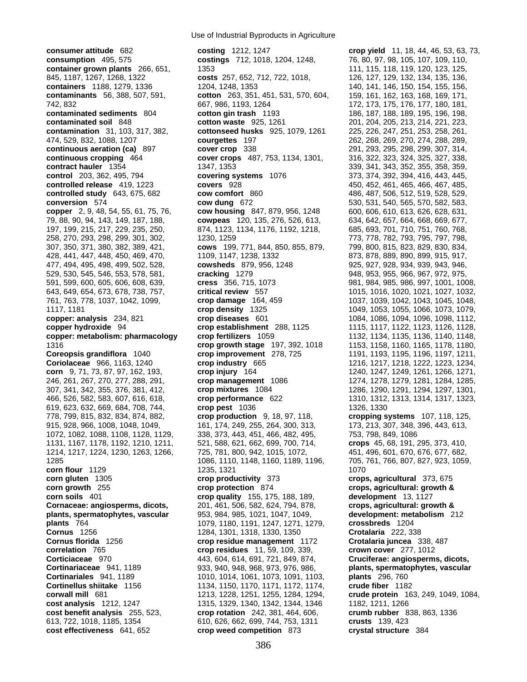**consumer attitude** 682 **costing** 1212, 1247 **crop yield** 11, 18, 44, 46, 53, 63, 73, **consumption** 495, 575 **costings** 712, 1018, 1204, 1248, 76, 80, 97, 98, 105, 107, 109, 110, **container grown plants** 266, 651, 1353 111, 115, 118, 118, 119, 120, 123, 125, 845, 1187, 1267, 1268, 1322 **costs** 257, 652, 712, 722, 1018, 126, 127, 129, 132, 134, 135, 136, **containers** 1188, 1279, 1336 1204, 1248, 1353 140, 141, 146, 150, 154, 155, 156, 156, 159, 161, 162, 163, 168, 169, 171, contaminants 56, 388, 507, 591, contaminants 56, 388, 507, 591, contaminants 56, 388, 507, 591, **contaminants** 56, 388, 507, 591, **cotton** 263, 351, 451, 531, 570, 604, 742, 832 667, 986, 1193, 1264 172, 173, 175, 176, 177, 180, 181, **contaminated sediments** 804 **cotton gin trash** 1193 186, 187, 188, 189, 195, 196, 198, 198, **contaminated soil** 848 **cotton waste** 925, 1261 201, 204, 205, 213, 214, 221, 223, **contamination** 31, 103, 317, 382, **cottonseed husks** 925, 1079, 1261 225, 226, 247, 251, 253, 258, 261, 474, 529, 832, 1088, 1207 **courgettes** 197 262, 268, 269, 270, 274, 288, 289, **continuous aeration (ca)** 897 **cover crop** 338 291, 293, 295, 298, 299, 307, 314, **continuous cropping** 464 **cover crops** 487, 753, 1134, 1301, 316, 322, 323, 324, 325, 327, 338, **contract hauler** 1354 1347, 1353 339, 341, 343, 352, 355, 358, 359, **control** 203, 362, 495, 794 **covering systems** 1076 373, 374, 392, 394, 416, 443, 445, **controlled release** 419, 1223 **covers** 928 450, 452, 461, 465, 466, 467, 485, **controlled study** 643, 675, 682 **cow comfort** 860 486, 487, 506, 512, 519, 528, 529, **conversion** 574 **cow dung** 672 530, 531, 540, 565, 570, 582, 583, **copper** 2, 9, 48, 54, 55, 61, 75, 76, **cow housing** 847, 879, 956, 1248 600, 606, 610, 613, 626, 628, 631, 79, 88, 90, 94, 143, 149, 187, 188, **cowpeas** 120, 135, 276, 526, 613, 634, 642, 657, 664, 668, 669, 677, 197, 199, 215, 217, 229, 235, 250, 874, 1123, 1134, 1176, 1192, 1218, 685, 693, 701, 710, 751, 760, 768, 258, 270, 293, 298, 299, 301, 302, 1230, 1259 773, 778, 782, 793, 795, 797, 798, 307, 350, 371, 380, 382, 389, 421, **cows** 199, 771, 844, 850, 855, 879, 799, 800, 815, 823, 829, 830, 834, 428, 441, 447, 448, 450, 469, 470, 1109, 1147, 1238, 1332 873, 878, 889, 890, 899, 915, 917, 477, 494, 495, 498, 499, 502, 528, **cowsheds** 879, 956, 1248 925, 927, 928, 934, 939, 943, 946, 529, 530, 545, 546, 553, 578, 581, **cracking** 1279 948, 953, 955, 966, 967, 972, 975, 591, 599, 600, 605, 606, 608, 639, **cress** 356, 715, 1073 981, 984, 985, 986, 997, 1001, 1008, 643, 649, 654, 673, 678, 738, 757, **critical review** 557 1015, 1016, 1020, 1021, 1027, 1032, 761, 763, 778, 1037, 1042, 1099, **crop damage** 164, 459 1037, 1039, 1042, 1043, 1045, 1048, 1117, 1181 **crop density** 1325 1049, 1053, 1055, 1066, 1073, 1079, **copper: analysis** 234, 821 **crop diseases** 601 1084, 1086, 1094, 1096, 1098, 1112, **copper hydroxide** 94 **crop establishment** 288, 1125 1115, 1117, 1122, 1123, 1126, 1128, **copper: metabolism: pharmacology crop fertilizers** 1059 1132, 1134, 1135, 1136, 1140, 1148, 1316 **crop growth stage** 197, 392, 1018 1153, 1158, 1160, 1165, 1178, 1180, **crop improvement** 278, 725 1191, 1193, 1195, 1196, 1197, 1211, **Coriolaceae** 966, 1163, 1240 **crop industry** 665 1216, 1217, 1218, 1222, 1223, 1234, **corn** 9, 71, 73, 87, 97, 162, 193, **crop injury** 164 1240, 1247, 1249, 1261, 1266, 1271, 246, 261, 267, 270, 277, 288, 291, **crop management** 1086 1274, 1278, 1279, 1281, 1284, 1285, 307, 341, 342, 355, 376, 381, 412, **crop mixtures** 1084 1286, 1290, 1291, 1294, 1297, 1301, 466, 526, 582, 583, 607, 616, 618, **crop performance** 622 1310, 1312, 1313, 1314, 1317, 1323, 619, 623, 632, 669, 684, 708, 744, **crop pest** 1036 1326, 1330 778, 799, 815, 832, 834, 874, 882, **crop production** 9, 18, 97, 118, **cropping systems** 107, 118, 125, 915, 928, 966, 1008, 1048, 1049, 1049, 161, 174, 249, 255, 264, 300, 313, 173, 213, 307, 348, 396, 443, 613, 1072, 1082, 1088, 1108, 1128, 1129, 338, 373, 443, 451, 466, 482, 495, 753, 798, 849, 1086 1131, 1167, 1178, 1192, 1210, 1211, 521, 588, 621, 662, 699, 700, 714, **crops** 45, 68, 191, 295, 373, 410, 1214, 1217, 1224, 1230, 1263, 1266, 725, 781, 800, 942, 1015, 1072, 451, 496, 601, 670, 676, 677, 682, 1285 1086, 1110, 1148, 1160, 1189, 1196, 705, 761, 766, 807, 827, 923, 1059, **corn flour** 1129 **1235, 1321** 1070 **corn gluten** 1305 **crop productivity** 373 **crops, agricultural** 373, 675 **corn growth** 255 **crop protection** 874 **crops, agricultural: growth & corn soils** 401 **crop quality** 155, 175, 188, 189, **development** 13, 1127 **Cornaceae: angiosperms, dicots,** 201, 461, 506, 582, 624, 794, 878, **crops, agricultural: growth & plants, spermatophytes, vascular** 953, 984, 985, 1021, 1047, 1049, **development: metabolism** 212 **plants** 764 1079, 1180, 1191, 1247, 1271, 1279, **crossbreds** 1204 **Cornus** 1256 1284, 1301, 1318, 1330, 1350 **Crotalaria** 222, 338 **Cornus florida** 1256 **crop residue management** 1172 **Crotalaria juncea** 338, 487 **correlation** 765 **crop residues** 11, 59, 109, 339, **crown cover** 277, 1012 **Corticiaceae** 970 443, 604, 614, 691, 721, 849, 874, **Cruciferae: angiosperms, dicots, Cortinariaceae** 941, 1189 933, 940, 948, 968, 973, 976, 986, **plants, spermatophytes, vascular Cortinariales** 941, 1189 1010, 1014, 1061, 1073, 1091, 1103, **plants** 296, 760 **Cortinellus shiitake** 1156 1134, 1150, 1170, 1171, 1172, 1174, **crude fiber** 1182 **corwall mill** 681 1213, 1228, 1251, 1255, 1284, 1294, **crude protein** 163, 249, 1049, 1084, **cost analysis** 1212, 1247 1315, 1329, 1340, 1342, 1344, 1346 1182, 1211, 1266 **cost benefit analysis** 255, 523, **crop rotation** 242, 381, 464, 606, **crumb rubber** 838, 863, 1336 613, 722, 1018, 1185, 1354 610, 626, 662, 699, 744, 753, 1311 **crusts** 139, 423 **cost effectiveness** 641, 652 **crop weed competition** 873 **crystal structure** 384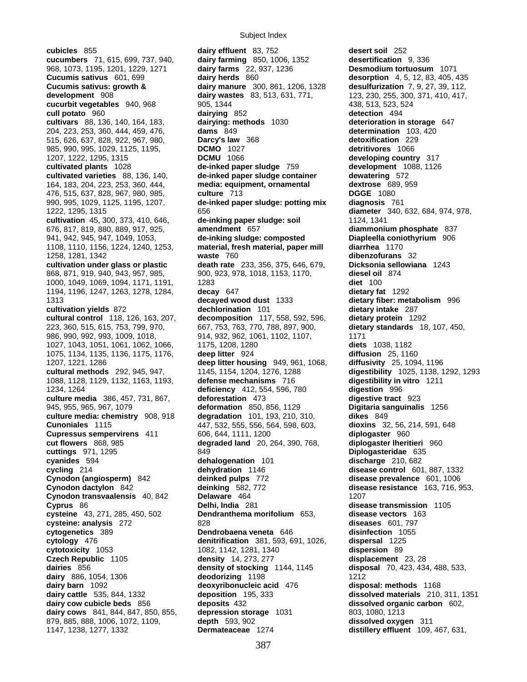**cubicles** 855 **dairy effluent** 83, 752 **desert soil** 252 968, 1073, 1195, 1201, 1229, 1271 **dairy farms** 22, 937, 1236 515, 626, 637, 828, 922, 967, 980, **Darcy's law** 368<br>985, 990, 995, 1029, 1125, 1195, **DCMO** 1027 1027, 1043, 1051, 1061, 1062, 1066, 1175, 1208, 1280 1088, 1128, 1129, 1132, 1163, 1193, **defense mechanisms** 716 **digestibility in vitro** 1211 **Cynodon transvaalensis** 40, 842 **Delaware** 464 879, 885, 888, 1006, 1072, 1109, **depth** 593, 902

**cucumbers** 71, 615, 699, 737, 940, **dairy farming** 850, 1006, 1352 **desertification** 9, 336 **Cucumis sativus** 601, 699 **dairy herds** 860 **desorption** 4, 5, 12, 83, 405, 435 **Cucumis sativus: growth & dairy manure** 300, 861, 1206, 1328 **desulfurization** 7, 9, 27, 39, 112, **development** 908 **dairy wastes** 83, 513, 631, 771, 123, 230, 255, 300, 371, 410, 417, **cucurbit vegetables** 940, 968 905, 1344 438, 513, 523, 524 **cull potato** 960 **dairying** 852 **detection** 494 **cultivars** 88, 136, 140, 164, 183, **dairying: methods** 1030 **deterioration in storage** 647 204, 223, 253, 360, 444, 459, 476, **dams** 849 **determination** 103, 420 985, 990, 995, 1029, 1125, 1195, **DCMO** 1027 **detritivores** 1066 1207, 1222, 1295, 1315 **DCMU** 1066 **developing country** 317 **cultivated plants** 1028 **de-inked paper sludge** 759 **development** 1088, 1126 **cultivated varieties** 88, 136, 140, **de-inked paper sludge container dewatering** 572 164, 183, 204, 223, 253, 360, 444, **media: equipment, ornamental dextrose** 689, 959 476, 515, 637, 828, 967, 980, 985, **culture** 713 **DGGE** 1080 990, 995, 1029, 1125, 1195, 1207, **de-inked paper sludge: potting mix diagnosis** 761 1222, 1295, 1315 656 **diameter** 340, 632, 684, 974, 978, **cultivation** 45, 300, 373, 410, 646, **de-inking paper sludge: soil** 1124, 1341 676, 817, 819, 880, 889, 917, 925, **amendment** 657 **diammonium phosphate** 837 941, 942, 945, 947, 1049, 1053, **de-inking sludge: composted Diapleella coniothyrium** 906 1108, 1110, 1156, 1224, 1240, 1253, **material, fresh material, paper mill diarrhea** 1170 1258, 1281, 1342 **waste** 760 **dibenzofurans** 32 **cultivation under glass or plastic death rate** 233, 356, 375, 646, 679, **Dicksonia sellowiana** 1243 868, 871, 919, 940, 943, 957, 985, 900, 923, 978, 1018, 1153, 1170, **diesel oil** 874 1000, 1049, 1069, 1094, 1171, 1191, 1283 **diet** 100 1194, 1196, 1247, 1263, 1278, 1284, **decay** 647 **dietary fat** 1292 1313 **decayed wood dust** 1333 **dietary fiber: metabolism** 996 **cultivation yields** 872 **dechlorination** 101 **dietary intake** 287 **cultural control** 118, 126, 163, 207, **decomposition** 117, 558, 592, 596, **dietary protein** 1292 223, 360, 515, 615, 753, 799, 970, 667, 753, 763, 770, 788, 897, 900, **dietary standards** 18, 107, 450, 986, 990, 992, 993, 1009, 1018, 914, 932, 962, 1061, 1102, 1107, 1171<br>1027. 1043. 1051. 1061. 1062. 1066. 1175, 1208, 1280 1075, 1134, 1135, 1136, 1175, 1176, **deep litter** 924 **diffusion** 25, 1160 **1207, 1221, 1286 <b>deep litter housing** 949, 961, 1068, **cultural methods** 292, 945, 947, 1145, 1154, 1204, 1276, 1288 **digestibility** 1025, 1138, 1292, 1293 1234, 1264 **deficiency** 412, 554, 596, 780 **digestion** 996 **culture media** 386, 457, 731, 867, **deforestation** 473 **digestive tract** 923 945, 955, 965, 967, 1079 **deformation** 850, 856, 1129 **Digitaria sanguinalis** 1256 **culture media: chemistry** 908, 918 **degradation** 101, 193, 210, 310, **dikes** 849 **Cunoniales** 1115 447, 532, 555, 556, 564, 598, 603, **dioxins** 32, 56, 214, 591, 648 **Cupressus sempervirens** 411 606, 644, 1111, 1200 **diplogaster** 960 **cut flowers** 868, 985 **degraded land** 20, 264, 390, 768, **diplogaster lheritieri** 960 **cuttings** 971, 1295 849 **Diplogasteridae** 635 **cyanides** 594 **dehalogenation** 101 **discharge** 210, 682 **cycling** 214 **dehydration** 1146 **disease control** 601, 887, 1332 **Cynodon (angiosperm)** 842 **deinked pulps** 772 **disease prevalence** 601, 1006 **Cynodon dactylon** 842 **deinking** 582, 772 **disease resistance** 163, 716, 953, **Cyprus** 86 **Delhi, India** 281 **disease transmission** 1105 **cysteine** 43, 271, 285, 450, 502 **Dendranthema morifolium** 653, **disease vectors** 163 **cysteine: analysis** 272 828 **diseases** 601, 797 **cytogenetics** 389 **diseases** 601, 797 **Dendrobaena veneta** 646 **disinfection** 1055 **cytology** 476 **denitrification** 381, 593, 691, 1026, **dispersal** 1225 **cytotoxicity** 1053 1082, 1142, 1281, 1340 **dispersion** 89 **Czech Republic** 1105 **density** 14, 273, 277 **displacement** 23, 28 **dairies** 856 **density of stocking** 1144, 1145 **disposal** 70, 423, 434, 488, 533, **dairy** 886, 1054, 1306 **deodorizing** 1198 1212 **dairy barn** 1092 **deoxyribonucleic acid** 476 **disposal: methods** 1168 **dairy cattle** 535, 844, 1332 **deposition** 195, 333 **dissolved materials** 210, 311, 1351 **dairy cow cubicle beds** 856 **deposits** 432 **dissolved organic carbon** 602, **dairy cows** 841, 844, 847, 850, 855, **depression storage** 1031 803, 1080, 1213<br>879, 885, 888, 1006, 1072, 1109, **depth** 593, 902 **deman all dissolved oxygen** 311

1147, 1238, 1277, 1332 **Dermateaceae** 1274 **distillery effluent** 109, 467, 631,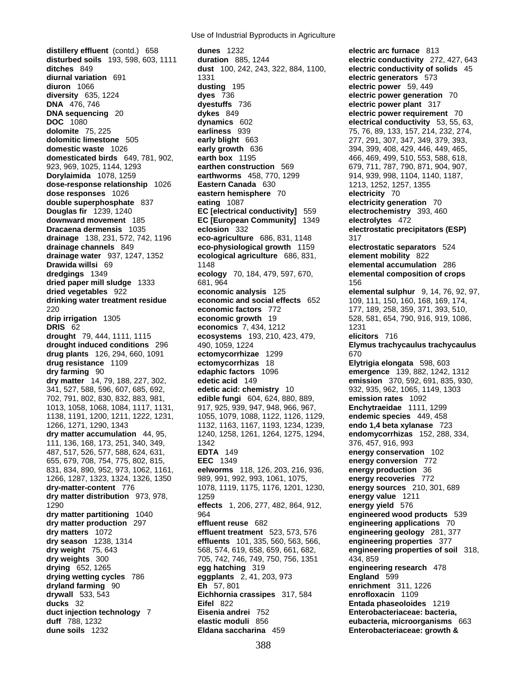**distillery effluent** (contd.) 658 **dunes** 1232 **electric arc furnace** 813 **disturbed soils** 193, 598, 603, 1111 **duration** 885, 1244 **electric conductivity** 272, 427, 643 **ditches** 849 **dust** 100, 242, 243, 322, 884, 1100, **electric conductivity of solids** 45 **diurnal variation** 691 1331 **electric generators** 573 **diuron** 1066 **dusting** 195 **electric power** 59, 449 **diversity** 635, 1224 **dyes** 736 **electric power generation** 70 **DNA** 476, 746 **dyestuffs** 736 **electric power plant** 317 **DNA sequencing** 20 **dykes** 849 **electric power requirement** 70 **DOC** 1080 **dynamics** 602 **electrical conductivity** 53, 55, 63, **dolomite** 75, 225 **earliness** 939 75, 76, 89, 133, 157, 214, 232, 274, **dolomitic limestone** 505 **early blight** 663 277, 291, 307, 347, 349, 379, 393, **domestic waste** 1026 **early growth** 636 394, 399, 408, 429, 446, 449, 465, **domesticated birds** 649, 781, 902, **earth box** 1195 466, 469, 499, 510, 553, 588, 618, 923, 969, 1025, 1144, 1293 **earthen construction** 569 679, 711, 787, 790, 871, 904, 907, **Dorylaimida** 1078, 1259 **earthworms** 458, 770, 1299 914, 939, 998, 1104, 1140, 1187, **dose-response relationship** 1026 **Eastern Canada** 630 1213, 1252, 1257, 1355 **dose responses** 1026 **eastern hemisphere** 70 **electricity** 70 **double superphosphate** 837 **eating** 1087 **electricity generation** 70 **Douglas fir** 1239, 1240 **EC [electrical conductivity]** 559 **electrochemistry** 393, 460 **downward movement** 185 **EC [European Community]** 1349 **electrolytes** 472 **Dracaena dermensis** 1035 **eclosion** 332 **electrostatic precipitators (ESP) drainage** 138, 231, 572, 742, 1196 **eco-agriculture** 686, 831, 1148 317 **drainage channels** 849 **eco-physiological growth** 1159 **electrostatic separators** 524 **drainage water** 937, 1247, 1352 **ecological agriculture** 686, 831, **element mobility** 822 **Drawida willsi** 69 1148 **elemental accumulation** 286 **dredgings** 1349 **elemental accumulation** 286 **dredgings** 1349 **elemental composition of cro dried paper mill sludge** 1333 681, 964 156 **dried vegetables** 922 **economic analysis** 125 **elemental sulphur** 9, 14, 76, 92, 97, **drinking water treatment residue economic and social effects** 652 109, 111, 150, 160, 168, 169, 174, 220 **economic factors** 772 177, 189, 258, 359, 371, 393, 510, **drip irrigation** 1305 **economic growth** 19 528, 581, 654, 790, 916, 919, 1086, **DRIS** 62 **economics** 7, 434, 1212 1231 **drought** 79, 444, 1111, 1115 **ecosystems** 193, 210, 423, 479, **elicitors** 716 **drought induced conditions** 296 490, 1059, 1224 **Elymus trachycaulus trachycaulus drug plants** 126, 294, 660, 1091 **ectomycorrhizae** 1299 670 **drug resistance** 1109 **ectomycorrhizas** 18 **Elytrigia elongata** 598, 603 **dry farming** 90 **edaphic factors** 1096 **emergence** 139, 882, 1242, 1312 **dry matter** 14, 79, 188, 227, 302, **edetic acid** 149 **emission** 370, 592, 691, 835, 930, 341, 527, 588, 596, 607, 685, 692, **edetic acid: chemistry** 10 932, 935, 962, 1065, 1149, 1303 702, 791, 802, 830, 832, 883, 981, **edible fungi** 604, 624, 880, 889, **emission rates** 1092 1013, 1058, 1068, 1084, 1117, 1131, 917, 925, 939, 947, 948, 966, 967, **Enchytraeidae** 1111, 1299 1138, 1191, 1200, 1211, 1222, 1231, 1055, 1079, 1088, 1122, 1126, 1129, **endemic species** 449, 458 1266, 1271, 1290, 1343 1132, 1163, 1167, 1193, 1234, 1239, **endo 1,4 beta xylanase** 723 **dry matter accumulation** 44, 95, 1240, 1258, 1261, 1264, 1275, 1294, **endomycorrhizas** 152, 288, 334, 111, 136, 168, 173, 251, 340, 349, 1342 376, 457, 916, 993 487, 517, 526, 577, 588, 624, 631, **EDTA** 149 **energy conservation** 102 655, 679, 708, 754, 775, 802, 815, **EEC** 1349 **energy conversion** 772 831, 834, 890, 952, 973, 1062, 1161, **eelworms** 118, 126, 203, 216, 936, **energy production** 36 1266, 1287, 1323, 1324, 1326, 1350 989, 991, 992, 993, 1061, 1075, **energy recoveries** 772 **dry-matter-content** 776 1078, 1119, 1175, 1176, 1201, 1230, **energy sources** 210, 301, 689 **dry matter distribution** 973, 978, 1259 **energy value** 1211 1290 **effects** 1, 206, 277, 482, 864, 912, **energy yield** 576 **dry matter production** 297 **effluent reuse** 682 **engineering applications** 70 **dry matters** 1072 **effluent treatment** 523, 573, 576 **engineering geology** 281, 377 **dry season** 1238, 1314 **effluents** 101, 335, 560, 563, 566, **dry weight** 75, 643 568, 574, 619, 658, 659, 661, 682, **engineering properties of soil** 318, **dry weights** 300 705, 742, 746, 749, 750, 756, 1351 434, 859 **drying** 652, 1265 **egg hatching** 319 **engineering research** 478 **drying wetting cycles** 786 **eggplants** 2, 41, 203, 973 **England** 599 **dryland farming** 90 **Eh** 57, 801 **enrichment** 311, 1226 **drywall** 533, 543 **Eichhornia crassipes** 317, 584 **enrofloxacin** 1109 **ducks** 32 **Eifel** 822 **Entada phaseoloides** 1219 **duct injection technology** 7 **Eisenia andrei** 752 **Enterobacteriaceae: bacteria, duff** 788, 1232 **elastic moduli** 856 **eubacteria, microorganisms** 663

**ecology** 70, 184, 479, 597, 670, **elemental composition of crops dry matter partitioning** 1040 964 **engineered wood products** 539 **dune soils** 1232 **Eldana saccharina** 459 **Enterobacteriaceae: growth &**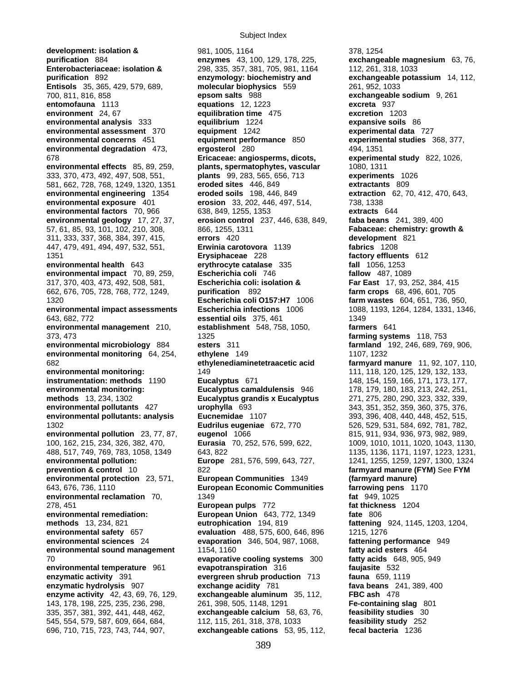Subject Index

**development: isolation & 378, 1254**<br> **enzymes** 43, 100, 129, 178, 225, **exchange**<br> **exchange Enterobacteriaceae: isolation &** 298, 335, 357, 381, 705, 981, 1164 112, 261, 318, 1033 **purification** 892 **enzymology: biochemistry and exchangeable potassium** 14, 112, **Entisols** 35, 365, 429, 579, 689, **molecular biophysics** 559 261, 952, 1033 700, 811, 816, 858 **epsom salts** 988 **exchangeable sodium** 9, 261 **entomofauna** 1113 **equations** 12, 1223 **excreta** 937<br> **excretion** 1:<br> **equilibration time** 475 **excretion** 1: **environmental analysis** 333 **equilibrium** 1224 **expansive soils** 86 **environmental assessment** 370 **equipment** 1242 **experimental data** 727 **environmental concerns** 451 **equipment performance** 850 **experimental studies** 368, 377, **environmental degradation** 473, **ergosterol** 280 **1996** 494, 1351 678 **Ericaceae: angiosperms, dicots, experimental study** 822, 1026, **environmental effects** 85, 89, 259, **plants, spermatophytes, vascular** 1080, 1311 333, 370, 473, 492, 497, 508, 551, **plants** 99, 283, 565, 656, 713 **experiments** 1026 581, 662, 728, 768, 1249, 1320, 1351 **eroded sites** 446, 849 **extractants** 809 **environmental engineering** 1354 **eroded soils** 198, 446, 849 **extraction** 62, 70, 412, 470, 643, **environmental exposure** 401 **erosion** 33, 202, 446, 497, 514, 738, 1338 **environmental factors** 70, 966 638, 849, 1255, 1353 **extracts** 644 **environmental geology** 17, 27, 37, **erosion control** 237, 446, 638, 849, **faba beans** 241, 389, 400 57, 61, 85, 93, 101, 102, 210, 308, 866, 1255, 1311 **Fabaceae: chemistry: growth &**  311, 333, 337, 368, 384, 397, 415, **errors** 420 **development** 821 447, 479, 491, 494, 497, 532, 551, **Erwinia carotovora** 1139 **fabrics** 1208 1351 **Erysiphaceae** 228 **factory effluents** 612 **environmental health** 643 **erythrocyte catalase** 335 **environmental impact** 70, 89, 259, **Escherichia coli** 746 **fallow** 487, 1089 **fallow** 487, 1089 **fallow** 487, 1089 **fallow** 487, 1089 317, 370, 403, 473, 492, 508, 581, **Escherichia coli: isolation & Far East** 17, 93, 252, 384, 415 662, 676, 705, 728, 768, 772, 1249, **purification** 892 **farm crops** 68, 496, 601, 705 1320 **Escherichia coli O157:H7** 1006 **farm wastes** 604, 651, 736, 950, **environmental impact assessments Escherichia infections** 1006 1088, 1193, 1264, 1284, 1331, 1346, 643, 682, 772 **essential oils** 375, 461 1349 **environmental management** 210, **establishment** 548, 758, 1050, **farmers** 641 373, 473 1325 **farming systems** 118, 753 **environmental microbiology** 884 **esters** 311 **farmland** 192, 246, 689, 769, 906, **environmental monitoring** 64, 254, **ethylene** 149 1107, 1232 682 **ethylenediaminetetraacetic acid farmyard manure** 11, 92, 107, 110, **environmental monitoring:** 149 111, 118, 120, 125, 129, 132, 133, **instrumentation: methods** 1190 **Eucalyptus** 671 148, 154, 159, 166, 171, 173, 177, **environmental monitoring: Eucalyptus camaldulensis** 946 178, 179, 180, 183, 213, 242, 251, **methods** 13, 234, 1302 **Eucalyptus grandis x Eucalyptus** 271, 275, 280, 290, 323, 332, 339, **environmental pollutants** 427 **urophylla** 693 343, 351, 352, 359, 360, 375, 376, **environmental pollutants: analysis Eucnemidae** 1107 393, 396, 408, 440, 448, 452, 515, 1302 **Eudrilus eugeniae** 672, 770 526, 529, 531, 584, 692, 781, 782, **environmental pollution** 23, 77, 87, **eugenol** 1066 815, 911, 934, 936, 973, 982, 989, 100, 162, 215, 234, 326, 382, 470, **Eurasia** 70, 252, 576, 599, 622, 1009, 1010, 1011, 1020, 1043, 1130, 488, 517, 749, 769, 783, 1058, 1349 643, 822 1135, 1136, 1171, 1197, 1223, 1231, **environmental pollution: Europe** 281, 576, 599, 643, 727, 1241, 1255, 1259, 1297, 1300, 1324 **prevention & control** 10 822 **farmyard manure (FYM)** See **FYM environmental protection** 23, 571, **European Communities** 1349 **(farmyard manure)** 643, 676, 736, 1110 **European Economic Communities farrowing pens** 1170 **environmental reclamation** 70, 1349 **fat** 949, 1025 **fat** 949, 1025 **fat** 949, 1025 **fat** thickness 1204 **278, 451 <b>European pulps** 772 **environmental remediation: European Union** 643, 772, 1349 **fate** 806 **methods** 13, 234, 821 **eutrophication** 194, 819 **fattening** 924, 1145, 1203, 1204, **environmental safety** 657 **evaluation** 488, 575, 600, 646, 896 1215, 1276 **environmental sciences** 24 **evaporation** 346, 504, 987, 1068, **fattening performance** 949 **environmental sound management** 1154, 1160 **fatty acid esters** 464 70 **evaporative cooling systems** 300 **fatty acids** 648, 905, 949 **environmental temperature** 961 **evapotranspiration** 316 **faujasite** 532 **enzymatic activity** 391 **evergreen shrub production** 713 **fauna** 659, 1119 **enzymatic hydrolysis** 907 **exchange acidity** 781 **fava beans** 241, 389, 400 **enzyme activity** 42, 43, 69, 76, 129, **exchangeable aluminum** 35, 112, **FBC ash** 478 143, 178, 198, 225, 235, 236, 298, 261, 398, 505, 1148, 1291 **Fe-containing slag** 801 335, 357, 381, 392, 441, 448, 462, **exchangeable calcium** 58, 63, 76, **feasibility studies** 30 545, 554, 579, 587, 609, 664, 684, 112, 115, 261, 318, 378, 1033 **feasibility study** 252

**purification** 884 **enzymes** 43, 100, 129, 178, 225, **exchangeable magnesium** 63, 76, **equilibration time** 475 **excretion** 1203 696, 710, 715, 723, 743, 744, 907, **exchangeable cations** 53, 95, 112, **fecal bacteria** 1236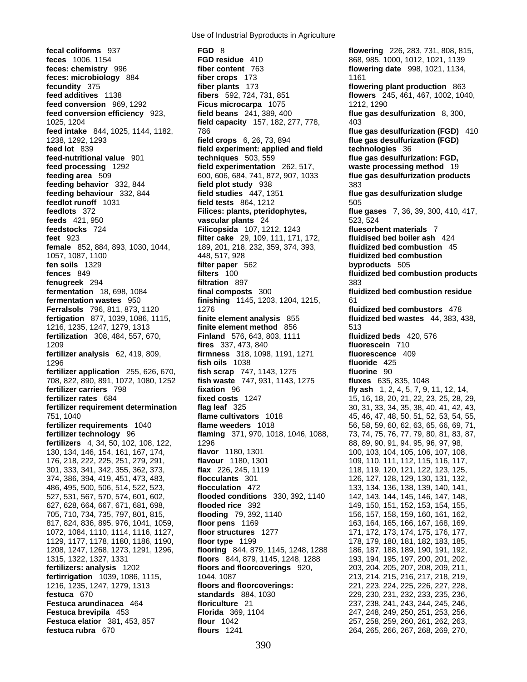**fical coliforms** 937 **FGD** 8 **FGD** 8 **flowering** 226, 283, 731, 808, 815, **flowering** 226, 283, 731, 808, 815, **flowering** 226, 283, 731, 808, 815, **feces: chemistry** 996 **fiber content** 763 **flowering date** 998, 1021, 1134, **feces: microbiology** 884 **fiber crops** 173 1161 **fecundity** 375 **fiber plants** 173 **flowering plant production** 863 **feed additives** 1138 **fibers** 592, 724, 731, 851 **flowers** 245, 461, 467, 1002, 1040, **feed conversion** 969, 1292 **Ficus microcarpa** 1075 1212, 1290 **feed conversion efficiency** 923, **field beans** 241, 389, 400 **flue gas desulfurization** 8, 300, 1025, 1204 **field capacity** 157, 182, 277, 778, 403 **feed intake** 844, 1025, 1144, 1182, 786 **flue gas desulfurization (FGD)** 410 1238, 1292, 1293 **field crops** 6, 26, 73, 894 **flue gas desulfurization (FGD) feed lot** 839 **field experiment: applied and field technologies** 36<br>**feed-nutritional value** 901 **fechniques** 503, 559 **fille gas desulfuri feed processing** 1292 **field experimentation** 262, 517, **waste processing method** 19 **feeding area** 509 600, 606, 684, 741, 872, 907, 1033 **flue gas desulfurization products feeding behavior** 332, 844 **field plot study** 938 383 **feeding behaviour** 332, 844 **field studies** 447, 1351 **flue gas desulfurization sludge feedlot runoff** 1031 **field tests** 864, 1212 505 **feedlots** 372 **Filices: plants, pteridophytes, flue gases** 7, 36, 39, 300, 410, 417, **feeds** 421, 950 **vascular plants** 24 523, 524 **feedstocks** 724 **Filicopsida** 107, 1212, 1243 **fluesorbent materials** 7 **feet** 923 **filter cake** 29, 109, 111, 171, 172, **fluidised bed boiler ash** 424 **female** 852, 884, 893, 1030, 1044, 189, 201, 218, 232, 359, 374, 393, **fluidized bed combustion** 45 1057, 1087, 1100 448, 517, 928 **fluidized bed combustion fen soils** 1329 **filter paper** 562 **byproducts** 505 **fences** 849 **filters** 100 **fluidized bed combustion products fenugreek** 294 **filtration** 897 **filtration** 897 **filtration** 897 **filtration** 18, 698, 1084 **filtration filtration** 300 **filtration fermentation wastes** 950 **finishing** 1145, 1203, 1204, 1215, 61 **Ferralsols** 796, 811, 873, 1120 1276 **fluidized bed combustors** 478 **fertigation** 877, 1039, 1086, 1115, **finite element analysis** 855 **fluidized bed wastes** 44, 383, 438, 1216, 1235, 1247, 1279, 1313 **finite element method** 856 513 **fertilization** 308, 484, 557, 670, **Finland** 576, 643, 803, 1111 **fluidized beds** 420, 576 1209 **fires** 337, 473, 840 **fluorescein** 710 **fertilizer analysis** 62, 419, 809, **firmness** 318, 1098, 1191, 1271 **fluorescence** 409 1296 **fish oils** 1038 **fluoride** 425 **fertilizer application** 255, 626, 670, **fish scrap** 747, 1143, 1275<br>708, 822, 890, 891, 1072, 1080, 1252 **fish waste** 747, 931, 1143, 1275 708, 822, 890, 891, 1072, 1080, 1252 **fish waste** 747, 931, 1143, 1275 **fluxes** 635, 835, 1048 **fertilizer carriers** 798 **fixation** 96 **fixation 96 fly ash** 1, 2, 4, 5, 7, 9, 11, 12, 14, **fertilizer rates** 684 **fixed costs** 1247 **for 15, 16, 18, 20, 21, 22, 23, 25, 28, 2 fertilizer rates** 684 **fixed costs** 1247 15, 16, 18, 20, 21, 22, 23, 25, 28, 29, **fertilizer requirement determination flag leaf** 325 30, 31, 33, 34, 35, 38, 40, 41, 42, 43, 751, 1040 **flame cultivators** 1018 45, 46, 47, 48, 50, 51, 52, 53, 54, 55, **fertilizer technology** 96 **flaming** 371, 970, 1018, 1046, 1088, 73, 74, 75, 76, 77, 79, 80, 81, 83, 87, **fertilizers** 4, 34, 50, 102, 108, 122, 1296 88, 89, 89, 90, 91, 94, 95, 96, 97, 98, 89, 90, 91, 94, 95, 96, 97, 98, 130, 134, 146, 154, 161, 167, 174, **flavor** 1180, 1301 100, 103, 104, 105, 106, 107, 108, 176, 218, 222, 225, 251, 279, 291, **flavour** 1180, 1301 109, 110, 111, 112, 115, 116, 117, 301, 333, 341, 342, 355, 362, 373, **flax** 226, 245, 1119 118, 119, 120, 121, 122, 123, 125, 374, 386, 394, 419, 451, 473, 483, **flocculants** 301 126, 127, 128, 129, 130, 131, 132, 486, 495, 500, 506, 514, 522, 523, **flocculation** 472 133, 134, 136, 138, 139, 140, 141, 527, 531, 567, 570, 574, 601, 602, **flooded conditions** 330, 392, 1140 142, 143, 144, 145, 146, 147, 148, 627, 628, 664, 667, 671, 681, 698, **flooded rice** 392 149, 150, 151, 152, 153, 154, 155, 705, 710, 734, 735, 797, 801, 815, **flooding** 79, 392, 1140 156, 157, 158, 159, 160, 161, 162, 817, 824, 836, 895, 976, 1041, 1059, **floor pens** 1169 163, 164, 165, 166, 167, 168, 169, 1072, 1084, 1110, 1114, 1116, 1127, **floor structures** 1277 171, 172, 173, 174, 175, 176, 177, 1129, 1177, 1178, 1180, 1186, 1190, **floor type** 1199 178, 179, 180, 181, 182, 183, 185, 1208, 1247, 1268, 1273, 1291, 1296, **flooring** 844, 879, 1145, 1248, 1288 186, 187, 188, 189, 190, 191, 192, 1315, 1322, 1327, 1331 **floors** 844, 879, 1145, 1248, 1288 193, 194, 195, 197, 200, 201, 202, **fertilizers: analysis** 1202 **floors and floorcoverings** 920, 203, 204, 205, 207, 208, 209, 211, **fertirrigation** 1039, 1086, 1115, 1044, 1087 1044, 1087 1051 213, 214, 215, 216, 217, 218, 219, 1216, 1235, 1247, 1279, 1313 **floors and floorcoverings:** 221, 223, 224, 225, 226, 227, 228, **festuca** 670 **standards** 884, 1030 229, 230, 231, 232, 233, 235, 236, **Festuca brevipila** 453 **Florida** 369, 1104 247, 248, 249, 250, 251, 253, 256, 256, 251, 253, 256, 262, 263, 259, 260, 261, 262, 263, 259, 260, 261, 262, 263, **festuca rubra** 670 **flours** 1241 264, 265, 266, 267, 268, 269, 270,

**flame weeders** 1018 56, 58, 59, 60, 62, 63, 65, 66, 69, 71, **floriculture** 21 237, 238, 241, 243, 244, 245, 246, **Flour** 1042 257, 258, 259, 260, 261, 262, 263,

**feces** 1006, 1154 **FGD residue** 410 868, 985, 1000, 1012, 1021, 1139 flue gas desulfurization: FGD, **fluidized bed combustion residue**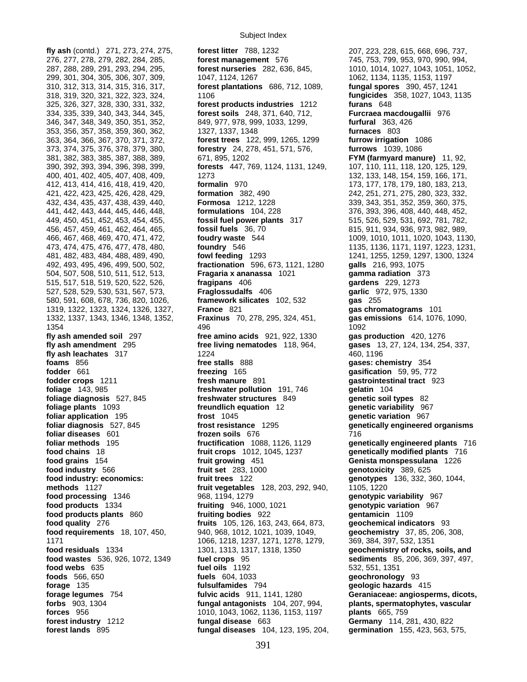**fly ash** (contd.) 271, 273, 274, 275, **forest litter** 788, 1232 207, 223, 228, 615, 668, 696, 737, 1171 1066, 1218, 1237, 1271, 1278, 1279, 369, 384, 397, 532, 1351

276, 277, 278, 279, 282, 284, 285, **forest management** 576 745, 753, 799, 953, 970, 990, 994, 287, 288, 289, 291, 293, 294, 295, **forest nurseries** 282, 636, 845, 1010, 1014, 1027, 1043, 1051, 1052, 299, 301, 304, 305, 306, 307, 309, 1047, 1124, 1267 1062, 1134, 1135, 1153, 1197 310, 312, 313, 314, 315, 316, 317, **forest plantations** 686, 712, 1089, **fungal spores** 390, 457, 1241 318, 319, 320, 321, 322, 323, 324, 1106 **fungicides** 358, 1027, 1043, 1135 325, 326, 327, 328, 330, 331, 332, **forest products industries** 1212 **furans** 648 334, 335, 339, 340, 343, 344, 345, **forest soils** 248, 371, 640, 712, **Furcraea macdougallii** 976 346, 347, 348, 349, 350, 351, 352, 849, 977, 978, 999, 1033, 1299, **furfural** 363, 426 353, 356, 357, 358, 359, 360, 362, 1327, 1337, 1348 **furnaces** 803 363, 364, 366, 367, 370, 371, 372, **forest trees** 122, 999, 1265, 1299 **furrow irrigation** 1086 373, 374, 375, 376, 378, 379, 380, **forestry** 24, 278, 451, 571, 576, **furrows** 1039, 1086 381, 382, 383, 385, 387, 388, 389, 671, 895, 1202 **FYM (farmyard manure)** 11, 92, 390, 392, 393, 394, 396, 398, 399, **forests** 447, 769, 1124, 1131, 1249, 107, 110, 111, 118, 120, 125, 129, 400, 401, 402, 405, 407, 408, 409, 1273 132, 133, 148, 154, 159, 166, 171, 412, 413, 414, 416, 418, 419, 420, **formalin** 970 173, 177, 178, 179, 180, 183, 213, 421, 422, 423, 425, 426, 428, 429, **formation** 382, 490 242, 251, 271, 275, 280, 323, 332, 432, 434, 435, 437, 438, 439, 440, **Formosa** 1212, 1228 339, 343, 351, 352, 359, 360, 375, 441, 442, 443, 444, 445, 446, 448, **formulations** 104, 228 376, 393, 396, 408, 440, 448, 452, 449, 450, 451, 452, 453, 454, 455, **fossil fuel power plants** 317 515, 526, 529, 531, 692, 781, 782, 456, 457, 459, 461, 462, 464, 465, **fossil fuels** 36, 70 815, 911, 934, 936, 973, 982, 989, 466, 467, 468, 469, 470, 471, 472, **foudry waste** 544 1009, 1010, 1011, 1020, 1043, 1130, 473, 474, 475, 476, 477, 478, 480, **foundry** 546 1135, 1136, 1171, 1197, 1223, 1231, 481, 482, 483, 484, 488, 489, 490, **fowl feeding** 1293 1241, 1255, 1259, 1297, 1300, 1324 492, 493, 495, 496, 499, 500, 502, **fractionation** 596, 673, 1121, 1280 **galls** 216, 993, 1075 504, 507, 508, 510, 511, 512, 513, **Fragaria x ananassa** 1021 **gamma radiation** 373 515, 517, 518, 519, 520, 522, 526, **fragipans** 406 **gardens** 229, 1273 527, 528, 529, 530, 531, 567, 573, **Fraglossudalfs** 406 **garlic** 972, 975, 1330 580, 591, 608, 678, 736, 820, 1026, **framework silicates** 102, 532 **gas** 255 1319, 1322, 1323, 1324, 1326, 1327, **France** 821 **gas chromatograms** 101 1332, 1337, 1343, 1346, 1348, 1352, **Fraxinus** 70, 278, 295, 324, 451, **gas emissions** 614, 1076, 1090, 1354 496 1092 **fly ash amended soil** 297 **free amino acids** 921, 922, 1330 **gas production** 420, 1276 **fly ash amendment** 295 **free living nematodes** 118, 964, **gases** 13, 27, 124, 134, 254, 337, **fly ash leachates** 317 1224 460, 1196 **foams** 856 **free stalls** 888 **gases: chemistry** 354 **fodder** 661 **freezing** 165 **gasification** 59, 95, 772 **fodder crops** 1211 **fresh manure** 891 **gastrointestinal tract** 923 **foliage** 143, 985 **freshwater pollution** 191, 746 **gelatin** 104 **foliage diagnosis** 527, 845 **freshwater structures** 849 **genetic soil types** 82 **foliage plants** 1093 **freundlich equation** 12 **genetic variability** 967 **foliar application** 195 **frost** 1045 **genetic variation** 967 **foliar diagnosis** 527, 845 **frost resistance** 1295 **genetically engineered organisms foliar diseases** 601 **frozen soils** 676 716 **foliar methods** 195 **fructification** 1088, 1126, 1129 **genetically engineered plants** 716 **food chains** 18 **fruit crops** 1012, 1045, 1237 **genetically modified plants** 716 **food grains** 154 **fruit growing** 451 **Genista monspessulana** 1226 **food industry** 566 **fruit set** 283, 1000 **genotoxicity** 389, 625 **food industry: economics: fruit trees** 122 **genotypes** 136, 332, 360, 1044, **methods** 1127 **fruit vegetables** 128, 203, 292, 940, 1105, 1220 **food processing** 1346 968, 1194, 1279 **genotypic variability** 967<br> **food products** 1334 **fruiting** 946, 1000, 1021 **genotypic variation** 967 **food products** 1334 **fruiting** 946, 1000, 1021 **genotypic variation** 967 **food products plants** 860 **fruiting bodies** 922 **gentamicin** 1109 **food quality** 276 **fruits** 105, 126, 163, 243, 664, 873, **geochemical indicators** 93 **food requirements** 18, 107, 450, 968, 968, 1012, 1021, 1039, 1049, **geochemistry** 37, 85, 206, 308, 1066, 1218, 1237, 1271, 1278, 1279, 369, 384, 397, 532, 1351 **food residuals** 1334 1301, 1313, 1317, 1318, 1350 **geochemistry of rocks, soils, and food wastes** 536, 926, 1072, 1349 **fuel crops** 95 **sediments** 85, 206, 369, 397, 497, **food webs** 635 **fuel oils** 1192 532, 551, 1351 **foods** 566, 650 **fuels** 604, 1033 **geochronology** 93 **forage** 135 **fulsulfamides** 794 **geologic hazards** 415 **forage legumes** 754 **fulvic acids** 911, 1141, 1280 **Geraniaceae: angiosperms, dicots, forbs** 903, 1304 **fungal antagonists** 104, 207, 994, **plants, spermatophytes, vascular forces** 956 **1010, 1043, 1062, 1136, 1153, 1197 <b>plants** 665, 759 **forest industry** 1212 **fungal disease** 663 **Germany** 114, 2 **forest industry** 1212 **fungal disease** 663 **Germany** 114, 281, 430, 822

**forest lands** 895 **fungal diseases** 104, 123, 195, 204, **germination** 155, 423, 563, 575,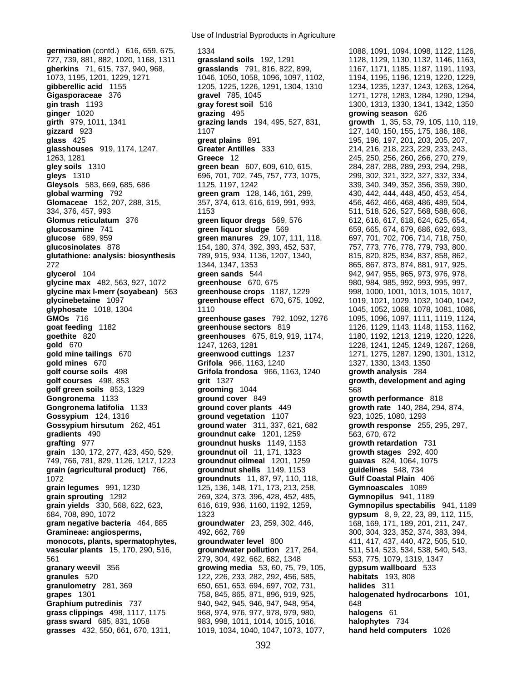**germination** (contd.) 616, 659, 675, 1334 1088, 1091, 1098, 1091, 1094, 1098, 1122, 1126, 727, 739, 881, 882, 1020, 1168, 1311 **grassland soils** 192, 1291 1128, 1129, 1130, 1132, 1146, 1163, **gherkins** 71, 615, 737, 940, 968, **grasslands** 791, 816, 822, 899, 1167, 1171, 1185, 1187, 1191, 1193, 1073, 1195, 1201, 1229, 1271 1046, 1050, 1058, 1096, 1097, 1102, 1194, 1195, 1196, 1219, 1220, 1229, **gibberellic acid** 1155 1205, 1225, 1226, 1291, 1304, 1310 1234, 1235, 1237, 1243, 1263, 1264, **Gigasporaceae** 376 **gravel** 785, 1045 1271, 1278, 1283, 1284, 1290, 1294, **gin trash** 1193 **gray forest soil** 516 1300, 1313, 1330, 1341, 1342, 1350 **ginger** 1020 **grazing** 495 **growing season** 626 **girth** 979, 1011, 1341 **grazing lands** 194, 495, 527, 831, **growth** 1, 35, 53, 79, 105, 110, 119, **gizzard** 923 1107 127, 140, 150, 155, 175, 186, 188, **glass** 425 **great plains** 891 195, 196, 197, 201, 203, 205, 207, **glasshouses** 919, 1174, 1247, **Greater Antilles** 333 214, 216, 218, 223, 229, 233, 243, 1263, 1281 **Greece** 12 245, 250, 256, 260, 266, 270, 279, **gley soils** 1310 **green bean** 607, 609, 610, 615, 284, 287, 288, 289, 293, 294, 298, **Gleysols** 583, 669, 685, 686 1125, 1197, 1242 339, 340, 349, 352, 356, 359, 390, **global warming** 792 **green gram** 128, 146, 161, 299, 430, 442, 444, 448, 450, 453, 454, Glomaceae 152, 207, 288, 315, 357, 374, 613, 616, 619, 991, 993, 466, 462, 466, 468, 486, 489, 504, 334, 376, 457, 993 1153 511, 518, 526, 527, 568, 588, 608, **Glomus reticulatum** 376 **green liquor dregs** 569, 576 612, 616, 617, 618, 624, 625, 654, **glucosamine** 741 **green liquor sludge** 569 659, 665, 674, 679, 686, 692, 693, **glucose** 689, 959 **green manures** 29, 107, 111, 118, 697, 701, 702, 706, 714, 718, 750, **glucosinolates** 878 154, 180, 374, 392, 393, 452, 537, 757, 773, 776, 778, 779, 793, 800, **glutathione: analysis: biosynthesis** 789, 915, 934, 1136, 1207, 1340, 815, 820, 825, 834, 837, 858, 862, 272 1344, 1347, 1353 865, 867, 873, 874, 881, 917, 925, **glycerol** 104 **green sands** 544 942, 947, 955, 965, 973, 976, 978, **glycine max** 482, 563, 927, 1072 **greenhouse** 670, 675 980, 984, 985, 992, 993, 995, 997, **glycine max l-merr (soyabean)** 563 **greenhouse crops** 1187, 1229 998, 1000, 1001, 1013, 1015, 1017, **glycinebetaine** 1097 **greenhouse effect** 670, 675, 1092, 1019, 1021, 1029, 1032, 1040, 1042, **GMOs** 716 **greenhouse gases** 792, 1092, 1276 1095, 1096, 1097, 1111, 1119, 1124, **goat feeding** 1182 **greenhouse sectors** 819 1126, 1129, 1143, 1148, 1153, 1162, **goethite** 820 **greenhouses** 675, 819, 919, 1174, 1180, 1192, 1213, 1219, 1220, 1226, **gold** 670 1247, 1263, 1281 1228, 1241, 1245, 1249, 1267, 1268, **gold mine tailings** 670 **greenwood cuttings** 1237 1271, 1275, 1287, 1290, 1301, 1312, **gold mines** 670 **Grifola** 966, 1163, 1240 1327, 1330, 1343, 1350 **golf course soils** 498 **Grifola frondosa** 966, 1163, 1240 **growth analysis** 284 **golf courses** 498, 853 **grit** 1327 **growth, development and aging golf green soils** 853, 1329 **grooming** 1044 568 **Gongronema** 1133 **ground cover** 849 **growth performance** 818 **Gongronema latifolia** 1133 **ground cover plants** 449 **growth rate** 140, 284, 294, 874, **Gossypium** 124, 1316 **ground vegetation** 1107 923, 1025, 1080, 1293 **gradients** 490 **groundnut cake** 1201, 1259 563, 670, 672 **grafting** 977 **groundnut husks** 1149, 1153 **growth retardation** 731 **grain** 130, 172, 277, 423, 450, 529, **groundnut oil** 11, 171, 1323 **growth stages** 292, 400 749, 766, 781, 829, 1126, 1217, 1223 **groundnut oilmeal** 1201, 1259 **guavas** 824, 1064, 1075 **grain (agricultural product)** 766, **groundnut shells** 1149, 1153 **guidelines** 548, 734 1072 **groundnuts** 11, 87, 97, 110, 118, **Gulf Coastal Plain** 406 **grain legumes** 991, 1230 125, 136, 148, 171, 173, 213, 258, **Gymnoascales** 1089 **grain sprouting** 1292 269, 324, 373, 396, 428, 452, 485, **Gymnopilus** 941, 1189 **grain yields** 330, 568, 622, 623, 616, 619, 936, 1160, 1192, 1259, **Gymnopilus spectabilis** 941, 1189 684, 708, 890, 1072 1323 **gypsum** 8, 9, 22, 23, 89, 112, 115, **Gramineae: angiosperms, 200, 300, 304, 323, 352, 374, 383, 394, 393, 394, 383, 394, 383, 394, 383, 394, 383, 394, 383, 395, 396, 304, 383, 396, 304, 383, 396, 394, 383, 394, 383, 394, 383, 394, 383, 394, 383, 394, 383, 39 monocots, plants, spermatophytes, groundwater level** 800 411, 417, 437, 440, 472, 505, 510, **vascular plants** 15, 170, 290, 516, **groundwater pollution** 217, 264, 511, 514, 523, 534, 538, 540, 543, 561 279, 304, 492, 662, 682, 1348 553, 775, 1079, 1319, 1347 **granary weevil** 356 **growing media** 53, 60, 75, 79, 105, **gypsum wallboard** 533 **granules** 520 122, 226, 233, 282, 292, 456, 585, **habitats** 193, 808 **granulometry** 281, 369 650, 651, 653, 694, 697, 702, 731, **halides** 311 **grapes** 1301 758, 845, 865, 871, 896, 919, 925, **halogenated hydrocarbons** 101, **Graphium putredinis** 737 940, 942, 945, 946, 947, 948, 954, 648 **grass clippings** 498, 1117, 1175 968, 974, 976, 977, 978, 979, 980, **halogens** 61 **grass sward** 685, 831, 1058 983, 998, 1011, 1014, 1015, 1016, **halophytes** 734 **grasses** 432, 550, 661, 670, 1311, 1019, 1034, 1040, 1047, 1073, 1077, **hand held computers** 1026

**gleys** 1310 696, 701, 702, 745, 757, 773, 1075, 299, 302, 321, 322, 327, 332, 334, **glyphosate** 1018, 1304 1110 1045, 1052, 1068, 1078, 1081, 1086, **Gossypium hirsutum** 262, 451 **ground water** 311, 337, 621, 682 **growth response** 255, 295, 297, **gram negative bacteria** 464, 885 **groundwater** 23, 259, 302, 446, 168, 169, 171, 189, 201, 211, 247,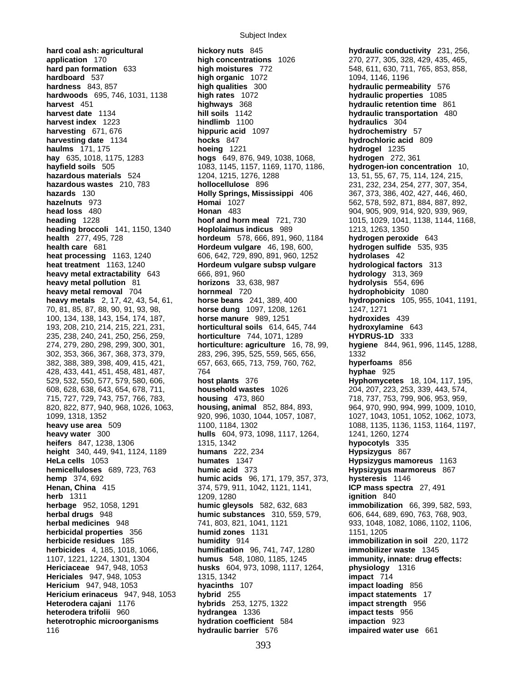Subject Index

**hard coal ash: agricultural hickory nuts** 845 **hydraulic conductivity** 231, 256, **application** 170 **high concentrations** 1026 270, 277, 305, 328, 429, 435, 465, **application** 170 **high concentrations** 1026 270, 277, 305, 328, 429, 435, 465, **hard pan formation** 633 **high moistures** 772 548, 611, 630, 711, 765, 853, 858, **hardboard** 537 **high moistures** 772 1094, 1146, 1196 **hardness** 843, 857 **high qualities** 300 **hydraulic permeability** 576 **hardwoods** 695, 746, 1031, 1138 **high rates** 1072 **hydraulic properties** 1085 **harvest** 451 **highways** 368 **harvest** 451 **hydraulic retention time** 861 **harvest date** 1134 **hydraulic retention 480 harvest date** 1134 **hydraulic transportation** 480 **harvest index** 1223 **hindlimb** 1100 **hydraulics** 304 **harvesting** 671, 676 **hippuric acid** 1097 **hydrochemistry** 57 **harvesting date** 1134 **hocks** 847 **hydrochloric acid** 809 **haulms** 171, 175 **hoeing** 1221 **hydrogel** 1235 **hay** 635, 1018, 1175, 1283 **hogs** 649, 876, 949, 1038, 1068, **hydrogen** 272, 361 **hayfield soils** 505 1083, 1145, 1157, 1169, 1170, 1186, **hazardous materials** 524 1204, 1215, 1276, 1288 13, 51, 55, 67, 75, 114, 124, 215, **hazardous wastes** 210, 783 **hollocellulose** 896 231, 232, 234, 254, 277, 307, 354, **hazards** 130 **Holly Springs, Mississippi** 406 367, 373, 386, 402, 427, 446, 460, **hazelnuts** 973 **Homai** 1027 562, 578, 592, 871, 884, 887, 892, **head loss** 480 **Honan** 483 904, 905, 909, 914, 920, 939, 969, **heading** 1228 **hoof and horn meal** 721, 730 1015, 1029, 1041, 1138, 1144, 1168, **heading broccoli** 141, 1150, 1340 **Hoplolaimus indicus** 989 1213, 1263, 1350 **health** 277, 495, 728 **hordeum** 578, 666, 891, 960, 1184 **hydrogen peroxide** 643 **health care** 681 **Hordeum vulgare** 46, 198, 600, **hydrogen sulfide** 535, 935 **heat processing** 1163, 1240 606, 642, 729, 890, 891, 960, 1252 **hydrolases** 42 **heat treatment** 1163, 1240 **Hordeum vulgare subsp vulgare hydrological factors** 313<br> **heavy metal extractability** 643 666, 891, 960 **hydrology** 313, 369 **heavy metal extractability** 643 666, 891, 960<br> **heavy metal pollution** 81 **horizons** 33, 638, 987 **heavy metal pollution** 81 **horizons** 33, 638, 987 **hydrolysis** 554, 696 **heavy metal removal** 704 **hornmeal** 720 **heavy metals** 2, 17, 42, 43, 54, 61, **horse beans** 241, 389, 400 **hydroponics** 105, 955, 1041, 1191, 70, 81, 85, 87, 88, 90, 91, 93, 98, **horse dung** 1097, 1208, 1261 1247, 1271 100, 134, 138, 143, 154, 174, 187, **horse manure** 989, 1251 **hydroxides** 439 193, 208, 210, 214, 215, 221, 231, **horticultural soils** 614, 645, 744 **hydroxylamine** 643 235, 238, 240, 241, 250, 256, 259, **horticulture** 744, 1071, 1289 **HYDRUS-1D** 333 302, 353, 366, 367, 368, 373, 379, 283, 296, 395, 525, 559, 565, 656, 1332 382, 388, 389, 398, 409, 415, 421, 657, 663, 665, 713, 759, 760, 762, **hyperfoams** 856 428, 433, 441, 451, 458, 481, 487, 764 **hyphae** 925 529, 532, 550, 577, 579, 580, 606, **host plants** 376 **Hyphomycetes** 18, 104, 117, 195, 608, 628, 638, 643, 654, 678, 711, **household wastes** 1026 204, 207, 223, 253, 339, 443, 574, 715, 727, 729, 743, 757, 766, 783, **housing** 473, 860 718, 737, 753, 799, 906, 953, 959, 820, 822, 877, 940, 968, 1026, 1063, **housing, animal** 852, 884, 893, 964, 970, 990, 994, 999, 1009, 1010, 1099, 1318, 1352 920, 996, 1030, 1044, 1057, 1087, 1027, 1043, 1051, 1052, 1062, 1073, **heavy use area** 509 1100, 1184, 1302 1088, 1135, 1136, 1136, 1164, 1197, **heavy water** 300 **hulls** 604, 973, 1098, 1117, 1264, 1241, 1260, 1274 **heifers** 847, 1238, 1306 1315, 1342 **hypocotyls** 335 **height** 340, 449, 941, 1124, 1189 **humans** 222, 234 **Hypsizygus** 867 **HeLa cells** 1053 **humates** 1347 **Hypsizygus mamoreus** 1163 **hemicelluloses** 689, 723, 763 **humic acid** 373 **Hypsizygus marmoreus** 867 **hemp** 374, 692 **humic acids** 96, 171, 179, 357, 373, **hysteresis** 1146 **Henan, China** 415 374, 579, 911, 1042, 1121, 1141, **ICP mass spectra** 27, 491 **herb** 1311 **ignition** 840 **herbage** 952, 1058, 1291 **humic gleysols** 582, 632, 683 **immobilization** 66, 399, 582, 593, **herbal medicines** 948 741, 803, 821, 1041, 1121 933, 1048, 1082, 1086, 1102, 1106, **herbicidal properties** 356 **humid zones** 1131 1151, 1205 **herbicide residues** 185 **humidity** 914 **immobilization in soil** 220, 1172 **herbicides** 4, 185, 1018, 1066, **humification** 96, 741, 747, 1280 **immobilizer waste** 1345 1107, 1221, 1224, 1301, 1304 **humus** 548, 1080, 1185, 1245 **immunity, innate: drug effects: Hericiaceae** 947, 948, 1053 **husks** 604, 973, 1098, 1117, 1264, **physiology** 1316 **Hericiales** 947, 948, 1053 1315, 1342 1315, 1342 **impact** 714 **Hericium** 947, 948, 1053 **hyacinths** 107 **impact loading** 856 **Hericium erinaceus** 947, 948, 1053 **hybrid** 255 **impact statements** 17 **Heterodera cajani** 1176 **hybrids** 253, 1275, 1322 **impact strength** 956 **heterodera trifolii** 960 **hydrangea** 1336 **impact tests** 956 **heterotrophic microorganisms hydration coefficient** 584 **impaction** 923 116 **hydraulic barrier** 576 **impaired water use** 661

**high organic** 1072 1094, 1146, 1196 **hill soils** 1142 **hydraulic transportation** 480 **horticulture: agriculture** 16, 78, 99, **humic substances** 310, 559, 579, 606, 644, 689, 690, 763, 768, 903,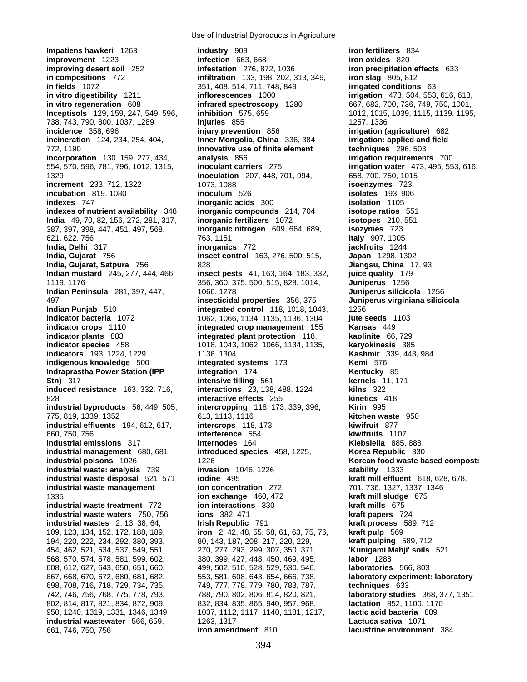**Impatiens hawkeri** 1263 **industry** 909 **iron fertilizers** 834 **improvement** 1223 **infection** 663, 668 **iron oxides** 820 **improving desert soil** 252 **infestation** 276, 872, 1036 **iron precipitation effects** 633 **in compositions** 772 **infiltration** 133, 198, 202, 313, 349, **iron slag** 805, 812 **in fields** 1072 351, 408, 514, 711, 748, 849 **irrigated conditions** 63 **in vitro digestibility** 1211 **inflorescences** 1000 **irrigation** 473, 504, 553, 616, 618, **in vitro regeneration** 608 **infrared spectroscopy** 1280 667, 682, 700, 736, 749, 750, 1001, **Inceptisols** 129, 159, 247, 549, 596, **inhibition** 575, 659 1012, 1015, 1015, 1039, 1115, 1139, 1195, 738, 743, 790, 800, 1037, 1289 **injuries** 855 1257, 1336 **incidence** 358, 696 **injury prevention** 856 **irrigation (agriculture)** 682 **incineration** 124, 234, 254, 404, **Inner Mongolia, China** 336, 384 **irrigation: applied and field**  772, 1190 **innovative use of finite element techniques** 296, 503 **incorporation** 130, 159, 277, 434, **analysis** 856 **irrigation requirements** 700 554, 570, 596, 781, 796, 1012, 1315, **inoculant carriers** 275 **irrigation water** 473, 495, 553, 616, 1329 **inoculation** 207, 448, 701, 994, 658, 700, 750, 1015 **increment** 233, 712, 1322 1073, 1088 **isoenzymes** 723 **incubation** 819, 1080 **inoculum** 526 **isolates** 193, 906 **indexes** 747 **inorganic acids** 300 **isolation** 1105 **indexes of nutrient availability** 348 **inorganic compounds** 214, 704 **isotope ratios** 551 **India** 49, 70, 82, 156, 272, 281, 317, **inorganic fertilizers** 1072 **isotopes** 210, 551 387, 397, 398, 447, 451, 497, 568, **inorganic nitrogen** 609, 664, 689, **isozymes** 723 621, 622, 756 763, 1151 **Italy** 907, 1005 **India, Delhi** 317 **inorganics** 772 **jackfruits** 1244 **India, Gujarat** 756 **insect control** 163, 276, 500, 515, **Japan** 1298, 1302 **India, Gujarat, Satpura 756 828 828 828 828 828 828 828 Jiangsu, China** 17, 93 **Indian mustard** 245, 277, 444, 466, **insect pests** 41, 163, 164, 183, 332, **juice quality** 179 1119, 1176 356, 360, 375, 500, 515, 828, 1014, **Juniperus** 1256 **Indian Peninsula** 281, 397, 447, 1066, 1278 **Juniperus silicicola** 1256 497 **insecticidal properties** 356, 375 **Juniperus virginiana silicicola Indian Punjab** 510 **integrated control** 118, 1018, 1043, **indicator bacteria** 1072 1062, 1066, 1134, 1135, 1136, 1304 **jute seeds** 1103 **indicator crops** 1110 **integrated crop management** 155 **Kansas** 449 **indicator plants** 883 **integrated plant protection** 118, **kaolinite** 66, 729 **indicator species** 458 1018, 1043, 1062, 1066, 1134, 1135, **karyokinesis** 385 **indicators** 193, 1224, 1229 1136, 1304<br> **integrated systems** 173 **Kashmir** 339, 443, 984<br> **Kemi** 576 **Kemi indigenous knowledge** 500 **integrated systems** 173 **Kemi** 576 **Indraprastha Power Station (IPP integration 174 <b>Kentucky** 85 **Stn)** 317 **intensive tilling** 561 **kernels** 11, 171 **induced resistance** 163, 332, 716, **interactions** 23, 138, 488, 1224 828 **interactive effects** 255 **kinetics** 418 **industrial byproducts** 56, 449, 505, **intercropping** 118, 173, 339, 396, **Kirin** 995 775, 819, 1339, 1352 613, 1113, 1116 **kitchen waste** 950 **industrial effluents** 194, 612, 617, **intercrops** 118, 173 **kiwifruit** 877 660, 750, 756 **interference** 554 **kiwifruits** 1107 **industrial emissions** 317 **internodes** 164 **Klebsiella** 885, 888 **industrial management** 680, 681 **introduced species** 458, 1225, **Korea Republic** 330 **industrial poisons** 1026 1226 1226 **Korean food waste based compost: industrial waste: analysis** 739 **invasion** 1046, 1226 **stability** 1333 **industrial waste disposal** 521, 571 **iodine** 495 **kraft mill effluent** 618, 628, 678, **industrial waste management ion concentration** 272 701, 736, 1327, 1337, 1346<br>1335 **ion exchange** 460, 472 **kraft mill sludge** 675 **industrial waste treatment** 772 **ion interactions** 330 **kraft mills** 675 **industrial waste waters** 750, 756 **ions** 382, 471 **industrial wastes** 2, 13, 38, 64, **Irish Republic** 791 **kraft process** 589, 712 109, 123, 134, 152, 172, 188, 189, **iron** 2, 42, 48, 55, 58, 61, 63, 75, 76, **kraft pulp** 569 194, 220, 222, 234, 292, 380, 393, 80, 143, 187, 208, 217, 220, 229, **kraft pulping** 589, 712 454, 462, 521, 534, 537, 549, 551, 270, 277, 293, 299, 307, 350, 371, **'Kunigami Mahji' soils** 521 568, 570, 574, 578, 581, 599, 602, 380, 399, 427, 448, 450, 469, 495, **labor** 1288 608, 612, 627, 643, 650, 651, 660, 499, 502, 510, 528, 529, 530, 546, **laboratories** 566, 803 667, 668, 670, 672, 680, 681, 682, 553, 581, 608, 643, 654, 666, 738, **laboratory experiment: laboratory**  698, 708, 716, 718, 729, 734, 735, 749, 777, 778, 779, 780, 783, 787, **techniques** 633 742, 746, 756, 768, 775, 778, 793, 788, 790, 802, 806, 814, 820, 821, **laboratory studies** 368, 377, 1351 802, 814, 817, 821, 834, 872, 909, 832, 834, 835, 865, 940, 957, 968, 950, 1240, 1319, 1331, 1346, 1349 1037, 1112, 1117, 1140, 1181, 1217, **lactic acid bacteria** 889 **industrial wastewater** 566, 659, 1263, 1317 **Lactuca sativa** 1071

1335 **ion exchange** 460, 472 **kraft mill sludge** 675 661, 746, 750, 756 **iron amendment** 810 **lacustrine environment** 384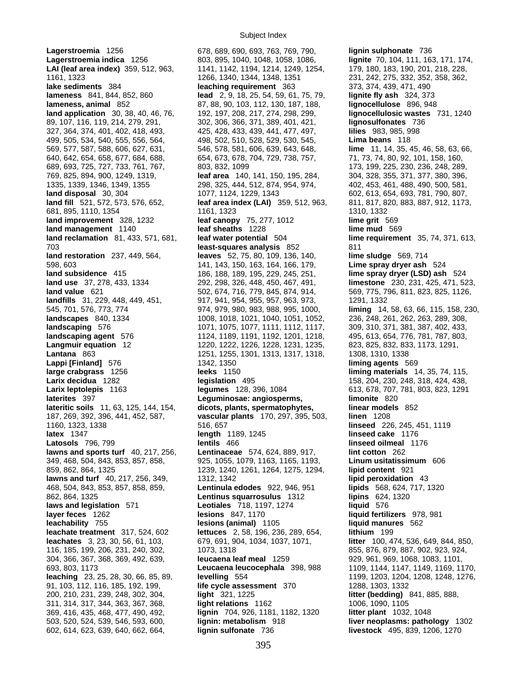**Lagerstroemia** 1256 678, 689, 690, 693, 763, 769, 790, **lignin sulphonate** 736 **lameness** 841, 844, 852, 860 **lead** 2, 9, 18, 25, 54, 59, 61, 75, 79, **landscaping** 576 1071, 1075, 1077, 1111, 1112, 1117, 602, 614, 623, 639, 640, 662, 664, **lignin sulfonate** 736 **livestock** 495, 839, 1206, 1270

**Lagerstroemia indica** 1256 803, 895, 1040, 1048, 1058, 1086, **lignite** 70, 104, 111, 163, 171, 174, **LAI (leaf area index)** 359, 512, 963, 1141, 1142, 1194, 1214, 1249, 1254, 179, 180, 183, 190, 201, 218, 228, 1161, 1323 1266, 1340, 1344, 1348, 1351 231, 242, 275, 332, 352, 358, 362, **lake sediments** 384 **leaching requirement** 363 373, 374, 439, 471, 490 **lameness, animal** 852 87, 88, 90, 103, 112, 130, 187, 188, **lignocellulose** 896, 948 **land application** 30, 38, 40, 46, 76, 192, 197, 208, 217, 274, 298, 299, **lignocellulosic wastes** 731, 1240 89, 107, 116, 119, 214, 279, 291, 302, 306, 366, 371, 389, 401, 421, **lignosulfonates** 736 327, 364, 374, 401, 402, 418, 493, 425, 428, 433, 439, 441, 477, 497, **lilies** 983, 985, 998 499, 505, 534, 540, 555, 556, 564, 498, 502, 510, 528, 529, 530, 545, **Lima beans** 118 569, 577, 587, 588, 606, 627, 631, 546, 578, 581, 606, 639, 643, 648, **lime** 11, 14, 35, 45, 46, 58, 63, 66, 640, 642, 654, 658, 677, 684, 688, 654, 673, 678, 704, 729, 738, 757, 71, 73, 74, 80, 92, 101, 158, 160, 689, 693, 725, 727, 733, 761, 767, 803, 832, 1099 173, 199, 225, 230, 236, 248, 289, 769, 825, 894, 900, 1249, 1319, **leaf area** 140, 141, 150, 195, 284, 304, 328, 355, 371, 377, 380, 396, 1335, 1339, 1346, 1349, 1355 298, 325, 444, 512, 874, 954, 974, 402, 453, 461, 488, 490, 500, 581, **land disposal** 30, 304 1077, 1124, 1229, 1343 602, 613, 654, 693, 781, 790, 807, **land fill** 521, 572, 573, 576, 652, **leaf area index (LAI)** 359, 512, 963, 811, 817, 820, 883, 887, 912, 1173, 681, 895, 1110, 1354 1161, 1323 1310, 1332 **land improvement** 328, 1232 **leaf canopy** 75, 277, 1012 **lime grit** 569 **land management** 1140 **leaf sheaths** 1228 **lime mud** 569 **land reclamation** 81, 433, 571, 681, **leaf water potential** 504 **lime requirement** 35, 74, 371, 613, 703 **least-squares analysis** 852 811 **land restoration** 237, 449, 564, **leaves** 52, 75, 80, 109, 136, 140, **lime sludge** 569, 714 598, 603 141, 143, 150, 163, 164, 166, 179, **Lime spray dryer ash** 524 **land subsidence** 415 186, 188, 189, 195, 229, 245, 251, **lime spray dryer (LSD) ash** 524 **land use** 37, 278, 433, 1334 292, 298, 326, 448, 450, 467, 491, **limestone** 230, 231, 425, 471, 523, **land value** 621 502, 674, 716, 779, 845, 874, 914, 569, 775, 796, 811, 823, 825, 1126, **landfills** 31, 229, 448, 449, 451, 917, 941, 954, 955, 957, 963, 973, 1291, 1332 545, 701, 576, 773, 774 974, 979, 980, 983, 988, 995, 1000, **liming** 14, 58, 63, 66, 115, 158, 230, 1008, 1018, 1021, 1040, 1051, 1052, 236, 248, 261, 262, 263, 289, 308, 1071, 1075, 1077, 1111, 1112, 1117, 209, 3 **landscaping agent** 576 1124, 1189, 1191, 1192, 1201, 1218, 495, 613, 654, 776, 781, 787, 803, **Langmuir equation** 12 1220, 1222, 1226, 1228, 1231, 1235, 823, 825, 832, 833, 1173, 1291, **Lantana** 863 1251, 1251, 1255, 1301, 1313, 1317, 1318, 1308, 1310, 1338 **Lappi [Finland]** 576 1342, 1350 **liming agents** 569 **large crabgrass** 1256 **leeks** 1150 **liming materials** 14, 35, 74, 115, **Larix decidua** 1282 **legislation** 495 158, 204, 230, 248, 318, 424, 438, **Larix leptolepis** 1163 **legumes** 128, 396, 1084 613, 678, 707, 781, 803, 823, 1291 **laterites** 397 **Leguminosae: angiosperms, limonite** 820 lateritic soils 11, 63, 125, 144, 154, dicots, plants, spermatophytes, linear models 852 187, 269, 392, 396, 441, 452, 587, **vascular plants** 170, 297, 395, 503, **linen** 1208 1160, 1323, 1338 516, 657 **linseed** 226, 245, 451, 1119 **latex** 1347 **length** 1189, 1245 **linseed cake** 1176 **Latosols** 796, 799 **lentils** 466 **linseed oilmeal** 1176 **lawns and sports turf** 40, 217, 256, **Lentinaceae** 574, 624, 889, 917, **lint cotton** 262 349, 468, 504, 843, 853, 857, 858, 925, 1055, 1079, 1163, 1165, 1193, **Linum usitatissimum** 606 859, 862, 864, 1325 1239, 1240, 1261, 1264, 1275, 1294, **lipid content** 921 **lawns and turf** 40, 217, 256, 349, 1312, 1342 **lipid peroxidation** 43 468, 504, 843, 853, 857, 858, 859, **Lentinula edodes** 922, 946, 951 **lipids** 568, 624, 717, 1320 862, 864, 1325 **Lentinus squarrosulus** 1312 **lipins** 624, 1320 **laws and legislation** 571 **Leotiales** 718, 1197, 1274 **liquid** 576 **leachability** 755 **lesions (animal)** 1105 **liquid manures** 562 **leachate treatment** 317, 524, 602 **lettuces** 2, 58, 196, 236, 289, 654, **lithium** 199 **leachates** 3, 23, 30, 56, 61, 103, 679, 691, 904, 1034, 1037, 1071, **litter** 100, 474, 536, 649, 844, 850, 116, 185, 199, 206, 231, 240, 302, 1073, 1318 855, 876, 879, 887, 902, 923, 924, 304, 366, 367, 368, 369, 492, 639, **leucaena leaf meal** 1259 929, 961, 969, 1068, 1083, 1101, 693, 803, 1173 **Leucaena leucocephala** 398, 988 1109, 1144, 1147, 1149, 1169, 1170, **leaching** 23, 25, 28, 30, 66, 85, 89, **levelling** 554 1199, 1203, 1204, 1208, 1248, 1276, 91, 103, 112, 116, 185, 192, 199, **life cycle assessment** 370 1288, 1303, 1332 200, 210, 231, 239, 248, 302, 304, **light** 321, 1225 **litter (bedding)** 841, 885, 888, 311, 314, 317, 344, 363, 367, 368, **light relations** 1162 1006, 1090, 1105 369, 416, 435, 468, 477, 490, 492, **lignin** 704, 926, 1181, 1182, 1320 **litter plant** 1032, 1048 503, 520, 524, 539, 546, 593, 600, **lignin: metabolism** 918 **liver neoplasms: pathology** 1302

**liquid fertilizers** 978, 981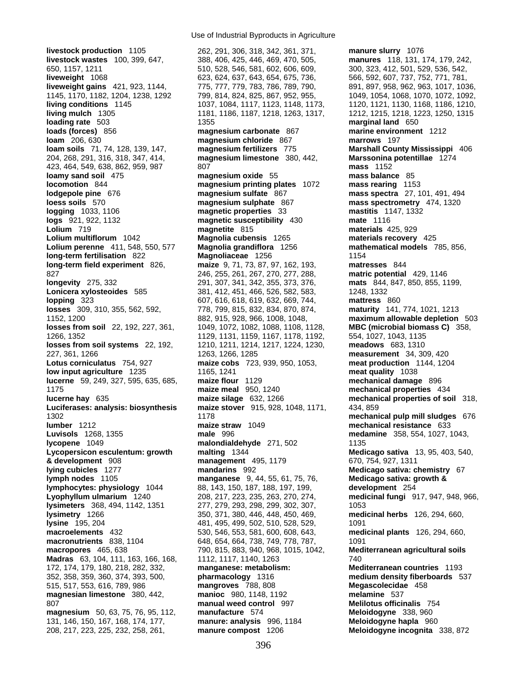**livestock production** 1105 262, 291, 306, 318, 342, 361, 371, **manure slurry** 1076 **livestock wastes** 100, 399, 647, 388, 406, 425, 446, 469, 470, 505, **manures** 118, 131, 174, 179, 242, 650, 1157, 1211 510, 528, 546, 581, 602, 606, 609, 300, 323, 412, 501, 529, 536, 542, **liveweight** 1068 623, 624, 637, 643, 654, 675, 736, 566, 592, 607, 737, 752, 771, 781, **liveweight gains** 421, 923, 1144, 775, 777, 779, 783, 786, 789, 790, 891, 897, 958, 962, 963, 1017, 1036, 1145, 1170, 1182, 1204, 1238, 1292 799, 814, 824, 825, 867, 952, 955, 1049, 1054, 1068, 1070, 1072, 1092, **living conditions** 1145 1037, 1084, 1117, 1123, 1148, 1173, 1120, 1121, 1130, 1168, 1186, 1210, **living mulch** 1305 1181, 1186, 1187, 1218, 1263, 1317, 1212, 1215, 1218, 1223, 1250, 1315 **loading rate** 503 1355 **marginal land** 650 **loads (forces)** 856 **magnesium carbonate** 867 **marine environment** 1212 **loam** 206, 630 **magnesium chloride** 867 **marrows** 197 **loam soils** 71, 74, 128, 139, 147, **magnesium fertilizers** 775 **Marshall County Mississippi** 406 204, 268, 291, 316, 318, 347, 414, **magnesium limestone** 380, 442, **Marssonina potentillae** 1274 423, 464, 549, 638, 862, 959, 987 807 **mass** 1152 **loamy sand soil** 475 **magnesium oxide** 55 **mass balance** 85 **locomotion** 844 **magnesium printing plates** 1072 **mass rearing** 1153 **lodgepole pine** 676 **magnesium sulfate** 867 **mass spectra** 27, 101, 491, 494 **loess soils** 570 **magnesium sulphate** 867 **mass spectrometry** 474, 1320 **logging** 1033, 1106 **magnetic properties** 33 **mastitis** 1147, 1332 **logs** 921, 922, 1132 **magnetic susceptibility** 430 **mate** 1116 **Lolium** 719 **magnetite** 815 **materials** 425, 929 **Lolium multiflorum** 1042 **Magnolia cubensis** 1265 **materials recovery** 425 **Lolium perenne** 411, 548, 550, 577 **Magnolia grandiflora** 1256 **mathematical models** 785, 856, **long-term fertilisation** 822 **Magnoliaceae** 1256 1154 **long-term field experiment** 826, **maize** 9, 71, 73, 87, 97, 162, 193, **matresses** 844 827 246, 255, 261, 267, 270, 277, 288, **matric potential** 429, 1146 **longevity** 275, 332 291, 307, 341, 342, 355, 373, 376, **mats** 844, 847, 850, 855, 1199, **Lonicera xylosteoides** 585 381, 412, 451, 466, 526, 582, 583, 1248, 1332 **lopping** 323 607, 616, 618, 619, 632, 669, 744, **mattress** 860 **losses** 309, 310, 355, 562, 592, 778, 799, 815, 832, 834, 870, 874, **maturity** 141, 774, 1021, 1213 1152, 1200 882, 915, 928, 966, 1008, 1048, **maximum allowable depletion** 503 **losses from soil** 22, 192, 227, 361, 1049, 1072, 1082, 1088, 1108, 1128, **MBC (microbial biomass C)** 358, 1266, 1352 1129, 1129, 1131, 1159, 1167, 1178, 1192, 554, 1027, 1043, 1135<br> **losses from soil systems** 22, 192, 1210, 1211, 1214, 1217, 1224, 1230, **meadows** 683, 1310 **losses from soil systems** 22, 192, 1210, 1211, 1214, 1217, 1224, 1230, 227, 361, 1266 1263, 1266, 1285 **measurement** 34, 309, 420 **Lotus corniculatus** 754, 927 **maize cobs** 723, 939, 950, 1053, **meat production** 1144, 1204 **low input agriculture** 1235 1165, 1241 **meat quality** 1038 **lucerne** 59, 249, 327, 595, 635, 685, **maize flour** 1129 **mechanical damage** 896 1175 **maize meal** 950, 1240 **mechanical properties** 434 **lucerne hay** 635 **maize silage** 632, 1266 **mechanical properties of soil** 318, **Luciferases: analysis: biosynthesis maize stover** 915, 928, 1048, 1171, 434, 859 1302 1178 **mechanical pulp mill sludges** 676 **lumber** 1212 **maize straw** 1049 **mechanical resistance** 633 **Luvisols** 1268, 1355 **male** 996 **medamine** 358, 554, 1027, 1043, **lycopene** 1049 **malondialdehyde** 271, 502 1135 **Lycopersicon esculentum: growth malting** 1344 **Medicago sativa** 13, 95, 403, 540, **& development** 908 **management** 495, 1179 670, 754, 927, 1311 **lying cubicles** 1277 **mandarins** 992 **Medicago sativa: chemistry** 67 **lymph nodes** 1105 **manganese** 9, 44, 55, 61, 75, 76, **Medicago sativa: growth & lymphocytes: physiology** 1044 88, 143, 150, 187, 188, 197, 199, **development** 254 **Lyophyllum ulmarium** 1240 208, 217, 223, 235, 263, 270, 274, **medicinal fungi** 917, 947, 948, 966, **lysimeters** 368, 494, 1142, 1351 277, 279, 293, 298, 299, 302, 307, 1053

Use of Industrial Byproducts in Agriculture

**lysimetry** 1266 350, 371, 380, 446, 448, 450, 469, **medicinal herbs** 126, 294, 660, **lysine** 195, 204 **198, 204 1091** 481, 495, 499, 502, 510, 528, 529, 1091 **macroelements** 432 530, 546, 553, 581, 600, 608, 643, **medicinal plants** 126, 294, 660, **macronutrients** 838, 1104 648, 654, 664, 738, 749, 778, 787, 1091 **macropores** 465, 638 790, 815, 883, 940, 968, 1015, 1042, **Mediterranean agricultural soils Madras** 63, 104, 111, 163, 166, 168, 1112, 1117, 1140, 1263 740 172, 174, 179, 180, 218, 282, 332, **manganese: metabolism: Mediterranean countries** 1193 352, 358, 359, 360, 374, 393, 500, **pharmacology** 1316 **medium density fiberboards** 537 515, 517, 553, 616, 789, 986 **mangroves** 788, 808 **Megascolecidae** 458 **magnesian limestone** 380, 442, **manioc** 980, 1148, 1192 **melamine** 537 807 **manual weed control** 997 **Melilotus officinalis** 754 **magnesium** 50, 63, 75, 76, 95, 112, **manufacture** 574 **Meloidogyne** 338, 960 131, 146, 150, 167, 168, 174, 177, **manure: analysis** 996, 1184 **Meloidogyne hapla** 960

208, 217, 223, 225, 232, 258, 261, **manure compost** 1206 **Meloidogyne incognita** 338, 872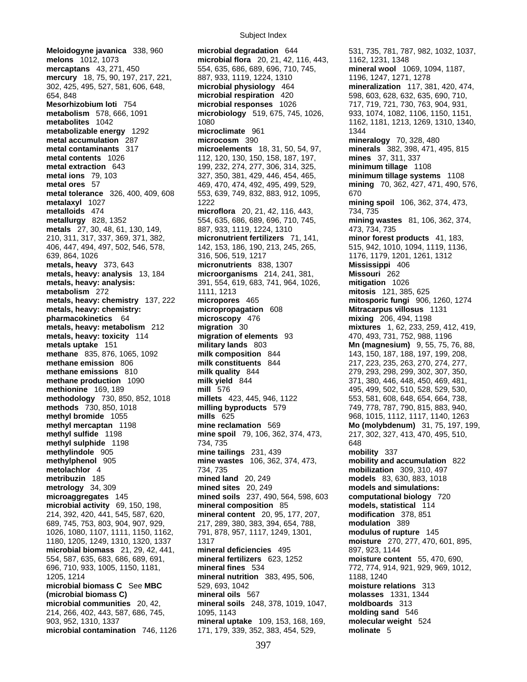**metal contents** 1026 112, 120, 130, 150, 158, 187, 197, **metal extraction** 643 197, 199, 232, 274, 277, 306, 314, 325, **metals, heavy: analysis:**  $391, 554, 619, 683, 741, 964, 1026,$ <br>**metabolism** 272 1111, 1213

Subject Index

**Meloidogyne javanica** 338, 960 **microbial degradation** 644 531, 735, 781, 787, 982, 1032, 1037, **melons** 1012, 1073 **microbial flora** 20, 21, 42, 116, 443, 1162, 1231, 1348<br>**mercaptans** 43, 271, 450 554, 635, 686, 689, 696, 710, 745, **mineral wool** 10 554, 635, 686, 689, 696, 710, 745, **mineral wool** 1069, 1094, 1187, **mercury** 18, 75, 90, 197, 217, 221, 887, 933, 1119, 1224, 1310 1196, 1247, 1271, 1278 302, 425, 495, 527, 581, 606, 648, **microbial physiology** 464 **mineralization** 117, 381, 420, 474, 654, 848 **microbial respiration** 420 598, 603, 628, 632, 635, 690, 710, **Mesorhizobium loti** 754 **microbial responses** 1026 717, 719, 721, 730, 763, 904, 931, **metabolism** 578, 666, 1091 **microbiology** 519, 675, 745, 1026, 933, 1074, 1082, 1106, 1150, 1151, **metabolites** 1042 1080 1080 1162, 1181, 1213, 1269, 1310, 1340, **metabolizable energy 1292 microclimate 961 1344 1344 metal accumulation** 287 **microcosm** 390 **mineralogy** 70, 328, 480 **metal contaminants** 317 **microelements** 18, 31, 50, 54, 97, **minerals** 382, 398, 471, 495, 815 **metal extraction** 643 199, 232, 274, 277, 306, 314, 325, **minimum tillage** 1108 **metal ions** 79, 103 327, 350, 381, 429, 446, 454, 465, **minimum tillage systems** 1108 **metal ores** 57 469, 470, 474, 492, 495, 499, 529, **mining** 70, 362, 427, 471, 490, 576, **metal tolerance** 326, 400, 409, 608 553, 639, 749, 832, 883, 912, 1095, 670 **metalaxyl** 1027 1222 **mining spoil** 106, 362, 374, 473, **metalloids** 474 **microflora** 20, 21, 42, 116, 443, 734, 735 **metallurgy** 828, 1352 554, 635, 686, 689, 696, 710, 745, **mining wastes** 81, 106, 362, 374, **metals** 27, 30, 48, 61, 130, 149, 887, 933, 1119, 1224, 1310 473, 734, 735 210, 311, 317, 337, 369, 371, 382, **micronutrient fertilizers** 71, 141, **minor forest products** 41, 183, 406, 447, 494, 497, 502, 546, 578, 142, 153, 186, 190, 213, 245, 265, 515, 942, 1010, 1094, 1119, 1136, 639, 864, 1026 316, 506, 519, 1217 1176, 1179, 1201, 1261, 1312 **metals, heavy** 373, 643 **micronutrients** 838, 1307 **Mississippi** 406 **metals, heavy: analysis** 13, 184 **microorganisms** 214, 241, 381, **Missouri** 262 **metabolism** 272 1111, 1213 **mitosis** 121, 385, 625 **metals, heavy: chemistry** 137, 222 **micropores** 465 **mitosporic fungi** 906, 1260, 1274 **metals, heavy: chemistry: micropropagation** 608 **Mitracarpus villosus** 1131 **pharmacokinetics** 64 **microscopy** 476 **mixing** 206, 494, 1198 **metals, heavy: metabolism** 212 **migration** 30 **mixtures** 1, 62, 233, 259, 412, 419, **metals, heavy: toxicity** 114 **migration of elements** 93 470, 493, 731, 752, 988, 1196 **metals uptake** 151 **military lands** 803 **Mn (magnesium)** 9, 55, 75, 76, 88, **methane** 835, 876, 1065, 1092 **milk composition** 844 143, 150, 187, 188, 197, 199, 208, **methane emission** 806 **milk constituents** 844 217, 223, 235, 263, 270, 274, 277, **methane emissions** 810 **milk quality** 844 279, 293, 298, 299, 302, 307, 350, **methane production** 1090 **milk yield** 844 371, 380, 446, 448, 450, 469, 481, **methionine** 169, 189 **methionine** 169, 189 **mill** 576 495, 499, 502, 510, 528, 529, 530, **methodology** 730, 850, 852, 1018 **millets** 423, 445, 946, 1122 553, 581, 608, 648, 654, 664, 738, **methods** 730, 850, 1018 **milling byproducts** 579 749, 778, 787, 790, 815, 883, 940, **methyl bromide** 1055 **mills** 625 968, 1015, 1112, 1117, 1140, 1263 **methyl mercaptan** 1198 **mine reclamation** 569 **Mo (molybdenum)** 31, 75, 197, 199, **methyl sulfide** 1198 **mine spoil** 79, 106, 362, 374, 473, 217, 302, 327, 413, 470, 495, 510, **methyl sulphide** 1198 734, 735 648 **methylindole** 905 **mine tailings** 231, 439 **mobility** 337 **methylphenol** 905 **mine wastes** 106, 362, 374, 473, **mobility and accumulation** 822 **metolachlor** 4 **734, 735 mobilization** 309, 310, 497<br>**metribuzin** 185 **modilization mined land** 20, 249 **models** 83, 630, 883, 1018 **metrology** 34, 309 **mined sites** 20, 249 **models and simulations: microaggregates** 145 **mined soils** 237, 490, 564, 598, 603 **microbial activity** 69, 150, 198, **mineral composition** 85 **microbial activity** 69, 150, 198, **mineral composition** 85 **models, statistical** 114 214, 392, 420, 441, 545, 587, 620, **mineral content** 20, 95, 177, 207, **modification** 378, 851 689, 745, 753, 803, 904, 907, 929, 217, 289, 380, 383, 394, 654, 788, **modulation** 389 1026, 1080, 1107, 1111, 1150, 1162, 791, 878, 957, 1117, 1249, 1301, **modulus of rupture** 145 1180, 1205, 1249, 1310, 1320, 1337 1317 **moisture** 270, 277, 470, 601, 895, **microbial biomass** 21, 29, 42, 441, **mineral deficiencies** 495 897, 923, 1144 554, 587, 635, 683, 686, 689, 691, **mineral fertilizers** 623, 1252 **moisture content** 55, 470, 690, 696, 710, 933, 1005, 1150, 1181, **mineral fines** 534 772, 774, 914, 921, 929, 969, 1012, 1205, 1214 **mineral nutrition** 383, 495, 506, 1188, 1240 **microbial biomass C** See **MBC** 529, 693, 1042 **moisture relations** 313 **(microbial biomass C) mineral oils** 567 **molasses** 1331, 1344 **microbial communities** 20, 42, **mineral soils** 248, 378, 1019, 1047, **moldboards** 313 214, 266, 402, 443, 587, 686, 745, 1095, 1143 **molding sand** 546 903, 952, 1310, 1337 **mineral uptake** 109, 153, 168, 169, **molecular weight** 524 **microbial contamination** 746, 1126 171, 179, 339, 352, 383, 454, 529, **molinate** 5

**models** 83, 630, 883, 1018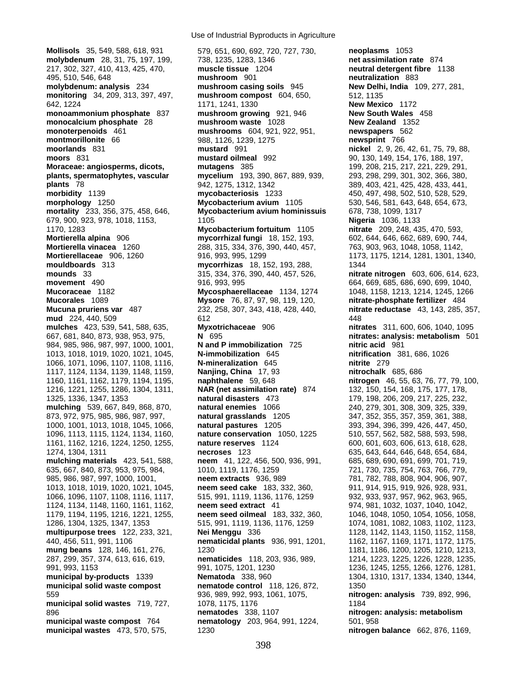**Mollisols** 35, 549, 588, 618, 931 579, 651, 690, 692, 720, 727, 730, **neoplasms** 1053 1216, 1221, 1255, 1286, 1304, 1311, **NAR (net assimilation rate)** 874 **municipal wastes** 473, 570, 575, 1230 **nitrogen balance** 662, 876, 1169,

Use of Industrial Byproducts in Agriculture

**molybdenum** 28, 31, 75, 197, 199, 738, 1235, 1283, 1346 **net assimilation rate** 874 217, 302, 327, 410, 413, 425, 470, **muscle tissue** 1204 **neutral detergent fibre** 1138 495, 510, 546, 648 **mushroom** 901 **neutralization** 883 **molybdenum: analysis** 234 **mushroom casing soils** 945 **New Delhi, India** 109, 277, 281, **monitoring** 34, 209, 313, 397, 497, **mushroom compost** 604, 650, 512, 1135 642, 1224 1171, 1241, 1330 **New Mexico** 1172 **monoammonium phosphate** 837 **mushroom growing** 921, 946 **New South Wales** 458 **monocalcium phosphate** 28 **mushroom waste** 1028 **New Zealand** 1352 **monoterpenoids** 461 **mushrooms** 604, 921, 922, 951, **newspapers** 562 **montmorillonite** 66 988, 1126, 1239, 1275 **newsprint** 766 **moorlands** 831 **mustard** 991 **nickel** 2, 9, 26, 42, 61, 75, 79, 88, **moors** 831 **mustard oilmeal** 992 90, 130, 149, 154, 176, 188, 197, **Moraceae: angiosperms, dicots, mutagens** 385 199, 208, 215, 217, 221, 229, 291, **plants, spermatophytes, vascular mycelium** 193, 390, 867, 889, 939, 293, 298, 299, 301, 302, 366, 380, **plants** 78 942, 1275, 1312, 1342 389, 403, 421, 425, 428, 433, 441, **morbidity** 1139 **mycobacteriosis** 1233 450, 497, 498, 502, 510, 528, 529, **morphology** 1250 **Mycobacterium avium** 1105 530, 546, 581, 643, 648, 654, 673, **mortality** 233, 356, 375, 458, 646, **Mycobacterium avium hominissuis** 678, 738, 1099, 1317 679, 900, 923, 978, 1018, 1153, 1105 **Nigeria** 1036, 1133 1170, 1283 **Mycobacterium fortuitum** 1105 **nitrate** 209, 248, 435, 470, 593, **Mortierella alpina** 906 **mycorrhizal fungi** 18, 152, 193, 602, 644, 646, 662, 689, 690, 744, **Mortierella vinacea** 1260 288, 315, 334, 376, 390, 440, 457, 763, 903, 963, 1048, 1058, 1142, **Mortierellaceae** 906, 1260 916, 993, 995, 1299 1173, 1173, 1175, 1214, 1281, 1301, 1340, **mouldboards** 313 **mycorrhizas** 18, 152, 193, 288, 1344 **mounds** 33 315, 334, 376, 390, 440, 457, 526, **nitrate nitrogen** 603, 606, 614, 623, **movement** 490 916, 993, 995 664, 669, 685, 686, 690, 699, 1040, **Mucoraceae** 1182 **Mycosphaerellaceae** 1134, 1274 1048, 1158, 1213, 1214, 1245, 1266 **Mucorales** 1089 **Mysore** 76, 87, 97, 98, 119, 120, **nitrate-phosphate fertilizer** 484 **Mucuna pruriens var** 487 232, 258, 307, 343, 418, 428, 440, **nitrate reductase** 43, 143, 285, 357, **mud** 224, 440, 509 612 6612 **mulches** 423, 539, 541, 588, 635, **Myxotrichaceae** 906 **nitrates** 311, 600, 606, 1040, 1095 667, 681, 840, 873, 938, 953, 975, **N** 695 **nitrates: analysis: metabolism** 501 984, 985, 986, 987, 997, 1000, 1001, **N and P immobilization** 725 **nitric acid** 981 1013, 1018, 1019, 1020, 1021, 1045, **N-immobilization** 645 **nitrification** 381, 686, 1026 1066, 1071, 1096, 1107, 1108, 1116, **N-mineralization** 645 **nitrite** 279 1117, 1124, 1134, 1139, 1148, 1159, **Nanjing, China** 17, 93 **nitrochalk** 685, 686 1160, 1161, 1162, 1179, 1194, 1195, **naphthalene** 59, 648 **nitrogen** 46, 55, 63, 76, 77, 79, 100, 1325, 1336, 1347, 1353 **natural disasters** 473 179, 198, 206, 209, 217, 225, 232, **mulching** 539, 667, 849, 868, 870, **natural enemies** 1066 240, 279, 301, 308, 309, 325, 339, 873, 972, 975, 985, 986, 987, 997, **natural grasslands** 1205 347, 352, 355, 357, 359, 361, 388, 1000, 1001, 1013, 1018, 1045, 1066, **natural pastures** 1205 393, 394, 396, 399, 426, 447, 450, 1096, 1113, 1115, 1124, 1134, 1160, **nature conservation** 1050, 1225 510, 557, 562, 582, 588, 593, 598, 1161, 1162, 1216, 1224, 1250, 1255, **nature reserves** 1124 600, 601, 603, 606, 613, 618, 628, 1274, 1304, 1311 **necroses** 123 635, 643, 644, 646, 648, 654, 684, **mulching materials** 423, 541, 588, **neem** 41, 122, 456, 500, 936, 991, 685, 689, 690, 691, 699, 701, 719, 635, 667, 840, 873, 953, 975, 984, 1010, 1119, 1176, 1259 721, 730, 735, 754, 763, 766, 779, 985, 986, 987, 997, 1000, 1001, **neem extracts** 936, 989 781, 782, 788, 808, 904, 906, 907, 1013, 1018, 1019, 1020, 1021, 1045, **neem seed cake** 183, 332, 360, 911, 914, 915, 919, 926, 928, 931, 1066, 1096, 1107, 1108, 1116, 1117, 515, 991, 1119, 1136, 1176, 1259 932, 933, 937, 957, 962, 963, 965, 1124, 1134, 1148, 1160, 1161, 1162, **neem seed extract** 41 974, 981, 1032, 1037, 1040, 1042, 1179, 1194, 1195, 1216, 1221, 1255, **neem seed oilmeal** 183, 332, 360, 1046, 1048, 1050, 1054, 1056, 1058, 515, 991, 1119, 1136, 1176, 1259 1074, 1081, 1082, 1083, 1102, 1123, **multipurpose trees** 122, 233, 321, **Nei Menggu** 336 1128, 1142, 1143, 1150, 1152, 1158, 440, 456, 511, 991, 1106 **nematicidal plants** 936, 991, 1201, 1162, 1167, 1169, 1171, 1172, 1175, **mung beans** 128, 146, 161, 276, 1230 1181, 1186, 1200, 1205, 1210, 1213, 1213, 1210, 1213, 287, 299, 357, 374, 613, 616, 619, **nematicides** 118, 203, 936, 989, 1214, 1223, 1225, 1226, 1228, 1235, 991, 993, 1153 991, 1075, 1201, 1230 1236, 1245, 1255, 1266, 1276, 1281, **municipal by-products** 1339 **Nematoda** 338, 960 1304, 1310, 1317, 1334, 1340, 1344, **municipal solid waste compost hematode control** 118, 126, 872, 1350 559 936, 989, 992, 993, 1061, 1075, **nitrogen: analysis** 739, 892, 996, **municipal solid wastes** 719, 727, 1078, 1175, 1176 1184 896 **nematodes** 338, 1107 **nitrogen: analysis: metabolism municipal waste compost** 764 **nematology** 203, 964, 991, 1224, 501, 958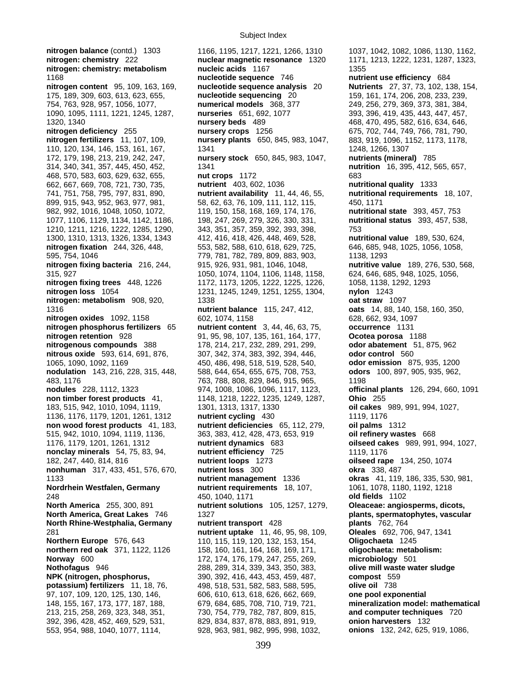**nitrogen: chemistry: metabolism bucleic acids** 1167 1355 1168 **nucleotide sequence** 746 **nutrient use efficiency** 684 **nitrogen content** 95, 109, 163, 169, **nucleotide sequence analysis** 20 **Nutrients** 27, 37, 73, 102, 138, 154, 754, 763, 928, 957, 1056, 1077, **numerical models** 368, 377 249, 256, 279, 369, 373, 381, 384, 1090, 1095, 1111, 1221, 1245, 1287, **nurseries** 651, 692, 1077 393, 396, 419, 435, 443, 447, 457, 1320, 1340 **nursery beds** 489 468, 470, 495, 582, 616, 634, 646, **nitrogen deficiency** 255 **nursery crops** 1256 675, 702, 744, 749, 766, 781, 790, **nitrogen fertilizers** 11, 107, 109, **nursery plants** 650, 845, 983, 1047, 883, 919, 1096, 1152, 1173, 1178, 110, 120, 134, 146, 153, 161, 167, 1341 1248, 1266, 1307 172, 179, 198, 213, 219, 242, 247, **nursery stock** 650, 845, 983, 1047, **nutrients (mineral)** 785 468, 570, 583, 603, 629, 632, 655, **nut crops** 1172 683 662, 667, 669, 708, 721, 730, 735, **nutrient** 403, 602, 1036 **nutritional quality** 1333 741, 751, 758, 795, 797, 831, 890, **nutrient availability** 11, 44, 46, 55, **nutritional requirements** 18, 107, 899, 915, 943, 952, 963, 977, 981, 58, 62, 63, 76, 109, 111, 112, 115, 450, 1171 982, 992, 1016, 1048, 1050, 1072, 119, 150, 158, 168, 169, 174, 176, **nutritional state** 393, 457, 753 1077, 1106, 1129, 1134, 1142, 1186, 198, 247, 269, 279, 326, 330, 331, **nutritional status** 393, 457, 538, 1210, 1211, 1216, 1222, 1285, 1290, 343, 351, 357, 359, 392, 393, 398, 753 1300, 1310, 1313, 1326, 1334, 1343 412, 416, 418, 426, 448, 469, 528, **nutritional value** 189, 530, 624, **nitrogen fixation** 244, 326, 448, 553, 582, 588, 610, 618, 629, 725, 646, 685, 948, 1025, 1056, 1058, 595, 754, 1046 779, 781, 782, 789, 809, 883, 903, 1138, 1293 **nitrogen fixing bacteria** 216, 244, 915, 926, 931, 981, 1046, 1048, **nutritive value** 189, 276, 530, 568, 315, 927 1050, 1074, 1104, 1106, 1148, 1158, 624, 646, 685, 948, 1025, 1056, **nitrogen fixing trees** 448, 1226 1172, 1173, 1205, 1222, 1225, 1226, 1058, 1138, 1292, 1293 **nitrogen loss** 1054 1231, 1245, 1249, 1251, 1255, 1304, **nylon** 1243 **nitrogen: metabolism** 908, 920, 1338 **oat straw** 1097 1316 **nutrient balance** 115, 247, 412, **oats** 14, 88, 140, 158, 160, 350, **nitrogen oxides** 1092, 1158 602, 1074, 1158 628, 628, 662, 934, 1097 **nitrogen phosphorus fertilizers** 65 **nutrient content** 3, 44, 46, 63, 75, **occurrence** 1131 **nitrogen retention** 928 91, 95, 98, 107, 135, 161, 164, 177, **Ocotea porosa** 1188 **nitrogenous compounds** 388 178, 214, 217, 232, 289, 291, 299, **odor abatement** 51, 875, 962 **nitrous oxide** 593, 614, 691, 876, 307, 342, 374, 383, 392, 394, 446, **odor control** 560 1065, 1090, 1092, 1169 450, 486, 498, 518, 519, 528, 540, **odor emission** 875, 935, 1200 **nodulation** 143, 216, 228, 315, 448, 588, 644, 654, 655, 675, 708, 753, **odors** 100, 897, 905, 935, 962, 483, 1176 763, 788, 808, 829, 846, 915, 965, 1198 **nodules** 228, 1112, 1323 974, 1008, 1086, 1096, 1117, 1123, **officinal plants** 126, 294, 660, 1091 **non timber forest products** 41, 1148, 1218, 1222, 1235, 1249, 1287, **Ohio** 255 183, 515, 942, 1010, 1094, 1119, 1301, 1313, 1317, 1330 **oil cakes** 989, 991, 994, 1027, 1136, 1176, 1179, 1201, 1261, 1312 **nutrient cycling** 430 1119, 1176 **non wood forest products** 41, 183, **nutrient deficiencies** 65, 112, 279, **oil palms** 1312 515, 942, 1010, 1094, 1119, 1136, 363, 383, 412, 428, 473, 653, 919 **oil refinery wastes** 668 1176, 1179, 1201, 1261, 1312 **nutrient dynamics** 683 **oilseed cakes** 989, 991, 994, 1027, **nonclay minerals** 54, 75, 83, 94, **nutrient efficiency** 725 1119, 1176 182, 247, 440, 814, 816 **nutrient loops** 1273 **oilseed rape** 134, 250, 1074 **nonhuman** 317, 433, 451, 576, 670, **nutrient loss** 300 **okra** 338, 487 1133 **nutrient management** 1336 **okras** 41, 119, 186, 335, 530, 981, **Nordrhein Westfalen, Germany nutrient requirements** 18, 107, 1061, 1078, 1180, 1192, 1218 248 450, 1040, 1171 **old fields** 1102 **North America** 255, 300, 891 **nutrient solutions** 105, 1257, 1279, **Oleaceae: angiosperms, dicots, North America, Great Lakes** 746 1327 **plants, spermatophytes, vascular North Rhine-Westphalia, Germany nutrient transport** 428 **plants** 762, 764 281 **nutrient uptake** 11, 46, 95, 98, 109, **Oleales** 692, 706, 947, 1341 **Northern Europe** 576, 643 110, 115, 119, 120, 132, 153, 154, **Oligochaeta** 1245 **northern red oak** 371, 1122, 1126 158, 160, 161, 164, 168, 169, 171, **oligochaeta: metabolism: Norway** 600 1501 **Norway** 600 **172, 174, 176, 179, 247, 255, 269, Nothofagus** 946 288, 289, 314, 339, 343, 350, 383, **olive mill waste water sludge NPK (nitrogen, phosphorus,** 390, 392, 416, 443, 453, 459, 487, **compost** 559 **potassium) fertilizers** 11, 18, 76, 498, 518, 531, 582, 583, 588, 595, **olive oil** 738 97, 107, 109, 120, 125, 130, 146, 606, 610, 613, 618, 626, 662, 669, **one pool exponential**  148, 155, 167, 173, 177, 187, 188, 679, 684, 685, 708, 710, 719, 721, **mineralization model: mathematical**  213, 215, 258, 269, 323, 348, 351, 730, 754, 779, 782, 787, 809, 815, **and computer techniques** 720 392, 396, 428, 452, 469, 529, 531, 829, 834, 837, 878, 883, 891, 919, **onion harvesters** 132

**nitrogen balance** (contd.) 1303 1166, 1195, 1217, 1221, 1266, 1310 1037, 1042, 1082, 1086, 1130, 1162, **nitrogen: chemistry** 222 **nuclear magnetic resonance** 1320 1171, 1213, 1222, 1231, 1287, 1323, **nuclear magnetic resonance** 1320 1171, 1213, 1222, 1231, 1287, 1323, **nucleic acids** 1167 1323, 553, 954, 988, 1040, 1077, 1114, 928, 963, 981, 982, 995, 998, 1032, **onions** 132, 242, 625, 919, 1086,

175, 189, 309, 603, 613, 623, 655, **nucleotide sequencing** 20 159, 161, 174, 206, 208, 233, 239, nutrition 16, 395, 412, 565, 657,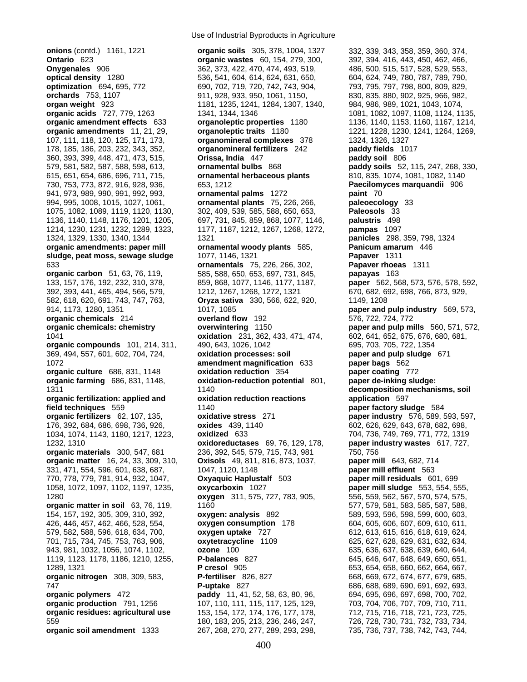**organic compounds** 101, 214, 311, 490, 643, 1026, 1042 **organic soil amendment** 1333 267, 268, 270, 277, 289, 293, 298, 735, 736, 737, 738, 742, 743, 744,

Use of Industrial Byproducts in Agriculture

**onions** (contd.) 1161, 1221 **organic soils** 305, 378, 1004, 1327 332, 339, 343, 358, 359, 360, 374, **Ontario** 623 **organic wastes** 60, 154, 279, 300, 392, 394, 416, 443, 450, 462, 466, **Onygenales** 906 362, 373, 422, 470, 474, 493, 519, 486, 500, 515, 517, 528, 529, 553, **optical density** 1280 536, 541, 604, 614, 624, 631, 650, 604, 624, 749, 780, 787, 789, 790, **optimization** 694, 695, 772 690, 702, 719, 720, 742, 743, 904, 793, 795, 797, 798, 800, 809, 829, **orchards** 753, 1107 911, 928, 933, 950, 1061, 1150, 830, 835, 880, 902, 925, 966, 982, **organ weight** 923 1181, 1235, 1241, 1284, 1307, 1340, 984, 986, 989, 1021, 1043, 1074, **organic acids** 727, 779, 1263 1341, 1344, 1346 1081, 1082, 1097, 1108, 1124, 1135, **organic amendment effects** 633 **organoleptic properties** 1180 1136, 1140, 1153, 1160, 1167, 1214, **organic amendments** 11, 21, 29, **organoleptic traits** 1180 1221, 1228, 1230, 1241, 1264, 1269, 107, 111, 118, 120, 125, 171, 173, **organomineral complexes** 378 1324, 1326, 1327 178, 185, 186, 203, 232, 343, 352, **organomineral fertilizers** 242 **paddy fields** 1017 360, 393, 399, 448, 471, 473, 515, **Orissa, India** 447 **paddy soil** 806 579, 581, 582, 587, 588, 598, 613, **ornamental bulbs** 868 **paddy soils** 52, 115, 247, 268, 330, 615, 651, 654, 686, 696, 711, 715, **ornamental herbaceous plants** 810, 835, 1074, 1081, 1082, 1140 730, 753, 773, 872, 916, 928, 936, 653, 1212 **Paecilomyces marquandii** 906 941, 973, 989, 990, 991, 992, 993, **ornamental palms** 1272 **paint** 70 994, 995, 1008, 1015, 1027, 1061, **ornamental plants** 75, 226, 266, **paleoecology** 33 1075, 1082, 1089, 1119, 1120, 1130, 302, 409, 539, 585, 588, 650, 653, **Paleosols** 33 1136, 1140, 1148, 1176, 1201, 1205, 697, 731, 845, 859, 868, 1077, 1146, **palustris** 498 1214, 1230, 1231, 1232, 1289, 1323, 1177, 1187, 1212, 1267, 1268, 1272, **pampas** 1097 1324, 1329, 1330, 1340, 1344 1321 **panicles** 298, 359, 798, 1324 **organic amendments: paper mill ornamental woody plants** 585, **Panicum amarum** 446 **sludge, peat moss, sewage sludge** 1077, 1146, 1321 **Papaver** 1311 633 **ornamentals** 75, 226, 266, 302, **Papaver rhoeas** 1311 **organic carbon** 51, 63, 76, 119, 585, 588, 650, 653, 697, 731, 845, **papayas** 163 133, 157, 176, 192, 232, 310, 378, 859, 868, 1077, 1146, 1177, 1187, **paper** 562, 568, 573, 576, 578, 592, 392, 393, 441, 465, 494, 566, 579, 1212, 1267, 1268, 1272, 1321 670, 682, 692, 698, 766, 873, 929, 582, 618, 620, 691, 743, 747, 763, **Oryza sativa** 330, 566, 622, 920, 1149, 1208 914, 1173, 1280, 1351 1017, 1085 **paper and pulp industry** 569, 573, **organic chemicals** 214 **overland flow** 192 576, 722, 724, 772 **organic chemicals: chemistry overwintering** 1150 **paper and pulp mills** 560, 571, 572, 1041 **oxidation** 231, 362, 433, 471, 474, 602, 641, 652, 675, 676, 680, 681, 369, 494, 557, 601, 602, 704, 724, **oxidation processes: soil paper and pulp sludge** 671 1072 **amendment magnification** 633 **paper bags** 562 **organic culture** 686, 831, 1148 **oxidation reduction** 354 **paper coating** 772 **organic farming** 686, 831, 1148, **oxidation-reduction potential** 801, **paper de-inking sludge:**  1311 1140 **decomposition mechanisms, soil organic fertilization: applied and oxidation reduction reactions application** 597 **field techniques** 559 1140 **paper factory sludge** 584 **organic fertilizers** 62, 107, 135, **oxidative stress** 271 **paper industry** 576, 589, 593, 597, 176, 392, 684, 686, 698, 736, 926, **oxides** 439, 1140 602, 626, 629, 643, 678, 682, 698, 1034, 1074, 1143, 1180, 1217, 1223, **oxidized** 633 704, 736, 749, 769, 771, 772, 1319 1232, 1310 **oxidoreductases** 69, 76, 129, 178, **paper industry wastes** 617, 727, **organic materials** 300, 547, 681 236, 392, 545, 579, 715, 743, 981 750, 756 **organic matter** 16, 24, 33, 309, 310, **Oxisols** 49, 811, 816, 873, 1037, **paper mill** 643, 682, 714 331, 471, 554, 596, 601, 638, 687, 1047, 1120, 1148 **paper mill effluent** 563 770, 778, 779, 781, 914, 932, 1047, **Oxyaquic Haplustalf** 503 **paper mill residuals** 601, 699 1058, 1072, 1097, 1102, 1197, 1235, **oxycarboxin** 1027 **paper mill sludge** 553, 554, 555, 1280 **oxygen** 311, 575, 727, 783, 905, 556, 559, 562, 567, 570, 574, 575, **organic matter in soil** 63, 76, 119, 1160 577, 579, 581, 583, 585, 587, 588, 587, 588, 154, 157, 192, 305, 309, 310, 392, **oxygen: analysis** 892 589, 593, 596, 598, 599, 600, 603, 426, 446, 457, 462, 466, 528, 554, **oxygen consumption** 178 604, 605, 606, 607, 609, 610, 611, 579, 582, 588, 596, 618, 634, 700, **oxygen uptake** 727 612, 613, 615, 616, 618, 619, 624, 701, 715, 734, 745, 753, 763, 906, **oxytetracycline** 1109 625, 627, 628, 629, 631, 632, 634, 943, 981, 1032, 1056, 1074, 1102, **ozone** 100 635, 636, 637, 638, 639, 640, 644, 1119, 1123, 1178, 1186, 1210, 1255, **P-balances** 827 645, 646, 647, 648, 649, 650, 651, 1289, 1321 **P cresol** 905 653, 654, 658, 660, 662, 664, 667, **organic nitrogen** 308, 309, 583, **P-fertiliser** 826, 827 668, 669, 672, 674, 677, 679, 685, 747 **P-uptake** 827 686, 688, 689, 690, 691, 692, 693, **organic polymers** 472 **paddy** 11, 41, 52, 58, 63, 80, 96, 694, 695, 696, 697, 698, 700, 702, **organic production** 791, 1256 107, 110, 111, 115, 117, 125, 129, 703, 704, 706, 707, 709, 710, 711, **organic residues: agricultural use** 153, 154, 172, 174, 176, 177, 178, 712, 715, 716, 718, 721, 723, 725, 559 180, 183, 205, 213, 236, 246, 247, 726, 728, 730, 731, 732, 733, 734,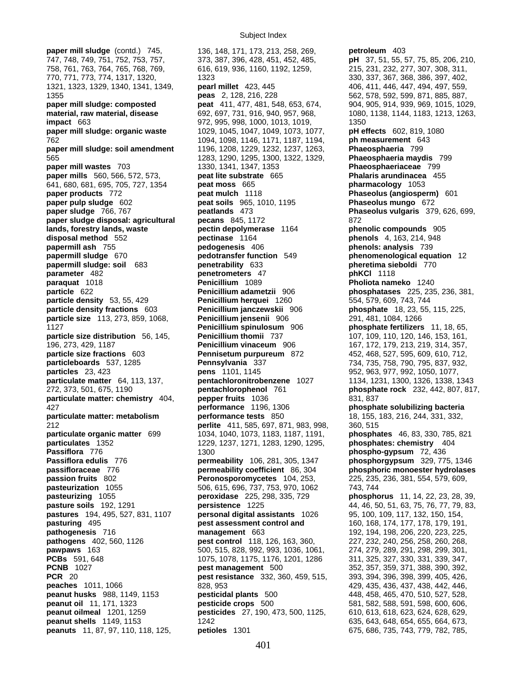**paper mill sludge** (contd.) 745, 136, 148, 171, 173, 213, 258, 269, **petroleum** 403 **pastures** 194, 495, 527, 831, 1107 **personal digital assistants** 1026

747, 748, 749, 751, 752, 753, 757, 373, 387, 396, 428, 451, 452, 485, **pH** 37, 51, 55, 57, 75, 85, 206, 210, 758, 761, 763, 764, 765, 768, 769, 616, 619, 936, 1160, 1192, 1259, 215, 231, 232, 277, 307, 308, 311, 770, 771, 773, 774, 1317, 1320, 1323 330, 337, 367, 368, 386, 397, 402, 1321, 1323, 1329, 1340, 1341, 1349, **pearl millet** 423, 445 406, 411, 446, 447, 494, 497, 559, 1355 **peas** 2, 128, 216, 228 562, 578, 592, 599, 871, 885, 887, **paper mill sludge: composted peat** 411, 477, 481, 548, 653, 674, 904, 905, 914, 939, 969, 1015, 1029, **material, raw material, disease** 692, 697, 731, 916, 940, 957, 968, 1080, 1138, 1144, 1183, 1213, 1263, **impact** 663 **1202** 972, 995, 998, 1000, 1013, 1019, 1350 **paper mill sludge: organic waste** 1029, 1045, 1047, 1049, 1073, 1077, **pH effects** 602, 819, 1080 762 1094, 1098, 1146, 1171, 1187, 1194, **ph measurement** 643 **paper mill sludge: soil amendment** 1196, 1208, 1229, 1232, 1237, 1263, **Phaeosphaeria** 799 565 1283, 1290, 1295, 1300, 1322, 1329, **Phaeosphaeria maydis** 799 **paper mills** 560, 566, 572, 573, **peat lite substrate** 665 **Phalaris arundinacea** 455 641, 680, 681, 695, 705, 727, 1354 **peat moss** 665 **pharmacology** 1053 **paper products** 772 **peat mulch** 1118 **Phaseolus (angiosperm)** 601 **paper pulp sludge** 602 **peat soils** 965, 1010, 1195 **Phaseolus mungo** 672 **paper sludge** 766, 767 **peatlands** 473 **Phaseolus vulgaris** 379, 626, 699, **paper sludge disposal: agricultural pecans** 845, 1172 872 **lands, forestry lands, waste pectin depolymerase** 1164 **phenolic compounds** 905 **disposal method** 552 **pectinase** 1164 **phenols** 4, 163, 214, 948 **papermill ash** 755 **pedogenesis** 406 **phenols: analysis** 739 **papermill sludge** 670 **pedotransfer function** 549 **phenomenological equation** 12 **papermill sludge: soil** 683 **penetrability** 633 **pheretima sieboldi** 770 **parameter** 482 **penetrometers** 47 **phKCl** 1118 **paraquat** 1018 **Penicillium** 1089 **Pholiota nameko** 1240 **particle** 622 **Penicillium adametzii** 906 **phosphatases** 225, 235, 236, 381, **particle density** 53, 55, 429 **Penicillium herquei** 1260 554, 579, 609, 743, 744 **particle density fractions** 603 **Penicillium janczewskii** 906 **phosphate** 18, 23, 55, 115, 225, **particle size** 113, 273, 859, 1068, **Penicillium jensenii** 906 291, 481, 1084, 1266 1127 **Penicillium spinulosum** 906 **phosphate fertilizers** 11, 18, 65, **particle size distribution** 56, 145, **Penicillium thomii** 737 107, 109, 110, 120, 146, 153, 161, 196, 273, 429, 1187 **Penicillium vinaceum** 906 167, 172, 179, 213, 219, 314, 357, **particle size fractions** 603 **Pennisetum purpureum** 872 452, 468, 527, 595, 609, 610, 712, **particleboards** 537, 1285 **Pennsylvania** 337 734, 735, 758, 790, 795, 837, 932, **particles** 23, 423 **pens** 1101, 1145 952, 963, 977, 992, 1050, 1077, **particulate matter** 64, 113, 137, **pentachloronitrobenzene** 1027 1134, 1231, 1300, 1326, 1338, 1343 272, 373, 501, 675, 1190 **pentachlorophenol** 761 **phosphate rock** 232, 442, 807, 817, **particulate matter: chemistry**  $404$ , **pepper fruits**  $1036$  831, 837<br>**performance** 1196, 1306 **phospha** 427 **performance** 1196, 1306 **phosphate solubilizing bacteria performance tests** 850 18, 155, 183, 216, 244, 331, 332, 212 **perlite** 411, 585, 697, 871, 983, 998, 360, 515 **particulate organic matter** 699 1034, 1040, 1073, 1183, 1187, 1191, **phosphates** 46, 83, 330, 785, 821 **particulates** 1352 1229, 1237, 1271, 1283, 1290, 1295, **phosphates: chemistry** 404 **Passiflora** 776 1300 **phospho-gypsum** 72, 436 **Passiflora edulis** 776 **permeability** 106, 281, 305, 1347 **phosphorgypsum** 329, 775, 1346 **passifloraceae** 776 **permeability coefficient** 86, 304 **phosphoric monoester hydrolases Peronosporomycetes** 104, 253, 225, 235, 236, 381, 554, 579, 609, **pasteurization** 1055 506, 615, 696, 737, 753, 970, 1062 743, 744<br> **pasteurizing** 1055 **peroxidase** 225, 298, 335, 729 **phosphc pasteurizing** 1055 **peroxidase** 225, 298, 335, 729 **phosphorus** 11, 14, 22, 23, 28, 39, **pasture soils** 192, 1291 **persistence** 1225 44, 46, 50, 51, 63, 75, 76, 77, 79, 83, pastures 194, 495, 527, 831, 1107 **personal digital assistants** 1026 95, 100, 109, 117, 132, 150, 154, **pasturing** 495 **pest assessment control and** 160, 168, 174, 177, 178, 179, 191, **pathogenesis** 716 **management** 663 192, 194, 198, 206, 220, 223, 225, **pathogens** 402, 560, 1126 **pest control** 118, 126, 163, 360, 227, 232, 240, 256, 258, 260, 268, **pawpaws** 163 500, 515, 828, 992, 993, 1036, 1061, 274, 279, 289, 291, 298, 299, 301, **PCBs** 591, 648 1075, 1078, 1175, 1176, 1201, 1286 311, 325, 327, 330, 331, 339, 347, **pest management** 500 352, 357, 359, 371, 388, 390, 392, **PCR** 20 **pest resistance** 332, 360, 459, 515, 393, 394, 396, 398, 399, 405, 426, **peaches** 1011, 1066 828, 953 429, 435, 436, 437, 438, 442, 446, **peanut husks** 988, 1149, 1153 **pesticidal plants** 500 448, 458, 465, 470, 510, 527, 528, **peanut oil** 11, 171, 1323 **pesticide crops** 500 581, 582, 588, 591, 598, 600, 606, **peanut oilmeal** 1201, 1259 **pesticides** 27, 190, 473, 500, 1125, 610, 613, 618, 623, 624, 628, 629, **peanut shells** 1149, 1153 1242 1242 635, 643, 648, 654, 655, 664, 673, **peanuts** 11, 87, 97, 110, 118, 125, **petioles** 1301 675, 686, 735, 743, 779, 782, 785,

**Phaeosphaeriaceae** 799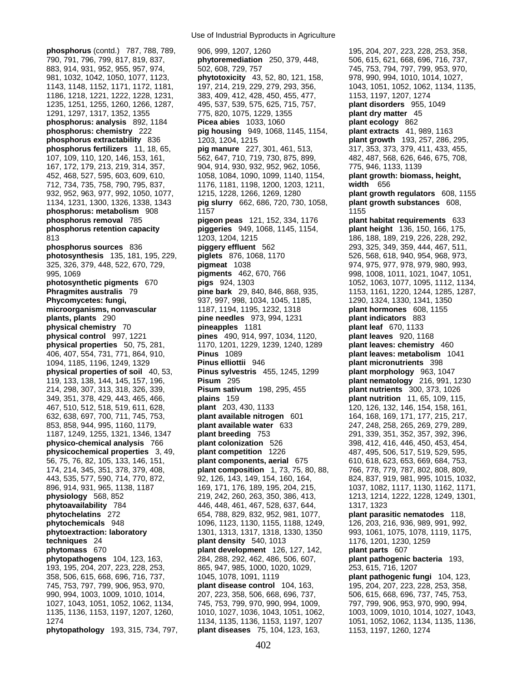712, 734, 735, 758, 790, 795, 837, 1176, 1181, 1198, 1200, 1203, 1211, **width** 656

Use of Industrial Byproducts in Agriculture

**phosphorus** (contd.) 787, 788, 789, 906, 999, 1207, 1260 195, 204, 207, 223, 228, 253, 358, 358, 790, 791, 796, 799, 817, 819, 837, **phytoremediation** 250, 379, 448, 506, 615, 621, 668, 696, 716, 737, 790, 791, 796, 799, 817, 819, 837, **phytoremediation** 250, 379, 448, 506, 615, 621, 668, 696, 716, 737, 883, 914, 931, 952, 955, 957, 974, 502, 608, 729, 757 745, 745, 753, 794, 797, 799, 953, 970, 799, 953, 970, 981, 1032, 1042, 1050, 1077, 1123, **phytotoxicity** 43, 52, 80, 121, 158, 978, 990, 994, 1010, 1014, 1027, 1143, 1148, 1152, 1171, 1172, 1181, 197, 214, 219, 229, 279, 293, 356, 1043, 1051, 1052, 1062, 1134, 1135, 1186, 1218, 1221, 1222, 1228, 1231, 383, 409, 412, 428, 450, 455, 477, 1153, 1197, 1207, 1274 1235, 1251, 1255, 1260, 1266, 1287, 495, 537, 539, 575, 625, 715, 757, **plant disorders** 955, 1049 1291, 1297, 1317, 1352, 1355 775, 820, 1075, 1229, 1355 **plant dry matter** 45 **phosphorus: analysis** 892, 1184 **Picea abies** 1033, 1060 **plant ecology** 862 **phosphorus: chemistry** 222 **pig housing** 949, 1068, 1145, 1154, **plant extracts** 41, 989, 1163 **phosphorus extractability** 836 1203, 1204, 1215 **plant growth** 193, 257, 286, 295, **phosphorus fertilizers** 11, 18, 65, **pig manure** 227, 301, 461, 513, 317, 353, 373, 379, 411, 433, 455, 107, 109, 110, 120, 146, 153, 161, 562, 647, 710, 719, 730, 875, 899, 482, 487, 568, 626, 646, 675, 708, 167, 172, 179, 213, 219, 314, 357, 904, 914, 930, 932, 952, 962, 1056, 775, 946, 1133, 1139 452, 468, 527, 595, 603, 609, 610, 1058, 1084, 1090, 1099, 1140, 1154, **plant growth: biomass, height,**  932, 952, 963, 977, 992, 1050, 1077, 1215, 1228, 1266, 1269, 1280 **plant growth regulators** 608, 1155 1134, 1231, 1300, 1326, 1338, 1343 **pig slurry** 662, 686, 720, 730, 1058, **plant growth substances** 608, **phosphorus: metabolism** 908 1157 1155 **phosphorus removal** 785 **pigeon peas** 121, 152, 334, 1176 **plant habitat requirements** 633 **phosphorus retention capacity piggeries** 949, 1068, 1145, 1154, **plant height** 136, 150, 166, 175, 813 1203, 1204, 1215 186, 188, 189, 219, 226, 228, 292, **phosphorus sources** 836 **piggery effluent** 562 293, 325, 349, 359, 444, 467, 511, **photosynthesis** 135, 181, 195, 229, **piglets** 876, 1068, 1170 526, 568, 618, 940, 954, 968, 973, 325, 326, 379, 448, 522, 670, 729, **pigmeat** 1038 974, 975, 977, 978, 979, 980, 993, 995, 1069 **pigments** 462, 670, 766 998, 1008, 1011, 1021, 1047, 1051, **photosynthetic pigments** 670 **pigs** 924, 1303 1058, 1062, 1063, 1077, 1095, 1112, 1134, 1134, 1135, 1184, 1285, 1287, 1095, 1287, **Phragmites australis** 79 **pine bark** 29, 840, 846, 868, 935, 1153, 1161, 1220, 1244, 1285, 1287, **Phycomycetes: fungi,** 937, 997, 998, 1034, 1045, 1185, 1290, 1324, 1330, 1341, 1350 **microorganisms, nonvascular** 1187, 1194, 1195, 1232, 1318 **plant hormones** 608, 1155 **plants, plants** 290 **pine needles** 973, 994, 1231 **plant indicators** 883 **physical chemistry** 70 **pineapples** 1181 **plant leaf** 670, 1133 **physical control** 997, 1221 **pines** 490, 914, 997, 1034, 1120, **plant leaves** 920, 1168 **physical properties** 50, 75, 281, 1170, 1201, 1229, 1239, 1240, 1289 **plant leaves: chemistry** 460 406, 407, 554, 731, 771, 864, 910, **Pinus** 1089 **plant leaves: metabolism** 1041 1094, 1185, 1196, 1249, 1329 **Pinus elliottii** 946 **plant micronutrients** 398 **physical properties of soil** 40, 53, **Pinus sylvestris** 455, 1245, 1299 **plant morphology** 963, 1047 119, 133, 138, 144, 145, 157, 196, **Pisum** 295 **plant nematology** 216, 991, 1230 214, 298, 307, 313, 318, 326, 339, **Pisum sativum** 198, 295, 455 **plant nutrients** 300, 373, 1026 349, 351, 378, 429, 443, 465, 466, **plains** 159 **plant nutrition** 11, 65, 109, 115, 467, 510, 512, 518, 519, 611, 628, **plant** 203, 430, 1133 120, 126, 132, 146, 154, 158, 161, 632, 638, 697, 700, 711, 745, 753, **plant available nitrogen** 601 164, 168, 169, 171, 177, 215, 217, 853, 858, 944, 995, 1160, 1179, **plant available water** 633 247, 248, 258, 265, 269, 279, 289, 1187, 1249, 1255, 1321, 1346, 1347 **plant breeding** 753 291, 339, 351, 352, 357, 392, 396, **physico-chemical analysis** 766 **plant colonization** 526 398, 412, 416, 446, 450, 453, 454, **physicochemical properties** 3, 49, **plant competition** 1226 487, 495, 506, 517, 519, 529, 595, 56, 75, 76, 82, 105, 133, 146, 151, **plant components, aerial** 675 610, 618, 623, 653, 669, 684, 753, 174, 214, 345, 351, 378, 379, 408, **plant composition** 1, 73, 75, 80, 88, 766, 778, 779, 787, 802, 808, 809, 443, 535, 577, 590, 714, 770, 872, 92, 126, 143, 149, 154, 160, 164, 824, 837, 919, 981, 995, 1015, 1032, 896, 914, 931, 965, 1138, 1187 169, 171, 176, 189, 195, 204, 215, 1037, 1082, 1117, 1130, 1162, 1171, **physiology** 568, 852 219, 242, 260, 263, 350, 386, 413, 1213, 1214, 1222, 1228, 1249, 1301, **phytoavailability** 784 446, 446, 448, 461, 467, 528, 637, 644, 1317, 1323 **phytochelatins** 272 654, 788, 829, 832, 952, 981, 1077, **plant parasitic nematodes** 118, **phytochemicals** 948 1096, 1123, 1130, 1155, 1188, 1249, 126, 203, 216, 936, 989, 991, 992, **phytoextraction: laboratory** 1301, 1313, 1317, 1318, 1330, 1350 993, 1061, 1075, 1078, 1119, 1175, **techniques** 24 **plant density** 540, 1013 1176, 1201, 1230, 1259 **phytomass** 670 **plant development** 126, 127, 142, **plant parts** 607 **phytopathogens** 104, 123, 163, 284, 288, 292, 462, 486, 506, 607, **plant pathogenic bacteria** 193, 193, 195, 204, 207, 223, 228, 253, 865, 947, 985, 1000, 1020, 1029, 253, 615, 716, 1207 358, 506, 615, 668, 696, 716, 737, 1045, 1078, 1091, 1119 **plant pathogenic fungi** 104, 123, 745, 753, 797, 799, 906, 953, 970, **plant disease control** 104, 163, 195, 204, 207, 223, 228, 253, 358, 990, 994, 1003, 1009, 1010, 1014, 207, 223, 358, 506, 668, 696, 737, 506, 615, 668, 696, 737, 745, 753, 1027, 1043, 1051, 1052, 1062, 1134, 745, 753, 799, 970, 990, 994, 1009, 797, 799, 906, 953, 970, 990, 994, 1135, 1136, 1153, 1197, 1207, 1260, 1010, 1027, 1036, 1043, 1051, 1062, 1003, 1009, 1010, 1014, 1027, 1043, 1274 1134, 1135, 1136, 1153, 1197, 1207 1051, 1052, 1062, 1134, 1135, 1136, **phytopathology** 193, 315, 734, 797, **plant diseases** 75, 104, 123, 163, 1153, 1197, 1260, 1274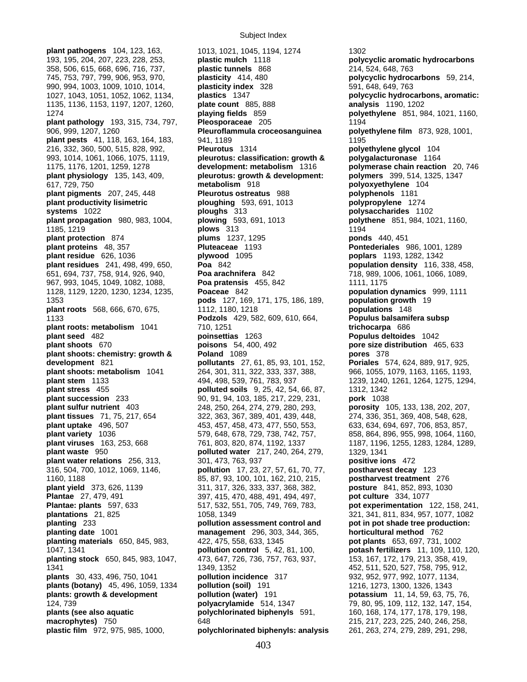**plant pathogens** 104, 123, 163, 1013, 1021, 1045, 1194, 1274 1302

193, 195, 204, 207, 223, 228, 253, **plastic mulch** 1118 **polycyclic aromatic hydrocarbons**  358, 506, 615, 668, 696, 716, 737, **plastic tunnels** 868 214, 524, 648, 763 745, 753, 797, 799, 906, 953, 970, **plasticity** 414, 480 **polycyclic hydrocarbons** 59, 214, 990, 994, 1003, 1009, 1010, 1014, **plasticity index** 328 591, 648, 649, 763 1135, 1136, 1153, 1197, 1207, 1260, **plate count** 885, 888 **analysis** 1190, 1202 1274 **playing fields** 859 **polyethylene** 851, 984, 1021, 1160, **plant pathology** 193, 315, 734, 797, **Pleosporaceae** 205 1194 906, 999, 1207, 1260 **Pleuroflammula croceosanguinea polyethylene film** 873, 928, 1001, **plant pests** 41, 118, 163, 164, 183, 941, 1189 216, 332, 360, 500, 515, 828, 992, **Pleurotus** 1314 **polyethylene glycol** 104 993, 1014, 1061, 1066, 1075, 1119, **pleurotus: classification: growth & polygalacturonase** 1164 1175, 1176, 1201, 1259, 1278 **development: metabolism** 1316 **polymerase chain reaction** 20, 746 **plant physiology** 135, 143, 409, **pleurotus: growth & development: polymers** 399, 514, 1325, 1347 617, 729, 750 **metabolism** 918 **polyoxyethylene** 104 **plant pigments** 207, 245, 448 **Pleurotus ostreatus** 988 **polyphenols** 1181 **plant productivity lisimetric ploughing** 593, 691, 1013 **polypropylene** 1274 **systems** 1022 **ploughs** 313 **polysaccharides** 1102 **plant propagation** 980, 983, 1004, **plowing** 593, 691, 1013 **polythene** 851, 984, 1021, 1160, 1185, 1219 **plows** 313 1194 **plant protection** 874 **plums** 1237, 1295 **ponds** 440, 451 **plant proteins** 48, 357 **Pluteaceae** 1193 **Pontederiales** 986, 1001, 1289 **plant residue** 626, 1036 **plywood** 1095 **poplars** 1193, 1282, 1342 **plant residues** 241, 498, 499, 650, **Poa** 842 **population density** 116, 338, 458, 651, 694, 737, 758, 914, 926, 940, **Poa arachnifera** 842 718, 989, 1006, 1061, 1066, 1089, 967, 993, 1045, 1049, 1082, 1088, **Poa pratensis** 455, 842 1111, 1175 1128, 1129, 1220, 1230, 1234, 1235, **Poaceae** 842 **population dynamics** 999, 1111 1353 **pods** 127, 169, 171, 175, 186, 189, **population growth** 19 **plant roots** 568, 666, 670, 675, 1112, 1180, 1218 **populations** 148 1133 **Podzols** 429, 582, 609, 610, 664, **Populus balsamifera subsp plant roots: metabolism** 1041 710, 1251 **trichocarpa** 686 **plant seed** 482 **poinsettias** 1263 **Populus deltoides** 1042 **plant shoots** 670 **poisons** 54, 400, 492 **pore size distribution** 465, 633 **plant shoots: chemistry: growth & Poland** 1089 **pores** 378 **development** 821 **pollutants** 27, 61, 85, 93, 101, 152, **Poriales** 574, 624, 889, 917, 925, **plant shoots: metabolism** 1041 264, 301, 311, 322, 333, 337, 388, 966, 1055, 1079, 1163, 1165, 1193, **plant stem** 1133 494, 498, 539, 761, 783, 937 1239, 1240, 1261, 1264, 1275, 1294, **plant stress** 455 **polluted soils** 9, 25, 42, 54, 66, 87, 1312, 1342 **plant succession** 233 90, 91, 94, 103, 185, 217, 229, 231, **pork** 1038 **plant sulfur nutrient** 403 248, 250, 264, 274, 279, 280, 293, **porosity** 105, 133, 138, 202, 207, **plant tissues** 71, 75, 217, 654 322, 363, 367, 389, 401, 439, 448, 274, 336, 351, 369, 408, 548, 628, **plant uptake** 496, 507 453, 457, 458, 473, 477, 550, 553, 633, 634, 694, 697, 706, 853, 857, **plant variety** 1036 579, 648, 678, 729, 738, 742, 757, 858, 864, 896, 955, 998, 1064, 1160, **plant viruses** 163, 253, 668 761, 803, 820, 874, 1192, 1337 1187, 1196, 1255, 1283, 1284, 1289, **plant waste** 950 **polluted water** 217, 240, 264, 279, 1329, 1341 **plant water relations** 256, 313, 301, 473, 763, 937 **positive ions** 472 316, 504, 700, 1012, 1069, 1146, **pollution** 17, 23, 27, 57, 61, 70, 77, **postharvest decay** 123 1160, 1188 85, 87, 93, 100, 101, 162, 210, 215, **postharvest treatment** 276 **plant yield** 373, 626, 1139 311, 317, 326, 333, 337, 368, 382, **posture** 841, 852, 893, 1030 **Plantae** 27, 479, 491 397, 415, 470, 488, 491, 494, 497, **pot culture** 334, 1077 **Plantae: plants** 597, 633 517, 532, 551, 705, 749, 769, 783, **pot experimentation** 122, 158, 241, **plantations** 21, 825 1058, 1349 321, 341, 811, 834, 957, 1077, 1082 **planting** 233 **pollution assessment control and pot in pot shade tree production: planting date** 1001 **management** 296, 303, 344, 365, **horticultural method** 762 **planting materials** 650, 845, 983, 422, 475, 558, 633, 1345 **pot plants** 653, 697, 731, 1002 1047, 1341 **pollution control** 5, 42, 81, 100, **potash fertilizers** 11, 109, 110, 120, **planting stock** 650, 845, 983, 1047, 473, 647, 726, 736, 757, 763, 937, 153, 167, 172, 179, 213, 358, 419, 1341 1349, 1352 452, 511, 520, 527, 758, 795, 912, **plants** 30, 433, 496, 750, 1041 **pollution incidence** 317 932, 952, 977, 992, 1077, 1134, **plants (botany)** 45, 496, 1059, 1334 **pollution (soil)** 191 1216, 1273, 1300, 1326, 1343 **plants: growth & development pollution (water)** 191 **potassium** 11, 14, 59, 63, 75, 76, 109, 112, 132, 147, 154 124, 739 **polyacrylamide** 514, 1347 79, 80, 95, 109, 112, 132, 147, 154, **plants (see also aquatic computed biphenyls** 591, 160, 168, 174, 177, 178, 179, 198, 179, 198, **macrophytes)** 750 648 215, 217, 223, 225, 240, 246, 258, **plastic film** 972, 975, 985, 1000, **polychlorinated biphenyls: analysis** 261, 263, 274, 279, 289, 291, 298,

1027, 1043, 1051, 1052, 1062, 1134, **plastics** 1347 **polycyclic hydrocarbons, aromatic:**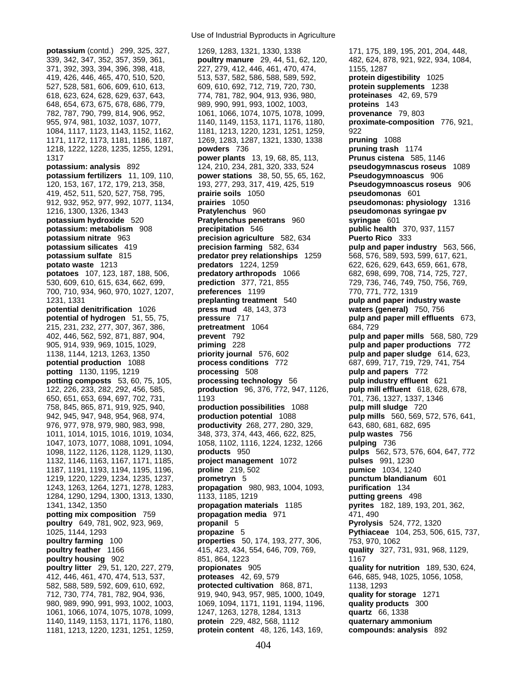1181, 1213, 1220, 1231, 1251, 1259, **protein content** 48, 126, 143, 169, **compounds: analysis** 892

Use of Industrial Byproducts in Agriculture

339, 342, 347, 352, 357, 359, 361, **poultry manure** 29, 44, 51, 62, 120, 482, 624, 878, 921, 922, 934, 1084, 371, 392, 393, 394, 396, 398, 418, 227, 279, 412, 446, 461, 470, 474, 1155, 1287 419, 426, 446, 465, 470, 510, 520, 513, 537, 582, 586, 588, 589, 592, **protein digestibility** 1025 527, 528, 581, 606, 609, 610, 613, 609, 610, 692, 712, 719, 720, 730, **protein supplements** 1238 618, 623, 624, 628, 629, 637, 643, 774, 781, 782, 904, 913, 936, 980, **proteinases** 42, 69, 579 648, 654, 673, 675, 678, 686, 779, 989, 990, 991, 993, 1002, 1003, **proteins** 143 782, 787, 790, 799, 814, 906, 952, 1061, 1066, 1074, 1075, 1078, 1099, **provenance** 79, 803 955, 974, 981, 1032, 1037, 1077, 1140, 1149, 1153, 1171, 1176, 1180, **proximate-composition** 776, 921, 1084, 1117, 1123, 1143, 1152, 1162, 1181, 1213, 1220, 1231, 1251, 1259, 922 1171, 1172, 1173, 1181, 1186, 1187, 1269, 1283, 1287, 1321, 1330, 1338 **pruning** 1088 1218, 1222, 1228, 1235, 1255, 1291, **powders** 736 **pruning trash** 1174 1317 **power plants** 13, 19, 68, 85, 113, **Prunus cistena** 585, 1146 **potassium: analysis** 892 124, 210, 234, 281, 320, 333, 524 **pseudogymnascus roseus** 1089 **potassium fertilizers** 11, 109, 110, **power stations** 38, 50, 55, 65, 162, **Pseudogymnoascus** 906 120, 153, 167, 172, 179, 213, 358, 193, 277, 293, 317, 419, 425, 519 **Pseudogymnoascus roseus** 906 419, 452, 511, 520, 527, 758, 795, **prairie soils** 1050 **pseudomonas** 601 912, 932, 952, 977, 992, 1077, 1134, **prairies** 1050 **pseudomonas: physiology** 1316 1216, 1300, 1326, 1343 **Pratylenchus** 960 **pseudomonas syringae pv potassium hydroxide** 520 **Pratylenchus penetrans** 960 **syringae** 601 **potassium: metabolism** 908 **precipitation** 546 **public health** 370, 937, 1157 **potassium nitrate** 963 **precision agriculture** 582, 634 **Puerto Rico** 333 **potassium silicates** 419 **precision farming** 582, 634 **pulp and paper industry** 563, 566, **potassium sulfate** 815 **predator prey relationships** 1259 568, 576, 589, 593, 599, 617, 621, **potato waste** 1213 **predators** 1224, 1259 622, 626, 629, 643, 659, 661, 678, **potatoes** 107, 123, 187, 188, 506, **predatory arthropods** 1066 682, 698, 699, 708, 714, 725, 727, 530, 609, 610, 615, 634, 662, 699, **prediction** 377, 721, 855 729, 736, 746, 749, 750, 756, 769, 700, 710, 934, 960, 970, 1027, 1207, **preferences** 1199 770, 771, 772, 1319 1231, 1331 **preplanting treatment** 540 **pulp and paper industry waste potential denitrification** 1026 **press mud** 48, 143, 373 **waters (general)** 750, 756 **potential of hydrogen** 51, 55, 75, **pressure** 717 **pulp and paper mill effluents** 673, 215, 231, 232, 277, 307, 367, 386, **pretreatment** 1064 684, 729 402, 446, 562, 592, 871, 887, 904, **prevent** 792 **pulp and paper mills** 568, 580, 729 905, 914, 939, 969, 1015, 1029, **priming** 228 **pulp and paper productions** 772 1138, 1144, 1213, 1263, 1350 **priority journal** 576, 602 **pulp and paper sludge** 614, 623, **potential production** 1088 **process conditions** 772 687, 699, 717, 719, 729, 741, 754 **potting** 1130, 1195, 1219 **processing** 508 **pulp and papers** 772 **potting composts** 53, 60, 75, 105, **processing technology** 56 **pulp industry effluent** 621 122, 226, 233, 282, 292, 456, 585, **production** 96, 376, 772, 947, 1126, **pulp mill effluent** 618, 628, 678, 650, 651, 653, 694, 697, 702, 731, 1193 701, 736, 1327, 1337, 1346 758, 845, 865, 871, 919, 925, 940, **production possibilities** 1088 **pulp mill sludge** 720 942, 945, 947, 948, 954, 968, 974, **production potential** 1088 **pulp mills** 560, 569, 572, 576, 641, 976, 977, 978, 979, 980, 983, 998, **productivity** 268, 277, 280, 329, 643, 680, 681, 682, 695 1011, 1014, 1015, 1016, 1019, 1034, 348, 373, 374, 443, 466, 622, 825, **pulp wastes** 756 1047, 1073, 1077, 1088, 1091, 1094, 1058, 1102, 1116, 1224, 1232, 1266 **pulping** 736 1098, 1122, 1126, 1128, 1129, 1130, **products** 950 **pulps** 562, 573, 576, 604, 647, 772 1132, 1146, 1163, 1167, 1171, 1185, **project management** 1072 **pulses** 991, 1230 1187, 1191, 1193, 1194, 1195, 1196, **proline** 219, 502 **pumice** 1034, 1240 1219, 1220, 1229, 1234, 1235, 1237, **prometryn** 5 **punctum blandianum** 601 1243, 1263, 1264, 1271, 1278, 1283, **propagation** 980, 983, 1004, 1093, **purification** 134 1284, 1290, 1294, 1300, 1313, 1330, 1133, 1185, 1219 **putting greens** 498 1341, 1342, 1350 **propagation materials** 1185 **pyrites** 182, 189, 193, 201, 362, **potting mix composition** 759 **propagation media** 971 471, 490 **poultry** 649, 781, 902, 923, 969, **propanil** 5 **Pyrolysis** 524, 772, 1320 1025, 1144, 1293 **propazine** 5 **Pythiaceae** 104, 253, 506, 615, 737, **poultry farming** 100 **properties** 50, 174, 193, 277, 306, 753, 970, 1062 **poultry feather** 1166 415, 423, 434, 554, 646, 709, 769, **quality** 327, 731, 931, 968, 1129, **poultry housing** 902 851, 864, 1223 **1167 poultry litter** 29, 51, 120, 227, 279, **propionates** 905 **quality for nutrition** 189, 530, 624, 412, 446, 461, 470, 474, 513, 537, **proteases** 42, 69, 579 646, 685, 948, 1025, 1056, 1058, 582, 588, 589, 592, 609, 610, 692, **protected cultivation** 868, 871, 1138, 1293 712, 730, 774, 781, 782, 904, 936, 919, 940, 943, 957, 985, 1000, 1049, **quality for storage** 1271 980, 989, 990, 991, 993, 1002, 1003, 1069, 1094, 1171, 1191, 1194, 1196, **quality products** 300 1061, 1066, 1074, 1075, 1078, 1099, 1247, 1263, 1278, 1284, 1313 **quartz** 66, 1338 1140, 1149, 1153, 1171, 1176, 1180, **protein** 229, 482, 568, 1112 **quaternary ammonium** 

potassium (contd.) 299, 325, 327, 1269, 1283, 1321, 1330, 1338 171, 175, 189, 195, 201, 204, 448,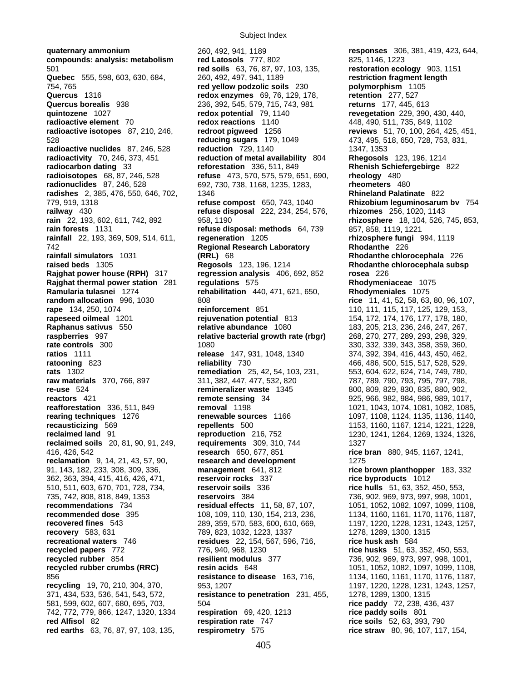Subject Index

**compounds: analysis: metabolism red Latosols** 777, 802 825, 1146, 1223 501 **red soils** 63, 76, 87, 97, 103, 135, **restoration ecology** 903, 1151 **Quebec** 555, 598, 603, 630, 684, 260, 492, 497, 941, 1189 754, 765 **red yellow podzolic soils** 230 **polymorphism** 1105 **Quercus** 1316 **redox enzymes** 69, 76, 129, 178, **retention** 277, 527 **Quercus borealis** 938 236, 392, 545, 579, 715, 743, 981 **returns** 177, 445, 613 **quintozene** 1027 **redox potential** 79, 1140 **revegetation** 229, 390, 430, 440, **radioactive element** 70 **redox reactions** 1140 448, 490, 511, 735, 849, 1102<br> **radioactive isotopes** 87, 210, 246, **redroot pigweed** 1256 **reviews** 51, 70, 100, 264, 42 **radioactive isotopes** 87, 210, 246, **redroot pigweed** 1256 **reviews** 51, 70, 100, 264, 425, 451, 528 **reducing sugars** 179, 1049 473, 495, 518, 650, 728, 753, 831, **radioactive nuclides** 87, 246, 528 **reduction** 729, 1140 1347, 1353 **radioactivity** 70, 246, 373, 451 **reduction of metal availability** 804 **Rhegosols** 123, 196, 1214 **radiocarbon dating** 33 **reforestation** 336, 511, 849 **Rhenish Schiefergebirge** 822 **radioisotopes** 68, 87, 246, 528 **refuse** 473, 570, 575, 579, 651, 690, **rheology** 480 **radionuclides** 87, 246, 528 692, 730, 738, 1168, 1235, 1283, **rheometers** 480 **radishes** 2, 385, 476, 550, 646, 702, 1346 **Rhineland Palatinate** 822 779, 919, 1318 **refuse compost** 650, 743, 1040 **Rhizobium leguminosarum bv** 754 **railway** 430 **refuse disposal** 222, 234, 254, 576, **rhizomes** 256, 1020, 1143 **rain** 22, 193, 602, 611, 742, 892 958, 1190 **rhizosphere** 18, 104, 526, 745, 853, **rain forests** 1131 **refuse disposal: methods** 64, 739 857, 858, 1119, 1221 **rainfall** 22, 193, 369, 509, 514, 611, **regeneration** 1205 **rhizosphere fungi** 994, 1119 742 **Regional Research Laboratory Rhodanthe** 226 **rainfall simulators** 1031 **(RRL)** 68 **Rhodanthe chlorocephala** 226 **raised beds** 1305 **Regosols** 123, 196, 1214 **Rhodanthe chlorocephala subsp Rajghat power house (RPH)** 317 **regression analysis** 406, 692, 852 **rosea** 226 **Rajghat thermal power station** 281 **regulations** 575 **Rhodymeniaceae** 1075 **random allocation** 996, 1030 808 **rice** 11, 41, 52, 58, 63, 80, 96, 107, **rape** 134, 250, 1074 **reinforcement** 851 110, 111, 115, 117, 125, 129, 153, **rapeseed oilmeal** 1201 **rejuvenation potential** 813 154, 172, 174, 176, 177, 178, 180, **Raphanus sativus** 550 **relative abundance** 1080 183, 205, 213, 236, 246, 247, 267, **raspberries** 997 **relative bacterial growth rate (rbgr)** 268, 270, 277, 289, 293, 298, 329, **rate controls** 300 330, 332, 339, 343, 358, 359, 360, 300, 332, 339, 343, 358, 359, 360, **ratios** 1111 **release** 147, 931, 1048, 1340 374, 392, 394, 416, 443, 450, 462, **ratooning** 823 **reliability** 730 466, 486, 500, 515, 517, 528, 529, **rats** 1302 **remediation** 25, 42, 54, 103, 231, 553, 604, 622, 624, 714, 749, 780, **raw materials** 370, 766, 897 311, 382, 447, 477, 532, 820 787, 789, 790, 793, 795, 797, 798, **re-use** 524 **remineralizer waste** 1345 800, 809, 829, 830, 835, 880, 902, **reactors** 421 **remote sensing** 34 925, 966, 982, 984, 986, 989, 1017, **reafforestation** 336, 511, 849 **removal** 1198 1021, 1043, 1074, 1081, 1082, 1085, **rearing techniques** 1276 **renewable sources** 1166 1097, 1108, 1124, 1135, 1136, 1140, **recausticizing** 569 **repellents** 500 1153, 1160, 1167, 1214, 1221, 1228, **reclaimed land** 91 **reproduction** 216, 752 1230, 1241, 1264, 1269, 1324, 1326, **reclaimed soils** 20, 81, 90, 91, 249, **requirements** 309, 310, 744 1327 416, 426, 542 **research** 650, 677, 851 **rice bran** 880, 945, 1167, 1241, **reclamation** 9, 14, 21, 43, 57, 90, **research and development** 1275 91, 143, 182, 233, 308, 309, 336, **management** 641, 812 **rice brown planthopper** 183, 332 362, 363, 394, 415, 416, 426, 471, **reservoir rocks** 337 **rice byproducts** 1012 510, 511, 603, 670, 701, 728, 734, **reservoir soils** 336 **rice hulls** 51, 63, 352, 450, 553, 735, 742, 808, 818, 849, 1353 **reservoirs** 384 736, 902, 969, 973, 997, 998, 1001, **recommendations** 734 **residual effects** 11, 58, 87, 107, 1051, 1052, 1082, 1097, 1099, 1108, **recommended dose** 395 108, 109, 110, 130, 154, 213, 236, 1134, 1160, 1161, 1170, 1176, 1187, **recovered fines** 543 289, 359, 570, 583, 600, 610, 669, 1197, 1220, 1228, 1231, 1243, 1257, **recovery** 583, 631 789, 823, 1032, 1223, 1337 1278, 1289, 1300, 1315 **recreational waters** 746 **residues** 22, 154, 567, 596, 716, **rice husk ash** 584 **recycled rubber** 854 **resilient modulus** 377 736, 902, 969, 973, 997, 998, 1001, **recycled rubber crumbs (RRC) resin acids** 648 1051, 1052, 1082, 1097, 1099, 1108, 856 **resistance to disease** 163, 716, 1134, 1160, 1161, 1170, 1176, 1187, **recycling** 19, 70, 210, 304, 370, 953, 1207 1197, 1220, 1228, 1231, 1243, 1257, 1243, 1257, 371, 434, 533, 536, 541, 543, 572, **resistance to penetration** 231, 455, 1278, 1289, 1300, 1315 581, 599, 602, 607, 680, 695, 703, 504 **rice paddy** 72, 238, 436, 437 742, 772, 779, 866, 1247, 1320, 1334 **respiration** 69, 420, 1213 **rice paddy soils** 801 **red Alfisol** 82 **respiration rate** 747 **rice soils** 52, 63, 393, 790 **red earths** 63, 76, 87, 97, 103, 135, **respirometry** 575 **rice straw** 80, 96, 107, 117, 154,

**quaternary ammonium** 260, 492, 941, 1189 **responses** 306, 381, 419, 423, 644, **rehabilitation** 440, 471, 621, 650, **recycled papers** 772 776, 940, 968, 1230 **rice husks** 51, 63, 352, 450, 553,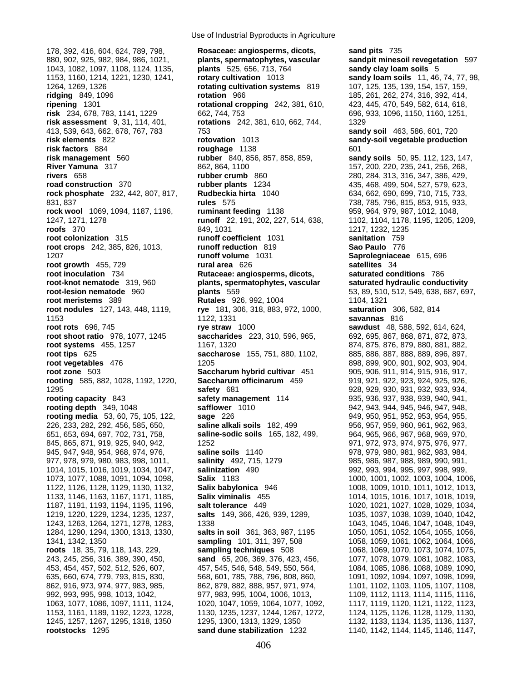178, 392, 416, 604, 624, 789, 798, **Rosaceae: angiosperms, dicots, sand pits** 735 880, 902, 925, 982, 984, 986, 1021, **plants, spermatophytes, vascular sandpit minesoil revegetation** 597 1043, 1082, 1097, 1108, 1124, 1135, **plants** 525, 656, 713, 764 **sandy clay loam soils** 5 1153, 1160, 1214, 1221, 1230, 1241, **rotary cultivation** 1013 **sandy loam soils** 11, 46, 74, 77, 98, 1264, 1269, 1326 **rotating cultivation systems** 819 107, 125, 135, 139, 154, 157, 159, **ridging** 849, 1096 **rotation** 966 185, 261, 262, 274, 316, 392, 414, **ripening** 1301 **rotational cropping** 242, 381, 610, 423, 445, 470, 549, 582, 614, 618, **risk** 234, 678, 783, 1141, 1229 662, 744, 753 696, 933, 1096, 1150, 1160, 1251, **risk assessment** 9, 31, 114, 401, **rotations** 242, 381, 610, 662, 744, 1329 413, 539, 643, 662, 678, 767, 783 753 **sandy soil** 463, 586, 601, 720 **risk elements** 822 **rotovation** 1013 **sandy-soil vegetable production risk factors** 884 **roughage** 1138 601 **risk management** 560 **rubber** 840, 856, 857, 858, 859, **sandy soils** 50, 95, 112, 123, 147, **River Yamuna** 317 862, 864, 1100 157, 200, 220, 235, 241, 256, 268, 268, 268, 256, 268, 268, 269, 256, 268, 269, 27 **rivers** 658 **rubber crumb** 860 280, 284, 313, 316, 347, 386, 429, **road construction** 370 **rubber plants** 1234 435, 468, 499, 504, 527, 579, 623, **rock phosphate** 232, 442, 807, 817, **Rudbeckia hirta** 1040 634, 662, 690, 699, 710, 715, 733, 831, 837 **rules** 575 738, 785, 796, 815, 853, 915, 933, **rock wool** 1069, 1094, 1187, 1196, **ruminant feeding** 1138 959, 964, 979, 987, 1012, 1048, 1247, 1271, 1278 **runoff** 22, 191, 202, 227, 514, 638, 1102, 1104, 1178, 1195, 1205, 1209, **roofs** 370 849, 1031 849, 1031 849, 1031 849, 1232, 1235 **root colonization** 315 **runoff coefficient** 1031 **sanitation** 759 **root crops** 242, 385, 826, 1013, **runoff reduction** 819 **Sao Paulo** 776 1207 **runoff volume** 1031 **Saprolegniaceae** 615, 696 **root growth** 455, 729 **rural area** 626 **satellites** 34 **root inoculation** 734 **Rutaceae: angiosperms, dicots, angiostropy in saturated conditions 786<br><b>root-knot nematode** 319, 960 **plants, spermatophytes, vascular** saturated hydraulic condu **root-lesion nematode** 960 **plants** 559 53, 89, 510, 512, 549, 638, 687, 697, **root meristems** 389 **Rutales** 926, 992, 1004 1104, 1321<br>**root nodules** 127, 143, 448, 1119, **rye** 181, 306, 318, 883, 972, 1000, **saturation** 306, 582, 814 **root nodules** 127, 143, 448, 1119, **rye** 181, 306, 318, 883, 972, 1000, 1153 1122, 1331 **savannas** 816 **root rots** 696, 745 **rye straw** 1000 **sawdust** 48, 588, 592, 614, 624, **root shoot ratio** 978, 1077, 1245 **saccharides** 223, 310, 596, 965, 692, 695, 867, 868, 871, 872, 873, **root systems** 455, 1257 1167, 1320 874, 875, 876, 879, 880, 881, 882, **root tips** 625 **saccharose** 155, 751, 880, 1102, 885, 886, 887, 888, 889, 896, 897, **root vegetables** 476 1205 898, 899, 900, 901, 902, 903, 904, **root zone** 503 **Saccharum hybrid cultivar** 451 905, 906, 911, 914, 915, 916, 917, **rooting** 585, 882, 1028, 1192, 1220, **Saccharum officinarum** 459 919, 921, 922, 923, 924, 925, 926, 1295 **safety** 681 928, 929, 930, 931, 932, 933, 934, **rooting capacity** 843 **safety management** 114 935, 936, 937, 938, 939, 940, 941, **rooting depth** 349, 1048 **safflower** 1010 942, 943, 944, 945, 946, 947, 948, **rooting media** 53, 60, 75, 105, 122, **sage** 226 949, 950, 951, 952, 953, 954, 955, 954, 955, 226, 233, 282, 292, 456, 585, 650, **saline alkali soils** 182, 499 956, 957, 959, 960, 961, 962, 963, 651, 653, 694, 697, 702, 731, 758, **saline-sodic soils** 165, 182, 499, 964, 965, 966, 967, 968, 969, 970, 845, 865, 871, 919, 925, 940, 942, 1252 971, 972, 973, 974, 975, 976, 977, 945, 947, 948, 954, 968, 974, 976, **saline soils** 1140 978, 979, 980, 981, 982, 983, 984, 977, 978, 979, 980, 983, 998, 1011, **salinity** 492, 715, 1279 985, 986, 987, 988, 989, 990, 991, 1014, 1015, 1016, 1019, 1034, 1047, **salinization** 490 992, 993, 994, 995, 997, 998, 999, 1073, 1077, 1088, 1091, 1094, 1098, **Salix** 1183 1000, 1001, 1002, 1003, 1004, 1006, 1122, 1126, 1128, 1129, 1130, 1132, **Salix babylonica** 946 1008, 1009, 1010, 1011, 1012, 1013, 1133, 1146, 1163, 1167, 1171, 1185, **Salix viminalis** 455 1014, 1015, 1016, 1017, 1018, 1019, 1187, 1191, 1193, 1194, 1195, 1196, **salt tolerance** 449 1020, 1021, 1027, 1028, 1029, 1034, 1219, 1220, 1229, 1234, 1235, 1237, **salts** 149, 366, 426, 939, 1289, 1035, 1037, 1038, 1039, 1040, 1042, 1243, 1263, 1264, 1271, 1278, 1283, 1338 1043, 1045, 1046, 1047, 1048, 1049, 1284, 1290, 1294, 1300, 1313, 1330, **salts in soil** 361, 363, 987, 1195 1050, 1051, 1052, 1054, 1055, 1056, 1341, 1342, 1350 **sampling** 101, 311, 397, 508 1058, 1059, 1061, 1062, 1064, 1066, **roots** 18, 35, 79, 118, 143, 229, **sampling techniques** 508 1068, 1069, 1070, 1073, 1074, 1075, 243, 245, 256, 316, 389, 390, 450, **sand** 65, 206, 369, 376, 423, 456, 1077, 1078, 1079, 1081, 1082, 1083, 453, 454, 457, 502, 512, 526, 607, 457, 545, 546, 548, 549, 550, 564, 1084, 1085, 1086, 1088, 1089, 1090, 635, 660, 674, 779, 793, 815, 830, 668, 601, 785, 788, 796, 808, 860, 1091, 1092, 1094, 1097, 1098, 1099, 1099, 862, 916, 973, 974, 977, 983, 985, 862, 879, 882, 888, 957, 971, 974, 1101, 1102, 1103, 1105, 1107, 1108, 1107, 1108, 992, 993, 995, 998, 1013, 1042, 977, 983, 995, 1004, 1006, 1013, 1109, 1112, 1113, 1114, 1115, 1116, 1063, 1077, 1086, 1097, 1111, 1124, 1020, 1047, 1059, 1064, 1077, 1092, 1117, 1119, 1120, 1121, 1122, 1123, 1153, 1161, 1189, 1192, 1223, 1228, 1130, 1235, 1237, 1244, 1267, 1272, 1124, 1125, 1126, 1128, 1129, 1130, 1245, 1257, 1267, 1295, 1318, 1350 1295, 1300, 1313, 1329, 1350 1132, 1133, 1134, 1135, 1136, 1137, **rootstocks** 1295 **sand dune stabilization** 1232 1140, 1142, 1144, 1145, 1146, 1147,

Use of Industrial Byproducts in Agriculture

**root-knot nematode** 319, 960 **plants, spermatophytes, vascular saturated hydraulic conductivity**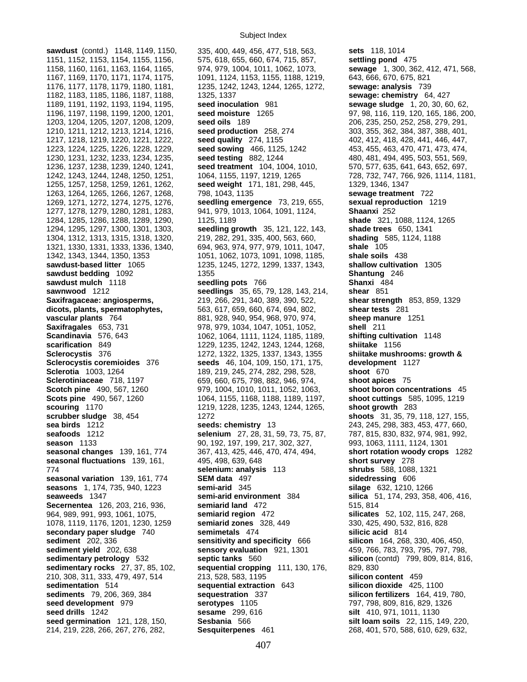**sawdust** (contd.) 1148, 1149, 1150, 335, 400, 449, 456, 477, 518, 563, **sets** 118, 1014

1151, 1152, 1153, 1154, 1155, 1156, 575, 618, 655, 660, 674, 715, 857, **settling pond** 475 1158, 1160, 1161, 1163, 1164, 1165, 974, 979, 1004, 1011, 1062, 1073, **sewage** 1, 300, 362, 412, 471, 568, 1167, 1169, 1170, 1171, 1174, 1175, 1091, 1124, 1153, 1155, 1188, 1219, 643, 666, 670, 675, 821 1176, 1177, 1178, 1179, 1180, 1181, 1235, 1242, 1243, 1244, 1265, 1272, **sewage: analysis** 739 1182, 1183, 1185, 1186, 1187, 1188, 1325, 1337 **sewage: chemistry** 64, 427 1189, 1191, 1192, 1193, 1194, 1195, **seed inoculation** 981 **sewage sludge** 1, 20, 30, 60, 62, 1196, 1197, 1198, 1199, 1200, 1201, **seed moisture** 1265 97, 98, 116, 119, 120, 165, 186, 200, 1203, 1204, 1205, 1207, 1208, 1209, **seed oils** 189 206, 235, 250, 252, 258, 279, 291, 1210, 1211, 1212, 1213, 1214, 1216, **seed production** 258, 274 303, 355, 362, 384, 387, 388, 401, 1217, 1218, 1219, 1220, 1221, 1222, **seed quality** 274, 1155 402, 412, 418, 428, 441, 446, 447, 1223, 1224, 1225, 1226, 1228, 1229, **seed sowing** 466, 1125, 1242 453, 455, 463, 470, 471, 473, 474, 1230, 1231, 1232, 1233, 1234, 1235, **seed testing** 882, 1244 480, 481, 494, 495, 503, 551, 569, 1236, 1237, 1238, 1239, 1240, 1241, **seed treatment** 104, 1004, 1010, 570, 577, 635, 641, 643, 652, 697, 1242, 1243, 1244, 1248, 1250, 1251, 1064, 1155, 1197, 1219, 1265 728, 732, 747, 766, 926, 1114, 1181, 1181, 1<br>1255. 1257, 1258, 1259, 1261, 1262, **seed weight** 171, 181, 298, 445, 1329, 1346, 1347 1255, 1257, 1258, 1259, 1261, 1262, **seed weight** 171, 181, 298, 445, 1329, 1346, 1347 1263, 1264, 1265, 1266, 1267, 1268, 798, 1043, 1135 **sewage treatment** 722 1269, 1271, 1272, 1274, 1275, 1276, **seedling emergence** 73, 219, 655, **sexual reproduction** 1219 1277, 1278, 1279, 1280, 1281, 1283, 941, 979, 1013, 1064, 1091, 1124, **Shaanxi** 252 1284, 1285, 1286, 1288, 1289, 1290, 1125, 1189 **shade** 321, 1088, 1124, 1265 1294, 1295, 1297, 1300, 1301, 1303, **seedling growth** 35, 121, 122, 143, **shade trees** 650, 1341 1304, 1312, 1313, 1315, 1318, 1320, 219, 282, 291, 335, 400, 563, 660, **shading** 585, 1124, 1188 1321, 1330, 1331, 1333, 1336, 1340, 694, 963, 974, 977, 979, 1011, 1047, **shale** 105 1342, 1343, 1344, 1350, 1353 1051, 1062, 1073, 1091, 1098, 1185, **shale soils** 438 **sawdust-based litter** 1065 1235, 1245, 1272, 1299, 1337, 1343, **shallow cultivation** 1305 **sawdust bedding** 1092 **1355 Shantung** 246 **sawdust mulch** 1118 **seedling pots** 766 **Shanxi** 484 **sawnwood** 1212 **seedlings** 35, 65, 79, 128, 143, 214, **shear** 851 **Saxifragaceae: angiosperms,** 219, 266, 291, 340, 389, 390, 522, **shear strength** 853, 859, 1329 **dicots, plants, spermatophytes,** 563, 617, 659, 660, 674, 694, 802, **shear tests** 281 **vascular plants** 764 881, 928, 940, 954, 968, 970, 974, **sheep manure** 1251 **Saxifragales** 653, 731 978, 979, 1034, 1047, 1051, 1052, **shell** 211 **Scandinavia** 576, 643 1062, 1064, 1111, 1124, 1185, 1189, **shifting cultivation** 1148 **scarification** 849 1229, 1235, 1242, 1243, 1244, 1268, **shiitake** 1156 **Sclerocystis** 376 1272, 1322, 1325, 1337, 1343, 1355 **shiitake mushrooms: growth & Sclerocystis coremioides** 376 **seeds** 46, 104, 109, 150, 171, 175, **development** 1127 **Sclerotia** 1003, 1264 189, 219, 245, 274, 282, 298, 528, **shoot** 670 **Sclerotiniaceae** 718, 1197 659, 660, 675, 798, 882, 946, 974, **shoot apices** 75 **Scotch pine** 490, 567, 1260 979, 1004, 1010, 1011, 1052, 1063, **shoot boron concentrations** 45 **Scots pine** 490, 567, 1260 1064, 1155, 1168, 1188, 1189, 1197, **shoot cuttings** 585, 1095, 1219 **scouring** 1170 1219, 1228, 1235, 1243, 1244, 1265, **shoot growth** 283 **scrubber sludge** 38, 454 1272 **shoots** 31, 35, 79, 118, 127, 155, **sea birds** 1212 **seeds: chemistry** 13 243, 245, 298, 383, 453, 477, 660, **seafoods** 1212 **selenium** 27, 28, 31, 59, 73, 75, 87, 787, 815, 830, 832, 974, 981, 992, **season** 1133 90, 192, 197, 199, 217, 302, 327, 993, 1063, 1111, 1124, 1301 **seasonal changes** 139, 161, 774 367, 413, 425, 446, 470, 474, 494, **short rotation woody crops** 1282 **seasonal fluctuations** 139, 161, 495, 498, 639, 648 **short survey** 278 774 **selenium: analysis** 113 **shrubs** 588, 1088, 1321 **seasonal variation** 139, 161, 774 **SEM data** 497 **sidedressing** 606 **seasons** 1, 174, 735, 940, 1223 **semi-arid** 345 **silage** 632, 1210, 1266 **seaweeds** 1347 **semi-arid environment** 384 **silica** 51, 174, 293, 358, 406, 416, **Secernentea** 126, 203, 216, 936, **semiarid land** 472 515, 814 964, 989, 991, 993, 1061, 1075, **semiarid region** 472 **silicates** 52, 102, 115, 247, 268, 1078, 1119, 1176, 1201, 1230, 1259 **semiarid zones** 328, 449 330, 425, 490, 532, 816, 828 **secondary paper sludge** 740 **semimetals** 474 **silicic acid** 814 **sediment** 202, 336 **sensitivity and specificity** 666 **silicon** 164, 268, 330, 406, 450, **sensory evaluation** 921, 1301 459, 766, 783, 793, 795, 797, 798, **sedimentary petrology** 532 **septic tanks** 560 **silicon** (contd) 799, 809, 814, 816, **sedimentary rocks** 27, 37, 85, 102, **sequential cropping** 111, 130, 176, 829, 830 210, 308, 311, 333, 479, 497, 514 213, 528, 583, 1195 **silicon content** 459 **sedimentation** 514 **sequential extraction** 643 **silicon dioxide** 425, 1100 **sediments** 79, 206, 369, 384 **sequestration** 337 **silicon fertilizers** 164, 419, 780, **seed development** 979 **serotypes** 1105 797, 798, 809, 816, 829, 1326 **seed drills** 1242 **sesame** 299, 616 **silt** 410, 971, 1011, 1130 **seed germination** 121, 128, 150, **Sesbania** 566 **silt loam soils** 22, 115, 149, 220,

214, 219, 228, 266, 267, 276, 282, **Sesquiterpenes** 461 268, 401, 570, 588, 610, 629, 632,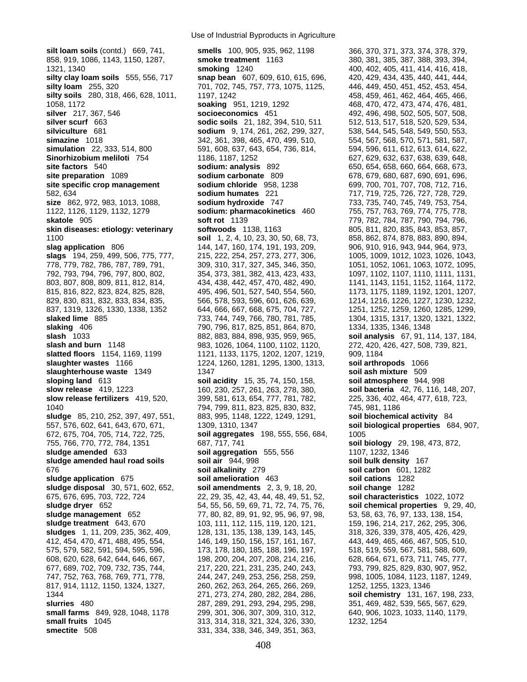**silt loam soils** (contd.) 669, 741, **smells** 100, 905, 935, 962, 1198 366, 370, 371, 373, 374, 378, 379, 858, 919, 1086, 1143, 1150, 1287, **smoke treatment** 1163 380, 381, 385, 387, 388, 393, 394, 1321, 1340 **smoking** 1240 400, 402, 405, 411, 414, 416, 418, **silty clay loam soils** 555, 556, 717 **snap bean** 607, 609, 610, 615, 696, 420, 429, 434, 435, 440, 441, 444, **silty loam** 255, 320 701, 702, 745, 757, 773, 1075, 1125, 446, 449, 450, 451, 452, 453, 454, **silty soils** 280, 318, 466, 628, 1011, 1197, 1242 458, 459, 461, 462, 464, 465, 466, 1058, 1172 **soaking** 951, 1219, 1292 468, 470, 472, 473, 474, 476, 481, **silver** 217, 367, 546 **socioeconomics** 451 492, 496, 498, 502, 505, 507, 508, **silver scurf** 663 **sodic soils** 21, 182, 394, 510, 511 512, 513, 517, 518, 520, 529, 534, **silviculture** 681 **sodium** 9, 174, 261, 262, 299, 327, 538, 544, 545, 548, 549, 550, 553, **simazine** 1018 342, 361, 398, 465, 470, 499, 510, 554, 567, 568, 570, 571, 581, 587, **simulation** 22, 333, 514, 800 591, 608, 637, 643, 654, 736, 814, 594, 596, 611, 612, 613, 614, 622, **Sinorhizobium meliloti** 754 1186, 1187, 1252 627, 629, 632, 637, 638, 639, 648, 639, 648, **site factors** 540 **sodium: analysis** 892 650, 654, 658, 660, 664, 668, 673, **site preparation** 1089 **sodium carbonate** 809 678, 679, 680, 687, 690, 691, 696, **site specific crop management sodium chloride** 958, 1238 699, 700, 701, 707, 708, 712, 716, 708, 712, 716, 582, 634 **sodium humates** 221 717, 719, 725, 726, 727, 728, 729, **size** 862, 972, 983, 1013, 1088, **sodium hydroxide** 747 733, 735, 740, 745, 749, 753, 754, **skatole** 905 **soft rot** 1139 779, 782, 784, 787, 790, 794, 796, **skin diseases: etiology: veterinary softwoods** 1138, 1163 805, 811, 820, 835, 843, 853, 857, 1100 **soil** 1, 2, 4, 10, 23, 30, 50, 68, 73, 858, 862, 874, 878, 883, 890, 894, **slag application** 806 144, 147, 160, 174, 191, 193, 209, 906, 910, 916, 943, 944, 964, 973, **slags** 194, 259, 499, 506, 775, 777, 215, 222, 254, 257, 273, 277, 306, 1005, 1009, 1012, 1023, 1026, 1043, 778, 779, 782, 786, 787, 789, 791, 309, 310, 317, 327, 345, 346, 350, 1051, 1052, 1061, 1063, 1072, 1095, 792, 793, 794, 796, 797, 800, 802, 354, 373, 381, 382, 413, 423, 433, 1097, 1102, 1107, 1110, 1111, 1131, 803, 807, 808, 809, 811, 812, 814, 434, 438, 442, 457, 470, 482, 490, 1141, 1143, 1151, 1152, 1164, 1172, 815, 816, 822, 823, 824, 825, 828, 495, 496, 501, 527, 540, 554, 560, 1173, 1175, 1189, 1192, 1201, 1207, 829, 830, 831, 832, 833, 834, 835, 666, 578, 593, 596, 601, 626, 639, 1214, 1216, 1226, 1227, 1230, 1232, 833, 932, 837, 1319, 1326, 1330, 1338, 1352 644, 666, 667, 668, 675, 704, 727, 1251, 1252, 1259, 1260, 1285, 1299, **slaked lime** 885 733, 744, 749, 766, 780, 781, 785, 1304, 1315, 1317, 1320, 1321, 1322, **slaking** 406 790, 796, 817, 825, 851, 864, 870, 1334, 1335, 1346, 1348 **slash** 1033 882, 883, 884, 898, 935, 959, 965, **soil analysis** 67, 91, 114, 137, 184, **slash and burn** 1148 983, 1026, 1064, 1100, 1102, 1120, 272, 420, 426, 427, 508, 739, 821, **slatted floors** 1154, 1169, 1199 1121, 1133, 1175, 1202, 1207, 1219, 909, 1184 **slaughter wastes** 1166 1224, 1260, 1281, 1295, 1300, 1313, **soil arthropods** 1066 **slaughterhouse waste** 1349 1347 1347 **soil ash mixture** 509 **sloping land** 613 **soil acidity** 15, 35, 74, 150, 158, **soil atmosphere** 944, 998 **slow release** 419, 1223 160, 230, 257, 261, 263, 278, 380, **soil bacteria** 42, 76, 116, 148, 207, **slow release fertilizers** 419, 520, 399, 581, 613, 654, 777, 781, 782, 225, 336, 402, 464, 477, 618, 723, 1040 794, 799, 811, 823, 825, 830, 832, 745, 981, 1186 **sludge** 85, 210, 252, 397, 497, 551, 883, 995, 1148, 1222, 1249, 1291, **soil biochemical activity** 84 557, 576, 602, 641, 643, 670, 671, 1309, 1310, 1347 **soil biological properties** 684, 907, 672, 675, 704, 705, 714, 722, 725, **soil aggregates** 198, 555, 556, 684, 1005 755, 766, 770, 772, 784, 1351 687, 717, 741 **soil biology** 29, 198, 473, 872, **sludge amended** 633 **soil aggregation** 555, 556 1107, 1232, 1346 **sludge amended haul road soils soil air** 944, 998 **soil bulk density** 167 676 **soil alkalinity** 279 **soil carbon** 601, 1282 **sludge application** 675 **soil amelioration** 463 **soil cations** 1282 **sludge disposal** 30, 571, 602, 652, **soil amendments** 2, 3, 9, 18, 20, **soil change** 1282 675, 676, 695, 703, 722, 724 22, 29, 35, 42, 43, 44, 48, 49, 51, 52, **soil characteristics** 1022, 1072 **sludge dryer** 652 54, 55, 56, 59, 69, 71, 72, 74, 75, 76, **soil chemical properties** 9, 29, 40, **sludge management** 652 77, 80, 82, 89, 91, 92, 95, 96, 97, 98, 53, 58, 63, 76, 97, 133, 138, 154, **sludge treatment** 643, 670 103, 111, 112, 115, 119, 120, 121, 159, 196, 214, 217, 262, 295, 306, **sludges** 1, 11, 209, 235, 362, 409, 128, 131, 135, 138, 139, 143, 145, 318, 326, 339, 378, 405, 426, 429, 412, 454, 470, 471, 488, 495, 554, 146, 149, 150, 156, 157, 161, 167, 443, 449, 465, 466, 467, 505, 510, 575, 579, 582, 591, 594, 595, 596, 173, 178, 180, 185, 188, 196, 197, 518, 519, 559, 567, 581, 588, 609, 608, 620, 628, 642, 644, 646, 667, 198, 200, 204, 207, 208, 214, 216, 628, 664, 671, 673, 711, 745, 777, 677, 689, 702, 709, 732, 735, 744, 217, 220, 221, 231, 235, 240, 243, 793, 799, 825, 829, 830, 907, 952, 747, 752, 763, 768, 769, 771, 778, 244, 247, 249, 253, 256, 258, 259, 998, 1005, 1084, 1123, 1187, 1249, 817, 914, 1112, 1150, 1324, 1327, 260, 262, 263, 264, 265, 266, 269, 1252, 1255, 1323, 1346 1344 271, 273, 274, 280, 282, 284, 286, **soil chemistry** 131, 167, 198, 233, **slurries** 480 287, 289, 291, 293, 294, 295, 298, 351, 469, 482, 539, 565, 567, 629, **small farms** 849, 928, 1048, 1178 299, 301, 306, 307, 309, 310, 312, 640, 906, 1023, 1033, 1140, 1179, **small fruits** 1045 313, 314, 318, 314, 318, 321, 324, 326, 330, 1232, 1254

1122, 1126, 1129, 1132, 1279 **sodium: pharmacokinetics** 460 755, 757, 763, 769, 774, 775, 778, **small fruits** 1045 313, 314, 318, 321, 324, 326, 330, 1232, 1254 **smectite** 508 331, 334, 338, 346, 349, 351, 363,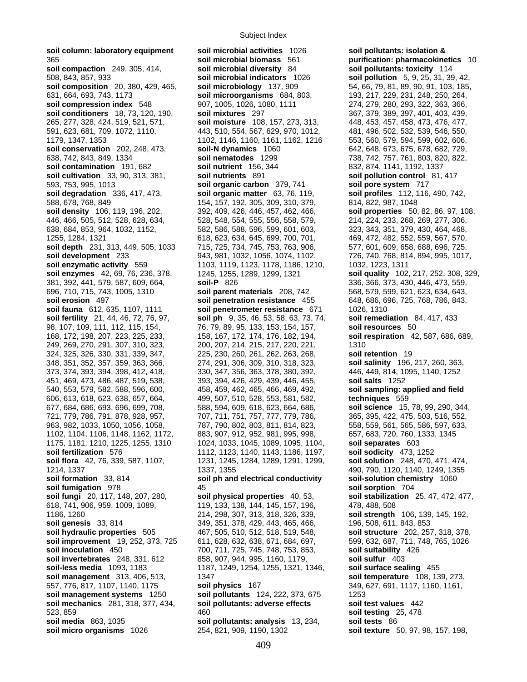**soil column: laboratory equipment soil microbial activities** 1026 **soil pollutants: isolation &**  365 **soil microbial biomass** 561 **purification: pharmacokinetics** 10 **soil compaction** 249, 305, 414, 508, 843, 857, 933 **soil microbial indicators** 1026 **soil pollution** 5, 9, 25, 31, 39, 42, **soil composition** 20, 380, 429, 465, **soil microbiology** 137, 909 54, 66, 79, 81, 89, 90, 91, 103, 185, 631, 664, 693, 743, 1173 **soil microorganisms** 684, 803, 193, 217, 229, 231, 248, 250, 264, **soil compression index** 548 907, 1005, 1026, 1080, 1111 274, 279, 280, 293, 322, 363, 366, **soil conditioners** 18, 73, 120, 190, **soil mixtures** 297 367, 379, 389, 397, 401, 403, 439, 265, 277, 328, 424, 519, 521, 571, **soil moisture** 108, 157, 273, 313, 448, 453, 457, 458, 473, 476, 477, 591, 623, 681, 709, 1072, 1110, 443, 510, 554, 567, 629, 970, 1012, 481, 496, 502, 532, 539, 546, 550, 1179, 1347, 1353 1102, 1146, 1160, 1161, 1162, 1216 553, 560, 579, 594, 599, 602, 606, **soil conservation** 202, 248, 473, **soil-N dynamics** 1060 642, 648, 673, 675, 678, 682, 729, 638, 742, 843, 849, 1334 **soil nematodes** 1299 738, 742, 757, 761, 803, 820, 822, **soil contamination** 191, 682 **soil nutrient** 156, 344 832, 874, 1141, 1192, 1337 **soil cultivation** 33, 90, 313, 381, **soil nutrients** 891 **soil pollution control** 81, 417 593, 753, 995, 1013 **soil organic carbon** 379, 741 **soil pore system** 717 588, 678, 768, 849 154, 157, 192, 305, 309, 310, 379, 814, 822, 987, 1048 **soil density** 106, 119, 196, 202, 392, 409, 426, 446, 457, 462, 466, **soil properties** 50, 82, 86, 97, 108, 446, 466, 505, 512, 528, 628, 634, 528, 548, 554, 555, 556, 558, 579, 214, 224, 233, 268, 269, 277, 306, 638, 684, 853, 964, 1032, 1152, 582, 586, 588, 596, 599, 601, 603, 323, 343, 351, 379, 430, 464, 468, 1255, 1284, 1321 618, 623, 634, 645, 699, 700, 701, 469, 472, 482, 552, 559, 567, 570, **soil depth** 231, 313, 449, 505, 1033 715, 725, 734, 745, 753, 763, 906, 577, 601, 609, 658, 688, 696, 725, **soil development** 233 943, 981, 1032, 1056, 1074, 1102, 726, 740, 768, 814, 894, 995, 1017, **soil enzymatic activity** 559 1103, 1119, 1123, 1178, 1186, 1210, 1032, 1223, 1311 **soil enzymes** 42, 69, 76, 236, 378, 1245, 1255, 1289, 1299, 1321 **soil quality** 102, 217, 252, 308, 329, 381, 392, 441, 579, 587, 609, 664, **soil-P** 826 336, 366, 373, 430, 446, 473, 559, **soil erosion** 497 **soil penetration resistance** 455 648, 686, 696, 725, 768, 786, 843, **soil fauna** 612, 635, 1107, 1111 **soil penetrometer resistance** 671 1026, 1310<br>**soil fertility** 21, 44, 46, 72, 76, 97, **soil ph** 9, 35, 46, 53, 58, 63, 73, 74, **soil remediation** 84, 417, 433 **soil fertility** 21, 44, 46, 72, 76, 97, **soil ph** 9, 35, 46, 53, 58, 63, 73, 74, 98, 107, 109, 111, 112, 115, 154, 76, 79, 89, 95, 133, 153, 154, 157, **soil resources** 50 168, 172, 198, 207, 223, 225, 233, 158, 167, 172, 174, 176, 182, 194, **soil respiration** 42, 587, 686, 689, 249, 269, 270, 291, 307, 310, 323, 200, 207, 214, 215, 217, 220, 221, 1310 324, 325, 326, 330, 331, 339, 347, 225, 230, 260, 261, 262, 263, 268, **soil retention** 19 348, 351, 352, 357, 359, 363, 366, 274, 291, 306, 309, 310, 318, 323, **soil salinity** 196, 217, 260, 363, 373, 374, 393, 394, 398, 412, 418, 330, 347, 356, 363, 378, 380, 392, 446, 449, 814, 1095, 1140, 1252 451, 469, 473, 486, 487, 519, 538, 393, 394, 426, 429, 439, 446, 455, **soil salts** 1252 540, 553, 579, 582, 588, 596, 600, 458, 459, 462, 465, 466, 469, 492, **soil sampling: applied and field**  606, 613, 618, 623, 638, 657, 664, 499, 507, 510, 528, 553, 581, 582, **techniques** 559 677, 684, 686, 693, 696, 699, 708, 588, 594, 609, 618, 623, 664, 686, **soil science** 15, 78, 99, 290, 344, 721, 779, 786, 791, 878, 928, 957, 707, 711, 751, 757, 777, 779, 786, 365, 395, 422, 475, 503, 516, 552, 963, 982, 1033, 1050, 1056, 1058, THE 787, 790, 802, 803, 811, 814, 823, 558, 559, 561, 565, 586, 597, 633, 1102, 1104, 1106, 1148, 1162, 1172, 883, 907, 912, 952, 981, 995, 998, 657, 683, 720, 760, 1333, 1345 1175, 1181, 1210, 1225, 1255, 1310 1024, 1033, 1045, 1089, 1095, 1104, **soil separates** 603 **soil fertilization** 576 1112, 1123, 1140, 1143, 1186, 1197, **soil sodicity** 473, 1252 **soil flora** 42, 76, 339, 587, 1107, 1231, 1245, 1284, 1289, 1291, 1299, **soil solution** 248, 470, 471, 474, 1214, 1337 1337, 1355 490, 790, 1120, 1140, 1249, 1355 **soil formation** 33, 814 **soil ph and electrical conductivity soil-solution chemistry** 1060 **soil fumigation** 978 45 **soil sorption** 704 **soil fungi** 20, 117, 148, 207, 280, **soil physical properties** 40, 53, **soil stabilization** 25, 47, 472, 477, 618, 741, 906, 959, 1009, 1089, 119, 133, 138, 144, 145, 157, 196, 478, 488, 508 1186, 1260 214, 298, 307, 313, 318, 326, 339, **soil strength** 106, 139, 145, 192, **soil genesis** 33, 814 349, 351, 378, 429, 443, 465, 466, 396, 508, 611, 843, 853 **soil hydraulic properties** 505 467, 505, 510, 512, 518, 519, 548, **soil structure** 202, 257, 318, 378, **soil improvement** 19, 252, 373, 725 611, 628, 632, 638, 671, 684, 697, 599, 632, 687, 711, 748, 765, 1026 **soil inoculation** 450 700, 711, 725, 745, 748, 753, 853, **soil suitability** 426 **soil invertebrates** 248, 331, 612 858, 907, 944, 995, 1160, 1179, **soil sulfur** 403 **soil-less media** 1093, 1183 1187, 1249, 1254, 1255, 1321, 1346, **soil surface sealing** 455 **soil management** 313, 406, 513, 1347 **soil temperature** 108, 139, 273, 557, 776, 817, 1107, 1140, 1175 **soil physics** 167 349, 627, 691, 1117, 1160, 1161, **soil management systems** 1250 **soil pollutants** 124, 222, 373, 675 1253 **soil mechanics** 281, 318, 377, 434, **soil pollutants: adverse effects soil test values** 442 523, 859 460 **soil testing** 25, 478

**soil degradation** 336, 417, 473, **soil organic matter** 63, 76, 119, **soil profiles** 112, 116, 490, 742, 696, 710, 715, 743, 1005, 1310 **soil parent materials** 208, 742 568, 579, 599, 621, 623, 634, 643, **soil pollutants: analysis** 13, 234, **soil tests** 86 **soil micro organisms** 1026 254, 821, 909, 1190, 1302 **soil texture** 50, 97, 98, 157, 198,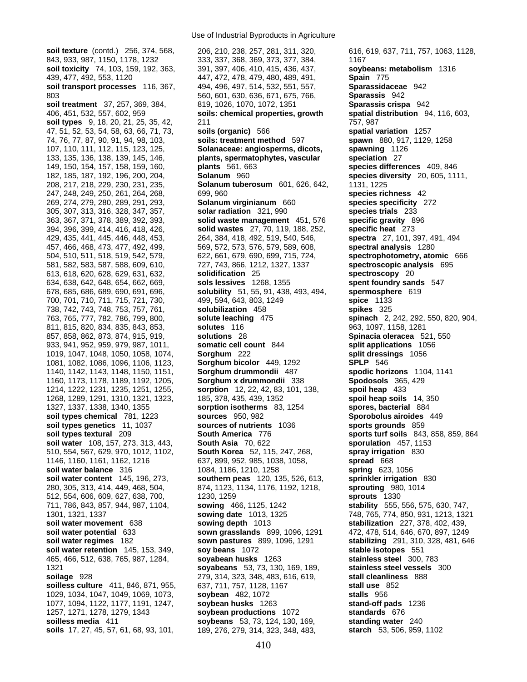**soil texture** (contd.) 256, 374, 568, 206, 210, 238, 257, 281, 311, 320, 616, 619, 637, 711, 757, 1063, 1128, 149, 150, 154, 157, 158, 159, 160, **plants** 561, 663 **species differences** 409, 846 811, 815, 820, 834, 835, 843, 853, **solutes** 116 280, 305, 313, 414, 449, 468, 504, 874, 1123, 1134, 1176, 1192, 1218, **sprouting** 980, 1014 1257, 1271, 1278, 1279, 1343 **soybean productions** 1072 **standards** 676 **soilless media** 411 **soybeans** 53, 73, 124, 130, 169, **standing water** 240 **soils** 17, 27, 45, 57, 61, 68, 93, 101, 189, 276, 279, 314, 323, 348, 483, **starch** 53, 506, 959, 1102

843, 933, 987, 1150, 1178, 1232 333, 337, 368, 369, 373, 377, 384, 1167 **soil toxicity** 74, 103, 159, 192, 363, 391, 397, 406, 410, 415, 436, 437, **soybeans: metabolism** 1316 439, 477, 492, 553, 1120 447, 472, 478, 479, 480, 489, 491, **Spain** 775 **soil transport processes** 116, 367, 494, 496, 497, 514, 532, 551, 557, **Sparassidaceae** 942 803 560, 601, 630, 636, 671, 675, 766, **Sparassis** 942 **soil treatment** 37, 257, 369, 384, 819, 1026, 1070, 1072, 1351 **Sparassis crispa** 942 406, 451, 532, 557, 602, 959 **soils: chemical properties, growth spatial distribution** 94, 116, 603, **soil types** 9, 18, 20, 21, 25, 35, 42, 211 757, 987 47, 51, 52, 53, 54, 58, 63, 66, 71, 73, **soils (organic)** 566 **spatial variation** 1257 74, 76, 77, 87, 90, 91, 94, 98, 103, **soils: treatment method** 597 **spawn** 880, 917, 1129, 1258 107, 110, 111, 112, 115, 123, 125, **Solanaceae: angiosperms, dicots, spawning** 1126 133, 135, 136, 138, 139, 145, 146, **plants, spermatophytes, vascular speciation** 27 182, 185, 187, 192, 196, 200, 204, **Solanum** 960 **species diversity** 20, 605, 1111, 208, 217, 218, 229, 230, 231, 235, **Solanum tuberosum** 601, 626, 642, 1131, 1225 247, 248, 249, 250, 261, 264, 268, 699, 960 **species richness** 42 269, 274, 279, 280, 289, 291, 293, **Solanum virginianum** 660 **species specificity** 272 305, 307, 313, 316, 328, 347, 357, **solar radiation** 321, 990 **species trials** 233 363, 367, 371, 378, 389, 392, 393, **solid waste management** 451, 576 **specific gravity** 896 394, 396, 399, 414, 416, 418, 426, **solid wastes** 27, 70, 119, 188, 252, **specific heat** 273 429, 435, 441, 445, 446, 448, 453, 264, 384, 418, 492, 519, 540, 546, **spectra** 27, 101, 397, 491, 494 457, 466, 468, 473, 477, 492, 499, 569, 572, 573, 576, 579, 589, 608, **spectral analysis** 1280 504, 510, 511, 518, 519, 542, 579, 622, 661, 679, 690, 699, 715, 724, **spectrophotometry, atomic** 666 581, 582, 583, 587, 588, 609, 610, 727, 743, 866, 1212, 1327, 1337 **spectroscopic analysis** 695 613, 618, 620, 628, 629, 631, 632, **solidification** 25 **spectroscopy** 20 634, 638, 642, 648, 654, 662, 669, **sols lessives** 1268, 1355 **spent foundry sands** 547 678, 685, 686, 689, 690, 691, 696, **solubility** 51, 55, 91, 438, 493, 494, **spermosphere** 619 700, 701, 710, 711, 715, 721, 730, 499, 594, 643, 803, 1249 **spice** 1133 738, 742, 743, 748, 753, 757, 761, **solubilization** 458 **spikes** 325 763, 765, 777, 782, 786, 799, 800, **solute leaching** 475 **spinach** 2, 242, 292, 550, 820, 904, 857, 858, 862, 873, 874, 915, 919, **solutions** 28 **Spinacia oleracea** 521, 550 933, 941, 952, 959, 979, 987, 1011, **somatic cell count** 844 **split applications** 1056 1019, 1047, 1048, 1050, 1058, 1074, **Sorghum** 222 **split dressings** 1056 1081, 1082, 1086, 1096, 1106, 1123, **Sorghum bicolor** 449, 1292 **SPLP** 546 1140, 1142, 1143, 1148, 1150, 1151, **Sorghum drummondii** 487 **spodic horizons** 1104, 1141 1160, 1173, 1178, 1189, 1192, 1205, **Sorghum x drummondii** 338 **Spodosols** 365, 429 1214, 1222, 1231, 1235, 1251, 1255, **sorption** 12, 22, 42, 83, 101, 138, **spoil heap** 433 1268, 1289, 1291, 1310, 1321, 1323, 185, 378, 435, 439, 1352 **spoil heap soils** 14, 350 1327, 1337, 1338, 1340, 1355 **sorption isotherms** 83, 1254 **spores, bacterial** 884 **soil types chemical** 781, 1223 **sources** 950, 982 **Sporobolus airoides** 449 **soil types genetics** 11, 1037 **sources of nutrients** 1036 **sports grounds** 859 **soil types textural** 209 **South America** 776 **sports turf soils** 843, 858, 859, 864 **soil water** 108, 157, 273, 313, 443, **South Asia** 70, 622 **sporulation** 457, 1153 510, 554, 567, 629, 970, 1012, 1102, **South Korea** 52, 115, 247, 268, **spray irrigation** 830 1146, 1160, 1161, 1162, 1216 637, 899, 952, 985, 1038, 1058, **spread** 668 **soil water balance** 316 1084, 1186, 1210, 1258 **spring** 623, 1056 **soil water content** 145, 196, 273, **southern peas** 120, 135, 526, 613, **sprinkler irrigation** 830 512, 554, 606, 609, 627, 638, 700, 1230, 1259 **sprouts** 1330 711, 786, 843, 857, 944, 987, 1104, **sowing** 466, 1125, 1242 **stability** 555, 556, 575, 630, 747, 1301, 1321, 1337 **sowing date** 1013, 1325 748, 765, 774, 850, 931, 1213, 1321 **soil water movement** 638 **sowing depth** 1013 **stabilization** 227, 378, 402, 439, **soil water potential** 633 **sown grasslands** 899, 1096, 1291 472, 478, 514, 646, 670, 897, 1249 **soil water regimes** 182 **sown pastures** 899, 1096, 1291 **stabilizing** 291, 310, 328, 481, 646 **soil water retention** 145, 153, 349, **soy beans** 1072 **stable isotopes** 551 465, 466, 512, 638, 765, 987, 1284, **soyabean husks** 1263 **stainless steel** 300, 783 1321 **soyabeans** 53, 73, 130, 169, 189, **stainless steel vessels** 300 **soilage** 928 279, 314, 323, 348, 483, 616, 619, **stall cleanliness** 888 **soilless culture** 411, 846, 871, 955, 637, 711, 757, 1128, 1167 **stall use** 852 1029, 1034, 1047, 1049, 1069, 1073, **soybean** 482, 1072 **stalls** 956 1077, 1094, 1122, 1177, 1191, 1247, **soybean husks** 1263 **stand-off pads** 1236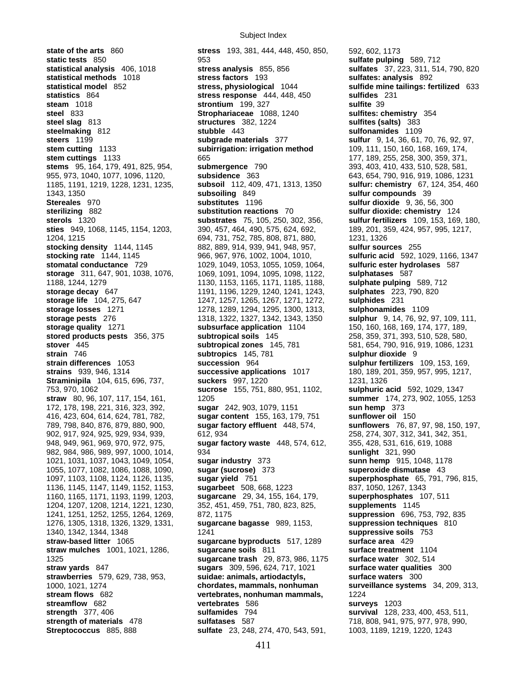Subject Index

**state of the arts** 860 **stress** 193, 381, 444, 448, 450, 850, 592, 602, 1173 **static tests** 850 953 **sulfate pulping** 589, 712 **statistical analysis** 406, 1018 **stress analysis** 855, 856 **sulfates** 37, 223, 311, 514, 790, 820 **statistical methods** 1018 **stress factors** 193 **sulfates: analysis** 892 **statistical model** 852 **stress, physiological** 1044 **sulfide mine tailings: fertilized** 633 **statistics** 864 **stress response** 444, 448, 450 **sulfides** 231 **steam** 1018 **strontium** 199, 327 **sulfite** 39 **steel** 833 **Strophariaceae** 1088, 1240 **sulfites: chemistry** 354 **steel slag** 813 **structures** 382, 1224 **sulfites (salts)** 383 **steelmaking** 812 **stubble** 443 **sulfonamides** 1109 **steers** 1199 **subgrade materials** 377 **sulfur** 9, 14, 36, 61, 70, 76, 92, 97, **stem cutting** 1133 **subirrigation: irrigation method** 109, 111, 150, 160, 168, 169, 174, **stem cuttings** 1133 665 65 177, 189, 255, 258, 300, 359, 371, **stems** 95, 164, 179, 491, 825, 954, **submergence** 790 393, 403, 410, 433, 510, 528, 581, 955, 973, 1040, 1077, 1096, 1120, **subsidence** 363 643, 654, 790, 916, 919, 1086, 1231 1185, 1191, 1219, 1228, 1231, 1235, **subsoil** 112, 409, 471, 1313, 1350 **sulfur: chemistry** 67, 124, 354, 460 **Stereales** 970 **substitutes** 1196 **sulfur dioxide** 9, 36, 56, 300 **sterilizing** 882 **substitution reactions** 70 **sulfur dioxide: chemistry** 124 **sterols** 1320 **substrates** 75, 105, 250, 302, 356, **sulfur fertilizers** 109, 153, 169, 180, **sties** 949, 1068, 1145, 1154, 1203, 390, 457, 464, 490, 575, 624, 692, 189, 201, 359, 424, 957, 995, 1217, 1204, 1215 694, 731, 752, 785, 808, 871, 880, 1231, 1326 **stocking density** 1144, 1145 882, 889, 914, 939, 941, 948, 957, **sulfur sources** 255 **stocking rate** 1144, 1145 966, 967, 976, 1002, 1004, 1010, **sulfuric acid** 592, 1029, 1166, 1347 **stomatal conductance** 729 1029, 1049, 1053, 1055, 1059, 1064, **sulfuric ester hydrolases** 587 **storage** 311, 647, 901, 1038, 1076, 1069, 1091, 1094, 1095, 1098, 1122, **sulphatases** 587 1188, 1244, 1279 1130, 1153, 1165, 1171, 1185, 1188, **sulphate pulping** 589, 712 **storage decay** 647 1191, 1196, 1229, 1240, 1241, 1243, **sulphates** 223, 790, 820 **storage life** 104, 275, 647 1247, 1257, 1265, 1267, 1271, 1272, **sulphides** 231 **storage losses** 1271 1278, 1289, 1294, 1295, 1300, 1313, **sulphonamides** 1109 **storage pests** 276 1318, 1322, 1327, 1342, 1343, 1350 **sulphur** 9, 14, 76, 92, 97, 109, 111, **storage quality** 1271 **subsurface application** 1104 150, 160, 168, 169, 174, 177, 189, **stored products pests** 356, 375 **subtropical soils** 145 258, 359, 371, 393, 510, 528, 580, **stover** 445 **subtropical zones** 145, 781 581, 654, 790, 916, 919, 1086, 1231 **strain** 746 **subtropics** 145, 781 **subtropics** 145, 781 **subtropics** 145, 781 **subtropics** 145, 781 **subtropics** 145, 781 **subtropics** 145, 781 **strain differences** 1053 **succession** 964 **sulphur fertilizers** 109, 153, 169, **strains** 939, 946, 1314 **successive applications** 1017 180, 189, 201, 359, 957, 995, 1217, **Straminipila** 104, 615, 696, 737, **suckers** 997, 1220 1231, 1326 753, 970, 1062 **sucrose** 155, 751, 880, 951, 1102, **straw** 80, 96, 107, 117, 154, 161, 1205 **summer** 174, 273, 902, 1055, 1253 172, 178, 198, 221, 316, 323, 392, **sugar** 242, 903, 1079, 1151 **sun hemp** 373 416, 423, 604, 614, 624, 781, 782, **sugar content** 155, 163, 179, 751 **sunflower oil** 150 789, 798, 840, 876, 879, 880, 900, **sugar factory effluent** 448, 574, **sunflowers** 76, 87, 97, 98, 150, 197, 902, 917, 924, 925, 929, 934, 939, 612, 934 258, 274, 307, 312, 341, 342, 351, 948, 949, 961, 969, 970, 972, 975, **sugar factory waste** 448, 574, 612, 355, 428, 531, 616, 619, 1088 982, 984, 986, 989, 997, 1000, 1014, 934 **sunlight** 321, 990 1021, 1031, 1037, 1043, 1049, 1054, **sugar industry** 373 **sunn hemp** 915, 1048, 1178 1055, 1077, 1082, 1086, 1088, 1090, **sugar (sucrose)** 373 **superoxide dismutase** 43 1097, 1103, 1108, 1124, 1126, 1135, **sugar yield** 751 **superphosphate** 65, 791, 796, 815, 1136, 1145, 1147, 1149, 1152, 1153, **sugarbeet** 508, 668, 1223 837, 1050, 1267, 1343 1160, 1165, 1171, 1193, 1199, 1203, **sugarcane** 29, 34, 155, 164, 179, **superphosphates** 107, 511 1204, 1207, 1208, 1214, 1221, 1230, 352, 451, 459, 751, 780, 823, 825, **supplements** 1145 1241, 1251, 1252, 1255, 1264, 1269, 872, 1175 **suppression** 696, 753, 792, 835 1276, 1305, 1318, 1326, 1329, 1331, **sugarcane bagasse** 989, 1153, **suppression techniques** 810 1340, 1342, 1344, 1348 1241 **suppressive soils** 753 **straw-based litter** 1065 **sugarcane byproducts** 517, 1289 **surface area** 429 **straw mulches** 1001, 1021, 1286, **sugarcane soils** 811 **surface treatment** 1104 1325 **sugarcane trash** 29, 873, 986, 1175 **surface water** 302, 514 **straw yards** 847 **sugars** 309, 596, 624, 717, 1021 **surface water qualities** 300 **strawberries** 579, 629, 738, 953, **suidae: animals, artiodactyls, surface waters** 300 1000, 1021, 1274 **chordates, mammals, nonhuman surveillance systems** 34, 209, 313, **stream flows** 682 **vertebrates, nonhuman mammals,** 1224 **streamflow** 682 **vertebrates** 586 **surveys** 1203 **strength** 377, 406 **sulfamides** 794 **survival** 128, 233, 400, 453, 511, **strength of materials** 478 **sulfatases** 587 718, 808, 941, 975, 977, 978, 990, **Streptococcus** 885, 888 **sulfate** 23, 248, 274, 470, 543, 591, 1003, 1189, 1219, 1220, 1243

1343, 1350 **subsoiling** 849 **sulfur compounds** 39 **strain** 746 **subtropics** 145, 781 **sulphur dioxide** 9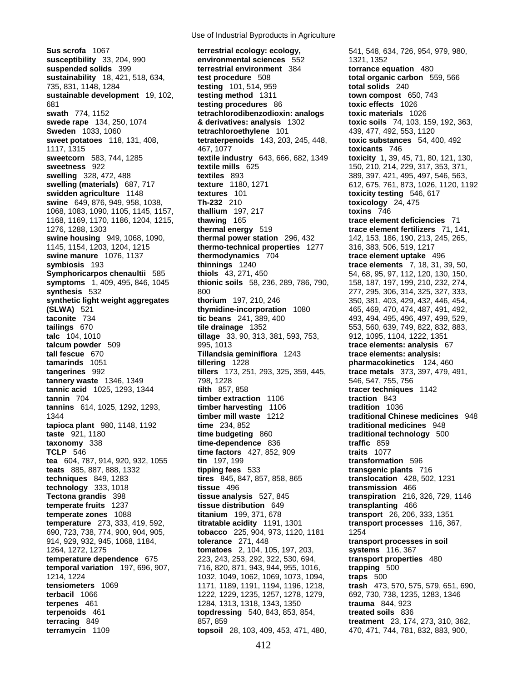**temperate fruits** 1237 **tissue distribution** 649<br>**temperate zones** 1088 **titanium** 199, 371, 678 **terpenoids** 461 **topdressing** 540, 843, 853, 854, **terramycin** 1109 **topsoil** 28, 103, 409, 453, 471, 480, 470, 471, 744, 781, 832, 883, 900,

**Sus scrofa** 1067 **terrestrial ecology: ecology,** 541, 548, 634, 726, 954, 979, 980, **susceptibility** 33, 204, 990 **environmental sciences** 552 1321, 1352<br> **suspended solids** 399 **errestrial environment** 384 **torrance equation** 480 **terrestrial environment** 384 **sustainability** 18, 421, 518, 634, **test procedure** 508 **total organic carbon** 559, 566 735, 831, 1148, 1284 **testing** 101, 514, 959 **total solids** 240 **sustainable development** 19, 102, **testing method** 1311 **town compost** 650, 743 681 **testing procedures** 86 **toxic effects** 1026 **swath** 774, 1152 **tetrachlorodibenzodioxin: analogs toxic materials** 1026 **swede rape** 134, 250, 1074 **& derivatives: analysis** 1302 **toxic soils** 74, 103, 159, 192, 363, **Sweden** 1033, 1060 **tetrachloroethylene** 101 439, 477, 492, 553, 1120 **sweet potatoes** 118, 131, 408, **tetraterpenoids** 143, 203, 245, 448, **toxic substances** 54, 400, 492 1117, 1315 467, 1077 **toxicants** 746 **sweetcorn** 583, 744, 1285 **textile industry** 643, 666, 682, 1349 **toxicity** 1, 39, 45, 71, 80, 121, 130, **statile mills** 625 150, 210, 214, 229, 317, 353, 371, **textiles** 893 150, 289, 397, 421, 495, 497, 546, 563, **swelling** 328, 472, 488 **textiles** 893 389, 397, 421, 495, 497, 546, 563, **swelling (materials)** 687, 717 **texture** 1180, 1271 612, 675, 761, 873, 1026, 1120, 1192 **swidden agriculture** 1148 **textures** 101 **toxicity testing** 546, 617 **swine** 649, 876, 949, 958, 1038, **Th-232** 210 **toxicology** 24, 475 1068, 1083, 1090, 1105, 1145, 1157, **thallium** 197, 217 **toxins** 746 1168, 1169, 1170, 1186, 1204, 1215, **thawing** 165 **trace element deficiencies** 71 1276, 1288, 1303 **thermal energy** 519 **trace element fertilizers** 71, 141, **swine housing** 949, 1068, 1090, **thermal power station** 296, 432 142, 153, 186, 190, 213, 245, 265, 1145, 1154, 1203, 1204, 1215 **thermo-technical properties** 1277 316, 383, 506, 519, 1217 **swine manure** 1076, 1137 **thermodynamics** 704 **trace element uptake** 496 **symbiosis** 193 **thinnings** 1240 **trace elements** 7, 18, 31, 39, 50, **Symphoricarpos chenaultii** 585 **thiols** 43, 271, 450 54, 68, 95, 97, 112, 120, 130, 150, **symptoms** 1, 409, 495, 846, 1045 **thionic soils** 58, 236, 289, 786, 790, 158, 187, 197, 199, 210, 232, 274, **synthesis** 532 800 800 800 277, 295, 306, 314, 325, 327, 333, **synthetic light weight aggregates thorium** 197, 210, 246 350, 381, 403, 429, 432, 446, 454, **(SLWA)** 521 **thymidine-incorporation** 1080 465, 469, 470, 474, 487, 491, 492, **(SLWA)** 521 **thymidine-incorporation** 1080 465, 469, 470, 474, 487, 491, 492, **taconite** 734 **tic beans** 241, 389, 400 493, 494, 495, 496, 497, 499, 529, **tailings** 670 **tile drainage** 1352 553, 560, 639, 749, 822, 832, 883, **talc** 104, 1010 **tillage** 33, 90, 313, 381, 593, 753, 912, 1095, 1104, 1222, 1351 **talcum powder** 509 995, 1013 **trace elements: analysis** 67 **tall fescue** 670 **Tillandsia geminiflora** 1243 **trace elements: analysis: tamarinds** 1051 **tillering** 1228 **pharmacokinetics** 124, 460 **tangerines** 992 **tillers** 173, 251, 293, 325, 359, 445, **trace metals** 373, 397, 479, 491, **tannery waste** 1346, 1349 798, 1228 546, 547, 755, 756 **tannic acid** 1025, 1293, 1344 **tilth** 857, 858 **tracer techniques** 1142 **tannin** 704 **timber extraction** 1106 **traction** 843 **tannins** 614, 1025, 1292, 1293, **timber harvesting** 1106 **tradition** 1036 1344 **timber mill waste** 1212 **traditional Chinese medicines** 948 **tapioca plant** 980, 1148, 1192 **time** 234, 852 **traditional medicines** 948 **taste** 921, 1180 **time budgeting** 860 **traditional technology** 500 **taxonomy** 338 **time-dependence** 836 **traffic** 859 **TCLP** 546 **time factors** 427, 852, 909 **traits** 1077 **tea** 604, 787, 914, 920, 932, 1055 **tin** 197, 199 **transformation** 596 **teats** 885, 887, 888, 1332 **tipping fees** 533 **transgenic plants** 716 **techniques** 849, 1283 **tires** 845, 847, 857, 858, 865 **translocation** 428, 502, 1231 **technology** 333, 1018 **tissue** 496 **transmission** 466 **Tectona grandis** 398 **tissue analysis** 527, 845 **transpiration** 216, 326, 729, 1146 **titanium** 199, 371, 678 **transport** 26, 206, 333, 1351 **temperature** 273, 333, 419, 592, **titratable acidity** 1191, 1301 **transport processes** 116, 367, 690, 723, 738, 774, 900, 904, 905, **tobacco** 225, 904, 973, 1120, 1181 1254 914, 929, 932, 945, 1068, 1184, **tolerance** 271, 448 **transport processes in soil**  1264, 1272, 1275 **tomatoes** 2, 104, 105, 197, 203, **systems** 116, 367 **temperature dependence** 675 223, 243, 253, 292, 322, 530, 694, **transport properties** 480 **temporal variation** 197, 696, 907, 716, 820, 871, 943, 944, 955, 1016, **trapping** 500 1214, 1224 1032, 1049, 1062, 1069, 1073, 1094, **traps** 500 **tensiometers** 1069 1171, 1189, 1191, 1194, 1196, 1218, **trash** 473, 570, 575, 579, 651, 690, **terbacil** 1066 1222, 1229, 1235, 1257, 1278, 1279, 692, 730, 738, 1235, 1283, 1346<br>**terpenes** 461 1284, 1313, 1318, 1343, 1350 **trauma** 844, 923 **terpenes** 461 1284, 1313, 1318, 1343, 1350 **trauma** 844, 923 **terracing** 849 857, 859 **treatment** 23, 174, 273, 310, 362,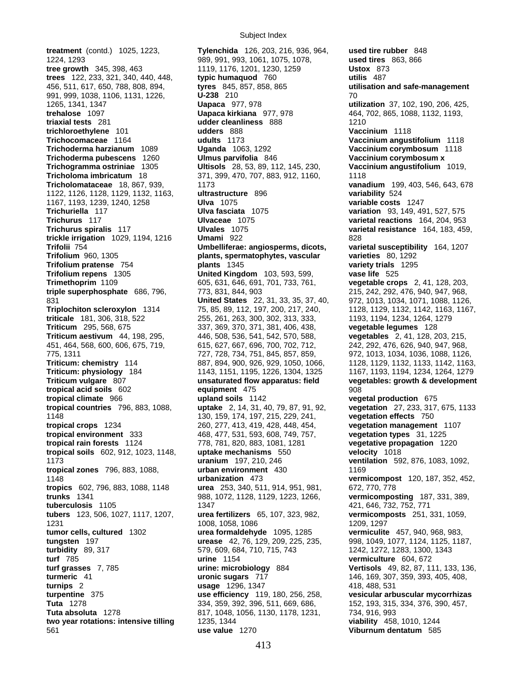**treatment** (contd.) 1025, 1223, **Tylenchida** 126, 203, 216, 936, 964, **used tire rubber** 848 **Trifolium repens** 1305 **United Kingdom** 103, 593, 599, **triticale** 181, 306, 318, 522 255, 261, 263, 300, 302, 313, 333,

Subject Index

1224, 1293 989, 991, 993, 1061, 1075, 1078, **used tires** 863, 866 **tree growth** 345, 398, 463 1119, 1176, 1201, 1230, 1259 **Ustox** 873 **trees** 122, 233, 321, 340, 440, 448, **typic humaquod** 760 **utilis** 487 456, 511, 617, 650, 788, 808, 894, **tyres** 845, 857, 858, 865 **utilisation and safe-management** 991, 999, 1038, 1106, 1131, 1226, **U-238** 210 70 1265, 1341, 1347 **Uapaca** 977, 978 **utilization** 37, 102, 190, 206, 425, **trehalose** 1097 **Uapaca kirkiana** 977, 978 464, 702, 865, 1088, 1132, 1193, **triaxial tests** 281 **udder cleanliness** 888 1210 **trichloroethylene** 101 **udders** 888 **Vaccinium** 1118 **Trichocomaceae** 1164 **udults** 1173 **Vaccinium angustifolium** 1118 **Trichoderma harzianum** 1089 **Uganda** 1063, 1292 **Vaccinium corymbosum** 1118 **Trichoderma pubescens** 1260 **Ulmus parvifolia** 846 **Vaccinium corymbosum x Trichogramma ostriniae** 1305 **Ultisols** 28, 53, 89, 112, 145, 230, **Vaccinium angustifolium** 1019, **Tricholoma imbricatum** 18 371, 399, 470, 707, 883, 912, 1160, 1118 **Tricholomataceae** 18, 867, 939, 1173 **vanadium** 199, 403, 546, 643, 678 1122, 1126, 1128, 1129, 1132, 1163, **ultrastructure** 896 **variability** 524 1167, 1193, 1239, 1240, 1258 **Ulva** 1075 **variable costs** 1247 **Trichuriella** 117 **Ulva fasciata** 1075 **variation** 93, 149, 491, 527, 575 **Trichurus** 117 **Ulvaceae** 1075 **varietal reactions** 164, 204, 953 **Trichurus spiralis** 117 **Ulvales** 1075 **varietal resistance** 164, 183, 459, **trickle irrigation** 1029, 1194, 1216 **Umami** 922 828 **Trifolii** 754 **Umbelliferae: angiosperms, dicots, varietal susceptibility** 164, 1207 **Trifolium** 960, 1305 **plants, spermatophytes, vascular varieties** 80, 1292 **Trifolium pratense** 754 **plants** 1345 **variety trials** 1295 **Trimethoprim** 1109 605, 631, 646, 691, 701, 733, 761, **vegetable crops** 2, 41, 128, 203, **triple superphosphate** 686, 796, 773, 831, 844, 903 215, 242, 292, 476, 940, 947, 968, 831 **United States** 22, 31, 33, 35, 37, 40, 972, 1013, 1034, 1071, 1088, 1126, **Triplochiton scleroxylon** 1314 75, 85, 89, 112, 197, 200, 217, 240, 1128, 1129, 1132, 1142, 1163, 1167, triticale 181, 306, 318, 522 255, 261, 263, 300, 302, 313, 333, 1194, 1234, 1234, 1264, 1279 **Triticum** 295, 568, 675 337, 369, 370, 371, 381, 406, 438, **vegetable legumes** 128 **Triticum aestivum** 44, 198, 295, 446, 508, 536, 541, 542, 570, 588, **vegetables** 2, 41, 128, 203, 215, 451, 464, 568, 600, 606, 675, 719, 615, 627, 667, 696, 700, 702, 712, 242, 292, 476, 626, 940, 947, 968, 775, 1311 727, 728, 734, 751, 845, 857, 859, 972, 1013, 1034, 1036, 1088, 1126, **Triticum: chemistry** 114 887, 894, 900, 926, 929, 1050, 1066, 1128, 1129, 1132, 1133, 1142, 1163, **Triticum: physiology** 184 1143, 1151, 1195, 1226, 1304, 1325 1167, 1193, 1194, 1234, 1264, 1279 **Triticum vulgare** 807 **unsaturated flow apparatus: field vegetables: growth & development tropical acid soils** 602 **equipment** 475 908 **tropical climate** 966 **upland soils** 1142 **vegetal production** 675 **tropical countries** 796, 883, 1088, **uptake** 2, 14, 31, 40, 79, 87, 91, 92, **vegetation** 27, 233, 317, 675, 1133 1148 130, 159, 174, 197, 215, 229, 241, **vegetation effects** 750 **tropical crops** 1234 260, 277, 413, 419, 428, 448, 454, **vegetation management** 1107 **tropical environment** 333 468, 477, 531, 593, 608, 749, 757, **vegetation types** 31, 1225 **tropical rain forests** 1124 778, 781, 820, 883, 1081, 1281 **vegetative propagation** 1220 **tropical soils** 602, 912, 1023, 1148, **uptake mechanisms** 550 **velocity** 1018 1173 **uranium** 197, 210, 246 **ventilation** 592, 876, 1083, 1092, **tropical zones** 796, 883, 1088, **urban environment** 430 1169 1148 **urbanization** 473 **vermicompost** 120, 187, 352, 452, **tropics** 602, 796, 883, 1088, 1148 **urea** 253, 340, 511, 914, 951, 981, 672, 770, 778 **trunks** 1341 988, 1072, 1128, 1129, 1223, 1266, **vermicomposting** 187, 331, 389, **tuberculosis** 1105 1347 1347 421, 646, 732, 752, 771 **tubers** 123, 506, 1027, 1117, 1207, **urea fertilizers** 65, 107, 323, 982, **vermicomposts** 251, 331, 1059, 1231 1008, 1058, 1086 1209, 1297 **tumor cells, cultured** 1302 **urea formaldehyde** 1095, 1285 **vermiculite** 457, 940, 968, 983, **tungsten** 197 **urease** 42, 76, 129, 209, 225, 235, 998, 1049, 1077, 1124, 1125, 1187, **turbidity** 89, 317 579, 609, 684, 710, 715, 743 1242, 1272, 1283, 1300, 1343 **turf** 785 **urine** 1154 **vermiculture** 604, 672 **turf grasses** 7, 785 **urine: microbiology** 884 **Vertisols** 49, 82, 87, 111, 133, 136, **turmeric** 41 **uronic sugars** 717 146, 169, 307, 359, 393, 405, 408, **turnips** 2 **usage** 1296, 1347 **418, 488, 531 <b>turpentine** 375 **diameters use efficiency** 119, 180, 256, 258, **vesicular arb use efficiency** 119, 180, 256, 258, vesicular arbuscular mycorrhizas **Tuta** 1278 334, 359, 34, 359, 392, 396, 511, 669, 686, 152, 193, 315, 334, 376, 390, 457, **Tuta absoluta** 1278 817, 1048, 1056, 1130, 1178, 1231, 734, 916, 993 **two year rotations: intensive tilling** 1235, 1344 **viability** 458, 1010, 1244 561 **use value** 1270 **Viburnum dentatum** 585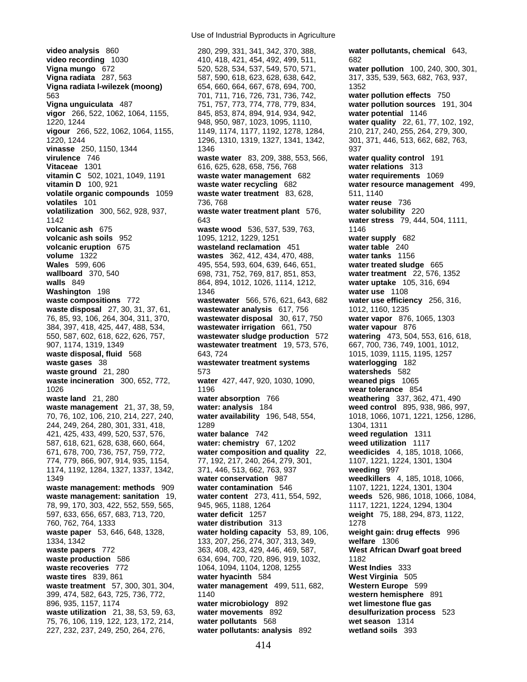**video recording** 1030 410, 418, 421, 454, 492, 499, 511, 682<br> **Vigna mungo** 672 520, 528, 534, 537, 549, 570, 571, **wat Vigna mungo** 672 520, 528, 534, 537, 549, 570, 571, **water pollution** 100, 240, 300, 301, **Vigna radiata l-wilezek (moong)** 654, 660, 664, 667, 678, 694, 700, 1352 563 701, 711, 716, 726, 731, 736, 742, **water pollution effects** 750 **Vigna unguiculata** 487 751, 757, 773, 774, 778, 779, 834, **water pollution sources** 191, 304 **vigor** 266, 522, 1062, 1064, 1155, 845, 853, 874, 894, 914, 934, 942, **water potential** 1146 1220, 1244 948, 950, 987, 1023, 1095, 1110, **water quality** 22, 61, 77, 102, 192, **vigour** 266, 522, 1062, 1064, 1155, 1149, 1174, 1177, 1192, 1278, 1284, 210, 217, 240, 255, 264, 279, 300, 1220, 1244 1296, 1310, 1319, 1327, 1341, 1342, 301, 371, 446, 513, 662, 682, 763, **vinasse** 250, 1150, 1344 1346 1346 1346 937 **virulence** 746 **waste water** 83, 209, 388, 553, 566, **water quality control** 191 **Vitaceae** 1301 616, 625, 628, 658, 756, 768 **water relations** 313 **vitamin C** 502, 1021, 1049, 1191 **waste water management** 682 **water requirements** 1069 **vitamin D** 100, 921 **waste water recycling** 682 **water resource management** 499, **volatile organic compounds** 1059 **waste water treatment** 83, 628, 511, 1140 **volatiles** 101 736, 768 **water reuse** 736 **volatilization** 300, 562, 928, 937, **waste water treatment plant** 576, **water solubility** 220 1142 643 **water stress** 79, 444, 504, 1111, **volcanic ash** 675 **waste wood** 536, 537, 539, 763, 1146 **volcanic ash soils** 952 1095, 1212, 1229, 1251 **water supply** 682 **volcanic eruption** 675 **wasteland reclamation** 451 **water table** 240 **volume** 1322 **wastes** 362, 412, 434, 470, 488, **water tanks** 1156 **Wales** 599, 606 495, 554, 593, 604, 639, 646, 651, **water treated sludge** 665 **wallboard** 370, 540 698, 731, 752, 769, 817, 851, 853, **water treatment** 22, 576, 1352 **walls** 849 864, 894, 1012, 1026, 1114, 1212, **water uptake** 105, 316, 694 **Washington** 198 **1346 water use** 1108 **waste compositions** 772 **wastewater** 566, 576, 621, 643, 682 **water use efficiency** 256, 316, **waste disposal** 27, 30, 31, 37, 61, **wastewater analysis** 617, 756 1012, 1160, 1235 76, 85, 93, 106, 264, 304, 311, 370, **wastewater disposal** 30, 617, 750 **water vapor** 876, 1065, 1303 384, 397, 418, 425, 447, 488, 534, **wastewater irrigation** 661, 750 **water vapour** 876 550, 587, 602, 618, 622, 626, 757, **wastewater sludge production** 572 **watering** 473, 504, 553, 616, 618, 907, 1174, 1319, 1349 **wastewater treatment** 19, 573, 576, 667, 700, 736, 749, 1001, 1012, **waste disposal, fluid** 568 643, 724 1015, 1039, 1115, 1195, 1257 **waste gases** 38 **wastewater treatment systems waterlogging** 182 **waste ground** 21, 280 573 **watersheds** 582 **waste incineration** 300, 652, 772, **water** 427, 447, 920, 1030, 1090, **weaned pigs** 1065 1026 1196 **wear tolerance** 854 **waste land** 21, 280 **water absorption** 766 **weathering** 337, 362, 471, 490 **waste management** 21, 37, 38, 59, **water: analysis** 184 **weed control** 895, 938, 986, 997, **waste management** 21, 37, 38, 59, **water: analysis** 184 70, 76, 102, 106, 210, 214, 227, 240, **water availability** 196, 548, 554, 1018, 1066, 1071, 1221, 1256, 1286, 244, 249, 264, 280, 301, 331, 418, 1289 1304, 1311 421, 425, 433, 499, 520, 537, 576, **water balance** 742 **weed regulation** 1311 587, 618, 621, 628, 638, 660, 664, **water: chemistry** 67, 1202 **weed utilization** 1117 671, 678, 700, 736, 757, 759, 772, **water composition and quality** 22, **weedicides** 4, 185, 1018, 1066, 774, 779, 866, 907, 914, 935, 1154, 77, 192, 217, 240, 264, 279, 301, 1107, 1221, 1224, 1301, 1304 1174, 1192, 1284, 1327, 1337, 1342, 371, 446, 513, 662, 763, 937 **weeding** 997 1349 **water conservation** 987 **weedkillers** 4, 185, 1018, 1066, **waste management: methods** 909 **water contamination** 546 1107, 1221, 1224, 1301, 1304 **waste management: sanitation** 19, **water content** 273, 411, 554, 592, **weeds** 526, 986, 1018, 1066, 1084, 78, 99, 170, 303, 422, 552, 559, 565, 945, 965, 1188, 1264 1117, 1221, 1224, 1294, 1304 597, 633, 656, 657, 683, 713, 720, **water deficit** 1257 **weight** 75, 188, 294, 873, 1122, 760, 762, 764, 1333 **water distribution** 313 1278 **waste paper** 53, 646, 648, 1328, **water holding capacity** 53, 89, 106, **weight gain: drug effects** 996 1334, 1342 133, 207, 256, 274, 307, 313, 349, **welfare** 1306 **waste papers** 772 363, 408, 423, 429, 446, 469, 587, **West African Dwarf goat breed waste production** 586 634, 694, 700, 720, 896, 919, 1032, 1182 **waste recoveries** 772 1064, 1094, 1104, 1208, 1255 **West Indies** 333 **waste tires** 839, 861 **water hyacinth** 584 **West Virginia** 505 **waste treatment** 57, 300, 301, 304, **water management** 499, 511, 682, **Western Europe** 599 399, 474, 582, 643, 725, 736, 772, 1140 **western hemisphere** 891 896, 935, 1157, 1174 **water microbiology** 892 **wet limestone flue gas waste utilization** 21, 38, 53, 59, 63, **water movements** 892 **desulfurization process** 523 75, 76, 106, 119, 122, 123, 172, 214, **water pollutants** 568 **wet season** 1314 227, 232, 237, 249, 250, 264, 276, **water pollutants: analysis** 892 **wetland soils** 393

**video analysis** 860 280, 299, 331, 341, 342, 370, 388, **water pollutants, chemical** 643, **Vigna radiata** 287, 563 587, 590, 618, 623, 628, 638, 642, 317, 335, 539, 563, 682, 763, 937,